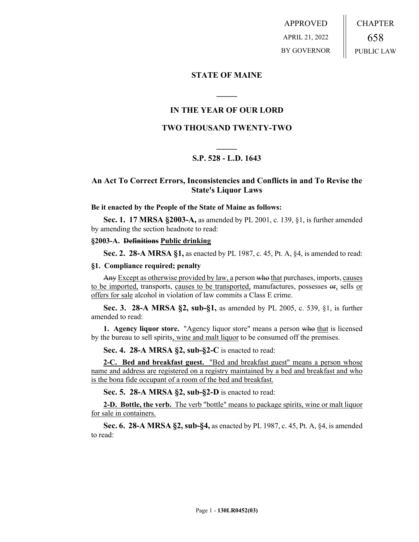APPROVED APRIL 21, 2022 BY GOVERNOR CHAPTER 658 PUBLIC LAW

# **STATE OF MAINE**

# **IN THE YEAR OF OUR LORD**

**\_\_\_\_\_**

# **TWO THOUSAND TWENTY-TWO**

# **\_\_\_\_\_ S.P. 528 - L.D. 1643**

# **An Act To Correct Errors, Inconsistencies and Conflicts in and To Revise the State's Liquor Laws**

#### **Be it enacted by the People of the State of Maine as follows:**

**Sec. 1. 17 MRSA §2003-A,** as amended by PL 2001, c. 139, §1, is further amended by amending the section headnote to read:

#### **§2003-A. Definitions Public drinking**

**Sec. 2. 28-A MRSA §1,** as enacted by PL 1987, c. 45, Pt. A, §4, is amended to read:

#### **§1. Compliance required; penalty**

Any Except as otherwise provided by law, a person who that purchases, imports, causes to be imported, transports, causes to be transported, manufactures, possesses  $er_2$  sells or offers for sale alcohol in violation of law commits a Class E crime.

**Sec. 3. 28-A MRSA §2, sub-§1,** as amended by PL 2005, c. 539, §1, is further amended to read:

**1. Agency liquor store.** "Agency liquor store" means a person who that is licensed by the bureau to sell spirits, wine and malt liquor to be consumed off the premises.

**Sec. 4. 28-A MRSA §2, sub-§2-C** is enacted to read:

**2-C. Bed and breakfast guest.** "Bed and breakfast guest" means a person whose name and address are registered on a registry maintained by a bed and breakfast and who is the bona fide occupant of a room of the bed and breakfast.

**Sec. 5. 28-A MRSA §2, sub-§2-D** is enacted to read:

**2-D. Bottle, the verb.** The verb "bottle" means to package spirits, wine or malt liquor for sale in containers.

**Sec. 6. 28-A MRSA §2, sub-§4,** as enacted by PL 1987, c. 45, Pt. A, §4, is amended to read: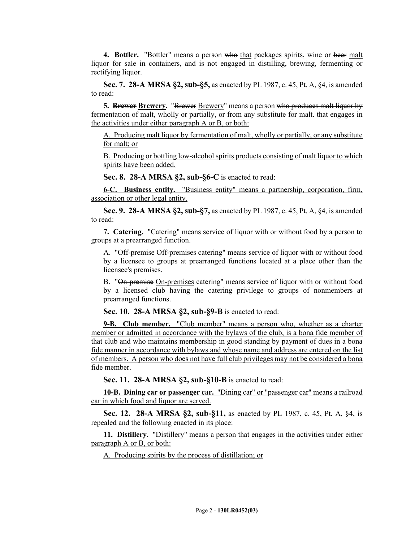**4. Bottler.** "Bottler" means a person who that packages spirits, wine or beer malt liquor for sale in containers, and is not engaged in distilling, brewing, fermenting or rectifying liquor.

**Sec. 7. 28-A MRSA §2, sub-§5,** as enacted by PL 1987, c. 45, Pt. A, §4, is amended to read:

**5. Brewer Brewery.** "Brewer Brewery" means a person who produces malt liquor by fermentation of malt, wholly or partially, or from any substitute for malt. that engages in the activities under either paragraph A or B, or both:

A. Producing malt liquor by fermentation of malt, wholly or partially, or any substitute for malt; or

B. Producing or bottling low-alcohol spirits products consisting of malt liquor to which spirits have been added.

**Sec. 8. 28-A MRSA §2, sub-§6-C** is enacted to read:

**6-C. Business entity.** "Business entity" means a partnership, corporation, firm, association or other legal entity.

**Sec. 9. 28-A MRSA §2, sub-§7,** as enacted by PL 1987, c. 45, Pt. A, §4, is amended to read:

**7. Catering.** "Catering" means service of liquor with or without food by a person to groups at a prearranged function.

A. "Off-premise Off-premises catering" means service of liquor with or without food by a licensee to groups at prearranged functions located at a place other than the licensee's premises.

B. "On-premise On-premises catering" means service of liquor with or without food by a licensed club having the catering privilege to groups of nonmembers at prearranged functions.

**Sec. 10. 28-A MRSA §2, sub-§9-B** is enacted to read:

**9-B. Club member.** "Club member" means a person who, whether as a charter member or admitted in accordance with the bylaws of the club, is a bona fide member of that club and who maintains membership in good standing by payment of dues in a bona fide manner in accordance with bylaws and whose name and address are entered on the list of members. A person who does not have full club privileges may not be considered a bona fide member.

**Sec. 11. 28-A MRSA §2, sub-§10-B** is enacted to read:

**10-B. Dining car or passenger car.** "Dining car" or "passenger car" means a railroad car in which food and liquor are served.

**Sec. 12. 28-A MRSA §2, sub-§11,** as enacted by PL 1987, c. 45, Pt. A, §4, is repealed and the following enacted in its place:

**11. Distillery.** "Distillery" means a person that engages in the activities under either paragraph A or B, or both:

A. Producing spirits by the process of distillation; or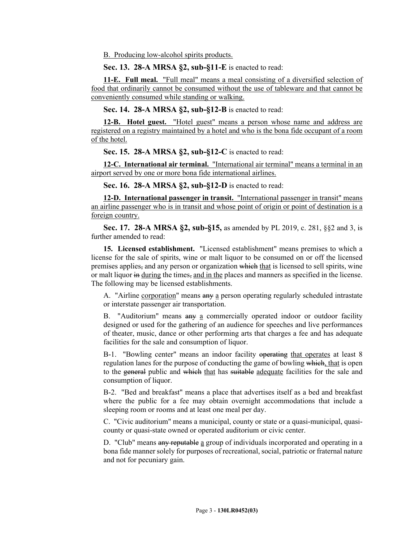B. Producing low-alcohol spirits products.

**Sec. 13. 28-A MRSA §2, sub-§11-E** is enacted to read:

**11-E. Full meal.** "Full meal" means a meal consisting of a diversified selection of food that ordinarily cannot be consumed without the use of tableware and that cannot be conveniently consumed while standing or walking.

**Sec. 14. 28-A MRSA §2, sub-§12-B** is enacted to read:

**12-B. Hotel guest.** "Hotel guest" means a person whose name and address are registered on a registry maintained by a hotel and who is the bona fide occupant of a room of the hotel.

**Sec. 15. 28-A MRSA §2, sub-§12-C** is enacted to read:

**12-C. International air terminal.** "International air terminal" means a terminal in an airport served by one or more bona fide international airlines.

**Sec. 16. 28-A MRSA §2, sub-§12-D** is enacted to read:

**12-D. International passenger in transit.** "International passenger in transit" means an airline passenger who is in transit and whose point of origin or point of destination is a foreign country.

**Sec. 17. 28-A MRSA §2, sub-§15,** as amended by PL 2019, c. 281, §§2 and 3, is further amended to read:

**15. Licensed establishment.** "Licensed establishment" means premises to which a license for the sale of spirits, wine or malt liquor to be consumed on or off the licensed premises applies, and any person or organization which that is licensed to sell spirits, wine or malt liquor in during the times, and in the places and manners as specified in the license. The following may be licensed establishments.

A. "Airline corporation" means any a person operating regularly scheduled intrastate or interstate passenger air transportation.

B. "Auditorium" means any a commercially operated indoor or outdoor facility designed or used for the gathering of an audience for speeches and live performances of theater, music, dance or other performing arts that charges a fee and has adequate facilities for the sale and consumption of liquor.

B-1. "Bowling center" means an indoor facility operating that operates at least 8 regulation lanes for the purpose of conducting the game of bowling which, that is open to the general public and which that has suitable adequate facilities for the sale and consumption of liquor.

B-2. "Bed and breakfast" means a place that advertises itself as a bed and breakfast where the public for a fee may obtain overnight accommodations that include a sleeping room or rooms and at least one meal per day.

C. "Civic auditorium" means a municipal, county or state or a quasi-municipal, quasicounty or quasi-state owned or operated auditorium or civic center.

D. "Club" means any reputable a group of individuals incorporated and operating in a bona fide manner solely for purposes of recreational, social, patriotic or fraternal nature and not for pecuniary gain.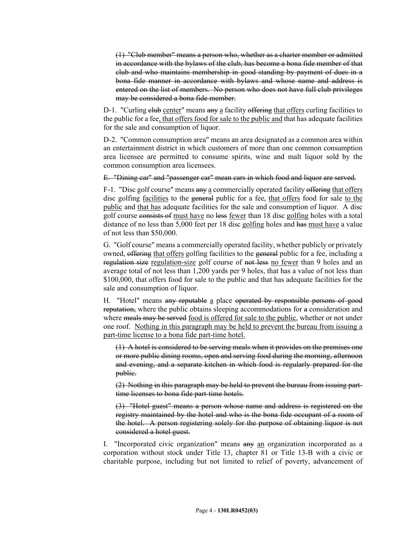(1) "Club member" means a person who, whether as a charter member or admitted in accordance with the bylaws of the club, has become a bona fide member of that club and who maintains membership in good standing by payment of dues in a bona fide manner in accordance with bylaws and whose name and address is entered on the list of members. No person who does not have full club privileges may be considered a bona fide member.

D-1. "Curling elub center" means any a facility offering that offers curling facilities to the public for a fee, that offers food for sale to the public and that has adequate facilities for the sale and consumption of liquor.

D-2. "Common consumption area" means an area designated as a common area within an entertainment district in which customers of more than one common consumption area licensee are permitted to consume spirits, wine and malt liquor sold by the common consumption area licensees.

E. "Dining car" and "passenger car" mean cars in which food and liquor are served.

F-1. "Disc golf course" means any a commercially operated facility offering that offers disc golfing facilities to the general public for a fee, that offers food for sale to the public and that has adequate facilities for the sale and consumption of liquor. A disc golf course consists of must have no less fewer than 18 disc golfing holes with a total distance of no less than 5,000 feet per 18 disc golfing holes and has must have a value of not less than \$50,000.

G. "Golf course" means a commercially operated facility, whether publicly or privately owned, offering that offers golfing facilities to the general public for a fee, including a regulation size regulation-size golf course of not less no fewer than 9 holes and an average total of not less than 1,200 yards per 9 holes, that has a value of not less than \$100,000, that offers food for sale to the public and that has adequate facilities for the sale and consumption of liquor.

H. "Hotel" means any reputable a place operated by responsible persons of good reputation, where the public obtains sleeping accommodations for a consideration and where meals may be served food is offered for sale to the public, whether or not under one roof. Nothing in this paragraph may be held to prevent the bureau from issuing a part-time license to a bona fide part-time hotel.

(1) A hotel is considered to be serving meals when it provides on the premises one or more public dining rooms, open and serving food during the morning, afternoon and evening, and a separate kitchen in which food is regularly prepared for the public.

(2) Nothing in this paragraph may be held to prevent the bureau from issuing parttime licenses to bona fide part-time hotels.

(3) "Hotel guest" means a person whose name and address is registered on the registry maintained by the hotel and who is the bona fide occupant of a room of the hotel. A person registering solely for the purpose of obtaining liquor is not considered a hotel guest.

I. "Incorporated civic organization" means any an organization incorporated as a corporation without stock under Title 13, chapter 81 or Title 13-B with a civic or charitable purpose, including but not limited to relief of poverty, advancement of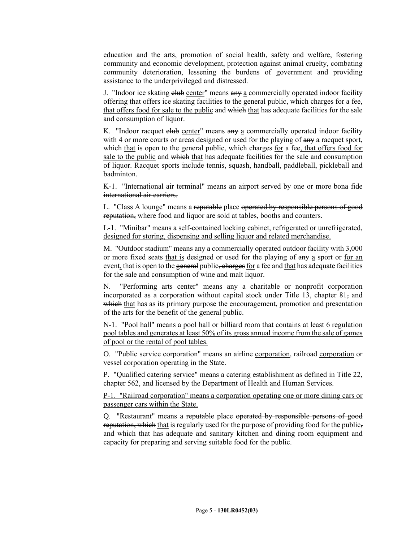education and the arts, promotion of social health, safety and welfare, fostering community and economic development, protection against animal cruelty, combating community deterioration, lessening the burdens of government and providing assistance to the underprivileged and distressed.

J. "Indoor ice skating elub center" means any a commercially operated indoor facility offering that offers ice skating facilities to the general public, which charges for a fee, that offers food for sale to the public and which that has adequate facilities for the sale and consumption of liquor.

K. "Indoor racquet elub center" means any a commercially operated indoor facility with 4 or more courts or areas designed or used for the playing of  $\frac{day}{dx}$  a racquet sport, which that is open to the general public, which charges for a fee, that offers food for sale to the public and which that has adequate facilities for the sale and consumption of liquor. Racquet sports include tennis, squash, handball, paddleball, pickleball and badminton.

K-1. "International air terminal" means an airport served by one or more bona fide international air carriers.

L. "Class A lounge" means a reputable place operated by responsible persons of good reputation, where food and liquor are sold at tables, booths and counters.

L-1. "Minibar" means a self-contained locking cabinet, refrigerated or unrefrigerated, designed for storing, dispensing and selling liquor and related merchandise.

M. "Outdoor stadium" means any a commercially operated outdoor facility with 3,000 or more fixed seats that is designed or used for the playing of any a sport or for an event, that is open to the general public, charges for a fee and that has adequate facilities for the sale and consumption of wine and malt liquor.

N. "Performing arts center" means any a charitable or nonprofit corporation incorporated as a corporation without capital stock under Title 13, chapter  $81\frac{1}{2}$  and which that has as its primary purpose the encouragement, promotion and presentation of the arts for the benefit of the general public.

N-1. "Pool hall" means a pool hall or billiard room that contains at least 6 regulation pool tables and generates at least 50% of its gross annual income from the sale of games of pool or the rental of pool tables.

O. "Public service corporation" means an airline corporation, railroad corporation or vessel corporation operating in the State.

P. "Qualified catering service" means a catering establishment as defined in Title 22, chapter 562, and licensed by the Department of Health and Human Services.

P-1. "Railroad corporation" means a corporation operating one or more dining cars or passenger cars within the State.

Q. "Restaurant" means a reputable place operated by responsible persons of good reputation, which that is regularly used for the purpose of providing food for the public, and which that has adequate and sanitary kitchen and dining room equipment and capacity for preparing and serving suitable food for the public.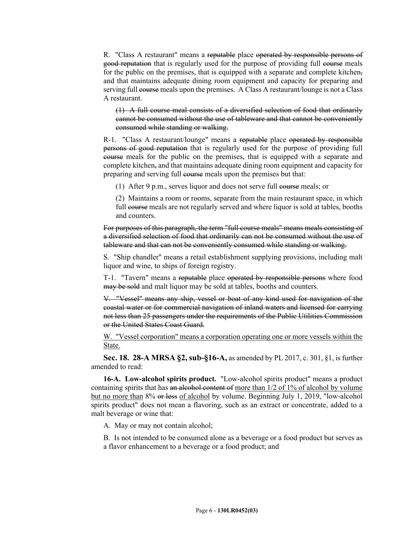R. "Class A restaurant" means a reputable place operated by responsible persons of good reputation that is regularly used for the purpose of providing full course meals for the public on the premises, that is equipped with a separate and complete kitchen. and that maintains adequate dining room equipment and capacity for preparing and serving full course meals upon the premises. A Class A restaurant/lounge is not a Class A restaurant.

(1) A full course meal consists of a diversified selection of food that ordinarily cannot be consumed without the use of tableware and that cannot be conveniently consumed while standing or walking.

R-1. "Class A restaurant/lounge" means a reputable place operated by responsible persons of good reputation that is regularly used for the purpose of providing full course meals for the public on the premises, that is equipped with a separate and complete kitchen, and that maintains adequate dining room equipment and capacity for preparing and serving full course meals upon the premises but that:

(1) After 9 p.m., serves liquor and does not serve full course meals; or

(2) Maintains a room or rooms, separate from the main restaurant space, in which full course meals are not regularly served and where liquor is sold at tables, booths and counters.

For purposes of this paragraph, the term "full course meals" means meals consisting of a diversified selection of food that ordinarily can not be consumed without the use of tableware and that can not be conveniently consumed while standing or walking.

S. "Ship chandler" means a retail establishment supplying provisions, including malt liquor and wine, to ships of foreign registry.

T-1. "Tavern" means a reputable place operated by responsible persons where food may be sold and malt liquor may be sold at tables, booths and counters.

V. "Vessel" means any ship, vessel or boat of any kind used for navigation of the coastal water or for commercial navigation of inland waters and licensed for carrying not less than 25 passengers under the requirements of the Public Utilities Commission or the United States Coast Guard.

W. "Vessel corporation" means a corporation operating one or more vessels within the State.

**Sec. 18. 28-A MRSA §2, sub-§16-A,** as amended by PL 2017, c. 301, §1, is further amended to read:

**16-A. Low-alcohol spirits product.** "Low-alcohol spirits product" means a product containing spirits that has an alcohol content of more than 1/2 of 1% of alcohol by volume but no more than 8% or less of alcohol by volume. Beginning July 1, 2019, "low-alcohol spirits product" does not mean a flavoring, such as an extract or concentrate, added to a malt beverage or wine that:

A. May or may not contain alcohol;

B. Is not intended to be consumed alone as a beverage or a food product but serves as a flavor enhancement to a beverage or a food product; and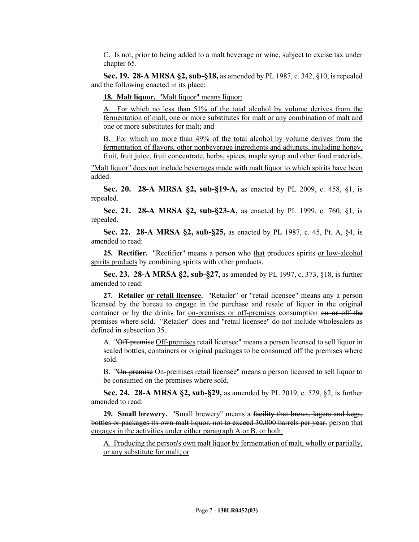C. Is not, prior to being added to a malt beverage or wine, subject to excise tax under chapter 65.

**Sec. 19. 28-A MRSA §2, sub-§18,** as amended by PL 1987, c. 342, §10, is repealed and the following enacted in its place:

18. Malt liquor. "Malt liquor" means liquor:

A. For which no less than 51% of the total alcohol by volume derives from the fermentation of malt, one or more substitutes for malt or any combination of malt and one or more substitutes for malt; and

B. For which no more than 49% of the total alcohol by volume derives from the fermentation of flavors, other nonbeverage ingredients and adjuncts, including honey, fruit, fruit juice, fruit concentrate, herbs, spices, maple syrup and other food materials.

"Malt liquor" does not include beverages made with malt liquor to which spirits have been added.

**Sec. 20. 28-A MRSA §2, sub-§19-A,** as enacted by PL 2009, c. 458, §1, is repealed.

**Sec. 21. 28-A MRSA §2, sub-§23-A,** as enacted by PL 1999, c. 760, §1, is repealed.

**Sec. 22. 28-A MRSA §2, sub-§25,** as enacted by PL 1987, c. 45, Pt. A, §4, is amended to read:

**25. Rectifier.** "Rectifier" means a person who that produces spirits or low-alcohol spirits products by combining spirits with other products.

**Sec. 23. 28-A MRSA §2, sub-§27,** as amended by PL 1997, c. 373, §18, is further amended to read:

**27. Retailer or retail licensee.** "Retailer" or "retail licensee" means any a person licensed by the bureau to engage in the purchase and resale of liquor in the original container or by the drink, for on-premises or off-premises consumption on or off the premises where sold. "Retailer" does and "retail licensee" do not include wholesalers as defined in subsection 35.

A. "Off-premise Off-premises retail licensee" means a person licensed to sell liquor in sealed bottles, containers or original packages to be consumed off the premises where sold.

B. "On-premise On-premises retail licensee" means a person licensed to sell liquor to be consumed on the premises where sold.

**Sec. 24. 28-A MRSA §2, sub-§29,** as amended by PL 2019, c. 529, §2, is further amended to read:

**29. Small brewery.** "Small brewery" means a facility that brews, lagers and kegs, bottles or packages its own malt liquor, not to exceed 30,000 barrels per year. person that engages in the activities under either paragraph A or B, or both:

A. Producing the person's own malt liquor by fermentation of malt, wholly or partially, or any substitute for malt; or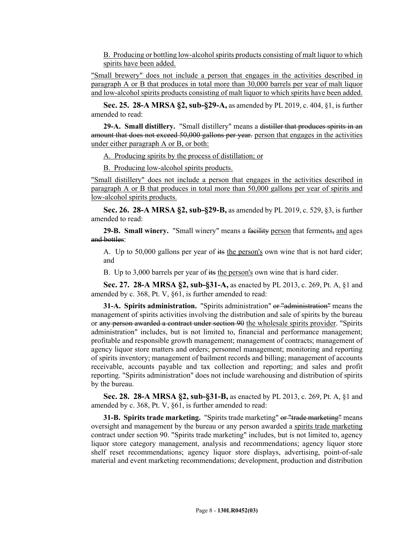B. Producing or bottling low-alcohol spirits products consisting of malt liquor to which spirits have been added.

"Small brewery" does not include a person that engages in the activities described in paragraph A or B that produces in total more than 30,000 barrels per year of malt liquor and low-alcohol spirits products consisting of malt liquor to which spirits have been added.

**Sec. 25. 28-A MRSA §2, sub-§29-A,** as amended by PL 2019, c. 404, §1, is further amended to read:

**29-A. Small distillery.** "Small distillery" means a distiller that produces spirits in an amount that does not exceed 50,000 gallons per year. person that engages in the activities under either paragraph A or B, or both:

A. Producing spirits by the process of distillation; or

B. Producing low-alcohol spirits products.

"Small distillery" does not include a person that engages in the activities described in paragraph A or B that produces in total more than 50,000 gallons per year of spirits and low-alcohol spirits products.

**Sec. 26. 28-A MRSA §2, sub-§29-B,** as amended by PL 2019, c. 529, §3, is further amended to read:

**29-B. Small winery.** "Small winery" means a facility person that ferments, and ages and bottles:

A. Up to 50,000 gallons per year of its the person's own wine that is not hard cider; and

B. Up to 3,000 barrels per year of its the person's own wine that is hard cider.

**Sec. 27. 28-A MRSA §2, sub-§31-A,** as enacted by PL 2013, c. 269, Pt. A, §1 and amended by c. 368, Pt. V, §61, is further amended to read:

**31-A. Spirits administration.** "Spirits administration" or "administration" means the management of spirits activities involving the distribution and sale of spirits by the bureau or any person awarded a contract under section 90 the wholesale spirits provider. "Spirits administration" includes, but is not limited to, financial and performance management; profitable and responsible growth management; management of contracts; management of agency liquor store matters and orders; personnel management; monitoring and reporting of spirits inventory; management of bailment records and billing; management of accounts receivable, accounts payable and tax collection and reporting; and sales and profit reporting. "Spirits administration" does not include warehousing and distribution of spirits by the bureau.

**Sec. 28. 28-A MRSA §2, sub-§31-B,** as enacted by PL 2013, c. 269, Pt. A, §1 and amended by c. 368, Pt. V, §61, is further amended to read:

**31-B. Spirits trade marketing.** "Spirits trade marketing" or "trade marketing" means oversight and management by the bureau or any person awarded a spirits trade marketing contract under section 90. "Spirits trade marketing" includes, but is not limited to, agency liquor store category management, analysis and recommendations; agency liquor store shelf reset recommendations; agency liquor store displays, advertising, point-of-sale material and event marketing recommendations; development, production and distribution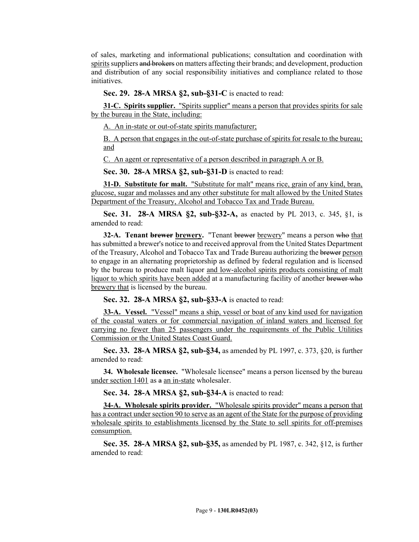of sales, marketing and informational publications; consultation and coordination with spirits suppliers and brokers on matters affecting their brands; and development, production and distribution of any social responsibility initiatives and compliance related to those initiatives.

#### **Sec. 29. 28-A MRSA §2, sub-§31-C** is enacted to read:

**31-C. Spirits supplier.** "Spirits supplier" means a person that provides spirits for sale by the bureau in the State, including:

A. An in-state or out-of-state spirits manufacturer;

B. A person that engages in the out-of-state purchase of spirits for resale to the bureau; and

C. An agent or representative of a person described in paragraph A or B.

**Sec. 30. 28-A MRSA §2, sub-§31-D** is enacted to read:

**31-D. Substitute for malt.** "Substitute for malt" means rice, grain of any kind, bran, glucose, sugar and molasses and any other substitute for malt allowed by the United States Department of the Treasury, Alcohol and Tobacco Tax and Trade Bureau.

**Sec. 31. 28-A MRSA §2, sub-§32-A,** as enacted by PL 2013, c. 345, §1, is amended to read:

**32-A. Tenant brewer brewery.** "Tenant brewer brewery" means a person who that has submitted a brewer's notice to and received approval from the United States Department of the Treasury, Alcohol and Tobacco Tax and Trade Bureau authorizing the brewer person to engage in an alternating proprietorship as defined by federal regulation and is licensed by the bureau to produce malt liquor and low-alcohol spirits products consisting of malt liquor to which spirits have been added at a manufacturing facility of another brewer who brewery that is licensed by the bureau.

**Sec. 32. 28-A MRSA §2, sub-§33-A** is enacted to read:

**33-A. Vessel.** "Vessel" means a ship, vessel or boat of any kind used for navigation of the coastal waters or for commercial navigation of inland waters and licensed for carrying no fewer than 25 passengers under the requirements of the Public Utilities Commission or the United States Coast Guard.

**Sec. 33. 28-A MRSA §2, sub-§34,** as amended by PL 1997, c. 373, §20, is further amended to read:

**34. Wholesale licensee.** "Wholesale licensee" means a person licensed by the bureau under section 1401 as a an in-state wholesaler.

**Sec. 34. 28-A MRSA §2, sub-§34-A** is enacted to read:

**34-A. Wholesale spirits provider.** "Wholesale spirits provider" means a person that has a contract under section 90 to serve as an agent of the State for the purpose of providing wholesale spirits to establishments licensed by the State to sell spirits for off-premises consumption.

**Sec. 35. 28-A MRSA §2, sub-§35,** as amended by PL 1987, c. 342, §12, is further amended to read: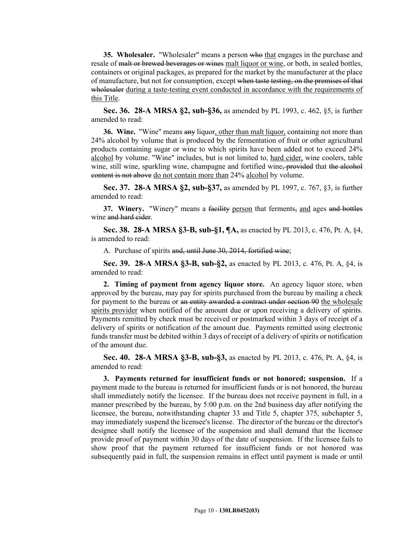**35. Wholesaler.** "Wholesaler" means a person who that engages in the purchase and resale of malt or brewed beverages or wines malt liquor or wine, or both, in sealed bottles, containers or original packages, as prepared for the market by the manufacturer at the place of manufacture, but not for consumption, except when taste testing, on the premises of that wholesaler during a taste-testing event conducted in accordance with the requirements of this Title.

**Sec. 36. 28-A MRSA §2, sub-§36,** as amended by PL 1993, c. 462, §5, is further amended to read:

**36. Wine.** "Wine" means any liquor, other than malt liquor, containing not more than 24% alcohol by volume that is produced by the fermentation of fruit or other agricultural products containing sugar or wine to which spirits have been added not to exceed 24% alcohol by volume. "Wine" includes, but is not limited to, hard cider, wine coolers, table wine, still wine, sparkling wine, champagne and fortified wine, provided that the alcohol content is not above do not contain more than 24% alcohol by volume.

**Sec. 37. 28-A MRSA §2, sub-§37,** as amended by PL 1997, c. 767, §3, is further amended to read:

**37. Winery.** "Winery" means a facility person that ferments, and ages and bottles wine and hard cider.

**Sec. 38. 28-A MRSA §3-B, sub-§1, ¶A,** as enacted by PL 2013, c. 476, Pt. A, §4, is amended to read:

A. Purchase of spirits and, until June 30, 2014, fortified wine;

**Sec. 39. 28-A MRSA §3-B, sub-§2,** as enacted by PL 2013, c. 476, Pt. A, §4, is amended to read:

**2. Timing of payment from agency liquor store.** An agency liquor store, when approved by the bureau, may pay for spirits purchased from the bureau by mailing a check for payment to the bureau or an entity awarded a contract under section 90 the wholesale spirits provider when notified of the amount due or upon receiving a delivery of spirits. Payments remitted by check must be received or postmarked within 3 days of receipt of a delivery of spirits or notification of the amount due. Payments remitted using electronic funds transfer must be debited within 3 days of receipt of a delivery of spirits or notification of the amount due.

**Sec. 40. 28-A MRSA §3-B, sub-§3,** as enacted by PL 2013, c. 476, Pt. A, §4, is amended to read:

**3. Payments returned for insufficient funds or not honored; suspension.** If a payment made to the bureau is returned for insufficient funds or is not honored, the bureau shall immediately notify the licensee. If the bureau does not receive payment in full, in a manner prescribed by the bureau, by 5:00 p.m. on the 2nd business day after notifying the licensee, the bureau, notwithstanding chapter 33 and Title 5, chapter 375, subchapter 5, may immediately suspend the licensee's license. The director of the bureau or the director's designee shall notify the licensee of the suspension and shall demand that the licensee provide proof of payment within 30 days of the date of suspension. If the licensee fails to show proof that the payment returned for insufficient funds or not honored was subsequently paid in full, the suspension remains in effect until payment is made or until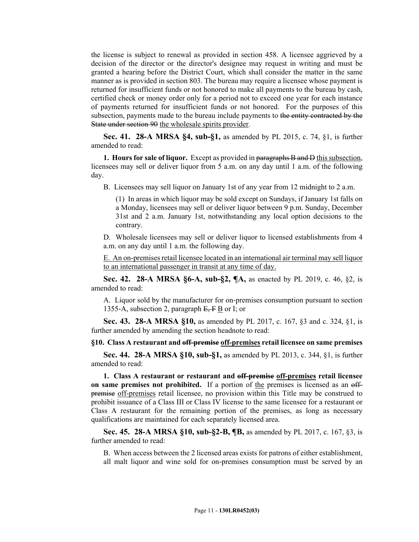the license is subject to renewal as provided in section 458. A licensee aggrieved by a decision of the director or the director's designee may request in writing and must be granted a hearing before the District Court, which shall consider the matter in the same manner as is provided in section 803. The bureau may require a licensee whose payment is returned for insufficient funds or not honored to make all payments to the bureau by cash, certified check or money order only for a period not to exceed one year for each instance of payments returned for insufficient funds or not honored. For the purposes of this subsection, payments made to the bureau include payments to the entity contracted by the State under section 90 the wholesale spirits provider.

**Sec. 41. 28-A MRSA §4, sub-§1,** as amended by PL 2015, c. 74, §1, is further amended to read:

**1. Hours for sale of liquor.** Except as provided in paragraphs **B** and **D** this subsection, licensees may sell or deliver liquor from 5 a.m. on any day until 1 a.m. of the following day.

B. Licensees may sell liquor on January 1st of any year from 12 midnight to 2 a.m.

(1) In areas in which liquor may be sold except on Sundays, if January 1st falls on a Monday, licensees may sell or deliver liquor between 9 p.m. Sunday, December 31st and 2 a.m. January 1st, notwithstanding any local option decisions to the contrary.

D. Wholesale licensees may sell or deliver liquor to licensed establishments from 4 a.m. on any day until 1 a.m. the following day.

E. An on-premises retail licensee located in an international air terminal may sell liquor to an international passenger in transit at any time of day.

**Sec. 42. 28-A MRSA §6-A, sub-§2, ¶A,** as enacted by PL 2019, c. 46, §2, is amended to read:

A. Liquor sold by the manufacturer for on‑premises consumption pursuant to section 1355–A, subsection 2, paragraph  $E, F B$  or I; or

**Sec. 43. 28-A MRSA §10,** as amended by PL 2017, c. 167, §3 and c. 324, §1, is further amended by amending the section headnote to read:

#### **§10. Class A restaurant and off-premise off-premises retail licensee on same premises**

**Sec. 44. 28-A MRSA §10, sub-§1,** as amended by PL 2013, c. 344, §1, is further amended to read:

**1. Class A restaurant or restaurant and off-premise off-premises retail licensee on same premises not prohibited.** If a portion of the premises is licensed as an offpremise off-premises retail licensee, no provision within this Title may be construed to prohibit issuance of a Class III or Class IV license to the same licensee for a restaurant or Class A restaurant for the remaining portion of the premises, as long as necessary qualifications are maintained for each separately licensed area.

**Sec. 45. 28-A MRSA §10, sub-§2-B, ¶B,** as amended by PL 2017, c. 167, §3, is further amended to read:

B. When access between the 2 licensed areas exists for patrons of either establishment, all malt liquor and wine sold for on-premises consumption must be served by an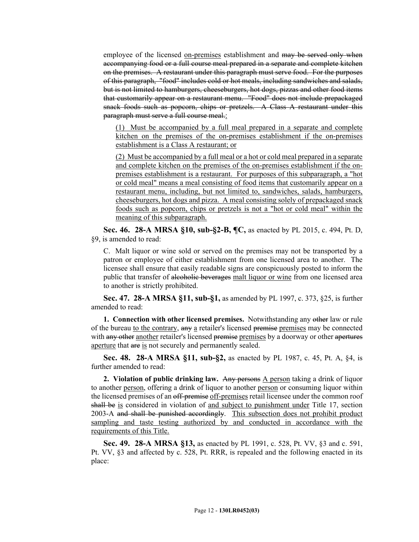employee of the licensed <u>on-premises</u> establishment and may be served only when accompanying food or a full course meal prepared in a separate and complete kitchen on the premises. A restaurant under this paragraph must serve food. For the purposes of this paragraph, "food" includes cold or hot meals, including sandwiches and salads, but is not limited to hamburgers, cheeseburgers, hot dogs, pizzas and other food items that customarily appear on a restaurant menu. "Food" does not include prepackaged snack foods such as popcorn, chips or pretzels. A Class A restaurant under this paragraph must serve a full course meal.:

(1) Must be accompanied by a full meal prepared in a separate and complete kitchen on the premises of the on-premises establishment if the on-premises establishment is a Class A restaurant; or

(2) Must be accompanied by a full meal or a hot or cold meal prepared in a separate and complete kitchen on the premises of the on-premises establishment if the onpremises establishment is a restaurant. For purposes of this subparagraph, a "hot or cold meal" means a meal consisting of food items that customarily appear on a restaurant menu, including, but not limited to, sandwiches, salads, hamburgers, cheeseburgers, hot dogs and pizza. A meal consisting solely of prepackaged snack foods such as popcorn, chips or pretzels is not a "hot or cold meal" within the meaning of this subparagraph.

**Sec. 46. 28-A MRSA §10, sub-§2-B, ¶C,** as enacted by PL 2015, c. 494, Pt. D, §9, is amended to read:

C. Malt liquor or wine sold or served on the premises may not be transported by a patron or employee of either establishment from one licensed area to another. The licensee shall ensure that easily readable signs are conspicuously posted to inform the public that transfer of alcoholic beverages malt liquor or wine from one licensed area to another is strictly prohibited.

**Sec. 47. 28-A MRSA §11, sub-§1,** as amended by PL 1997, c. 373, §25, is further amended to read:

**1. Connection with other licensed premises.** Notwithstanding any other law or rule of the bureau to the contrary, any a retailer's licensed premise premises may be connected with any other another retailer's licensed premise premises by a doorway or other apertures aperture that are is not securely and permanently sealed.

**Sec. 48. 28-A MRSA §11, sub-§2,** as enacted by PL 1987, c. 45, Pt. A, §4, is further amended to read:

**2. Violation of public drinking law.** Any persons A person taking a drink of liquor to another person, offering a drink of liquor to another person or consuming liquor within the licensed premises of an off-premise off-premises retail licensee under the common roof shall be is considered in violation of <u>and subject to punishment under</u> Title 17, section 2003-A and shall be punished accordingly. This subsection does not prohibit product sampling and taste testing authorized by and conducted in accordance with the requirements of this Title.

**Sec. 49. 28-A MRSA §13,** as enacted by PL 1991, c. 528, Pt. VV, §3 and c. 591, Pt. VV, §3 and affected by c. 528, Pt. RRR, is repealed and the following enacted in its place: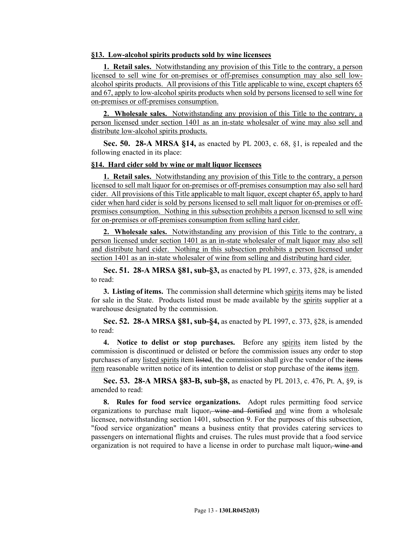## **§13. Low-alcohol spirits products sold by wine licensees**

**1. Retail sales.** Notwithstanding any provision of this Title to the contrary, a person licensed to sell wine for on-premises or off-premises consumption may also sell lowalcohol spirits products. All provisions of this Title applicable to wine, except chapters 65 and 67, apply to low-alcohol spirits products when sold by persons licensed to sell wine for on-premises or off-premises consumption.

**2. Wholesale sales.** Notwithstanding any provision of this Title to the contrary, a person licensed under section 1401 as an in-state wholesaler of wine may also sell and distribute low-alcohol spirits products.

**Sec. 50. 28-A MRSA §14,** as enacted by PL 2003, c. 68, §1, is repealed and the following enacted in its place:

#### **§14. Hard cider sold by wine or malt liquor licensees**

**1. Retail sales.** Notwithstanding any provision of this Title to the contrary, a person licensed to sell malt liquor for on-premises or off-premises consumption may also sell hard cider. All provisions of this Title applicable to malt liquor, except chapter 65, apply to hard cider when hard cider is sold by persons licensed to sell malt liquor for on-premises or offpremises consumption. Nothing in this subsection prohibits a person licensed to sell wine for on-premises or off-premises consumption from selling hard cider.

**2. Wholesale sales.** Notwithstanding any provision of this Title to the contrary, a person licensed under section 1401 as an in-state wholesaler of malt liquor may also sell and distribute hard cider. Nothing in this subsection prohibits a person licensed under section 1401 as an in-state wholesaler of wine from selling and distributing hard cider.

**Sec. 51. 28-A MRSA §81, sub-§3,** as enacted by PL 1997, c. 373, §28, is amended to read:

**3. Listing of items.** The commission shall determine which spirits items may be listed for sale in the State. Products listed must be made available by the spirits supplier at a warehouse designated by the commission.

**Sec. 52. 28-A MRSA §81, sub-§4,** as enacted by PL 1997, c. 373, §28, is amended to read:

**4. Notice to delist or stop purchases.** Before any spirits item listed by the commission is discontinued or delisted or before the commission issues any order to stop purchases of any listed spirits item listed, the commission shall give the vendor of the items item reasonable written notice of its intention to delist or stop purchase of the items item.

**Sec. 53. 28-A MRSA §83-B, sub-§8,** as enacted by PL 2013, c. 476, Pt. A, §9, is amended to read:

**8. Rules for food service organizations.** Adopt rules permitting food service organizations to purchase malt liquor, wine and fortified and wine from a wholesale licensee, notwithstanding section 1401, subsection 9. For the purposes of this subsection, "food service organization" means a business entity that provides catering services to passengers on international flights and cruises. The rules must provide that a food service organization is not required to have a license in order to purchase malt liquor. wine and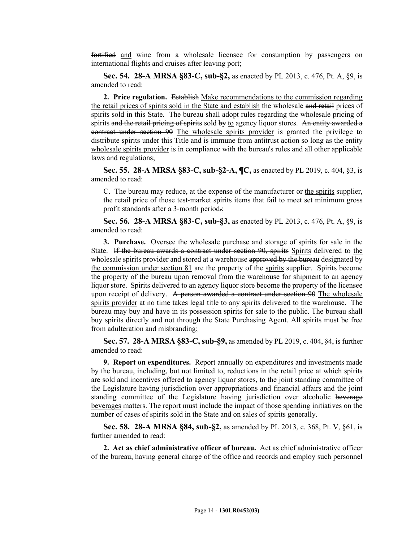fortified and wine from a wholesale licensee for consumption by passengers on international flights and cruises after leaving port;

**Sec. 54. 28-A MRSA §83-C, sub-§2,** as enacted by PL 2013, c. 476, Pt. A, §9, is amended to read:

**2. Price regulation.** Establish Make recommendations to the commission regarding the retail prices of spirits sold in the State and establish the wholesale and retail prices of spirits sold in this State. The bureau shall adopt rules regarding the wholesale pricing of spirits and the retail pricing of spirits sold by to agency liquor stores. An entity awarded a contract under section 90 The wholesale spirits provider is granted the privilege to distribute spirits under this Title and is immune from antitrust action so long as the entity wholesale spirits provider is in compliance with the bureau's rules and all other applicable laws and regulations;

**Sec. 55. 28-A MRSA §83-C, sub-§2-A, ¶C,** as enacted by PL 2019, c. 404, §3, is amended to read:

C. The bureau may reduce, at the expense of the manufacturer or the spirits supplier, the retail price of those test-market spirits items that fail to meet set minimum gross profit standards after a 3-month period.;

**Sec. 56. 28-A MRSA §83-C, sub-§3,** as enacted by PL 2013, c. 476, Pt. A, §9, is amended to read:

**3. Purchase.** Oversee the wholesale purchase and storage of spirits for sale in the State. If the bureau awards a contract under section 90, spirits Spirits delivered to the wholesale spirits provider and stored at a warehouse approved by the bureau designated by the commission under section 81 are the property of the spirits supplier. Spirits become the property of the bureau upon removal from the warehouse for shipment to an agency liquor store. Spirits delivered to an agency liquor store become the property of the licensee upon receipt of delivery. A person awarded a contract under section 90 The wholesale spirits provider at no time takes legal title to any spirits delivered to the warehouse. The bureau may buy and have in its possession spirits for sale to the public. The bureau shall buy spirits directly and not through the State Purchasing Agent. All spirits must be free from adulteration and misbranding;

**Sec. 57. 28-A MRSA §83-C, sub-§9,** as amended by PL 2019, c. 404, §4, is further amended to read:

**9. Report on expenditures.** Report annually on expenditures and investments made by the bureau, including, but not limited to, reductions in the retail price at which spirits are sold and incentives offered to agency liquor stores, to the joint standing committee of the Legislature having jurisdiction over appropriations and financial affairs and the joint standing committee of the Legislature having jurisdiction over alcoholic beverage beverages matters. The report must include the impact of those spending initiatives on the number of cases of spirits sold in the State and on sales of spirits generally.

**Sec. 58. 28-A MRSA §84, sub-§2,** as amended by PL 2013, c. 368, Pt. V, §61, is further amended to read:

**2. Act as chief administrative officer of bureau.** Act as chief administrative officer of the bureau, having general charge of the office and records and employ such personnel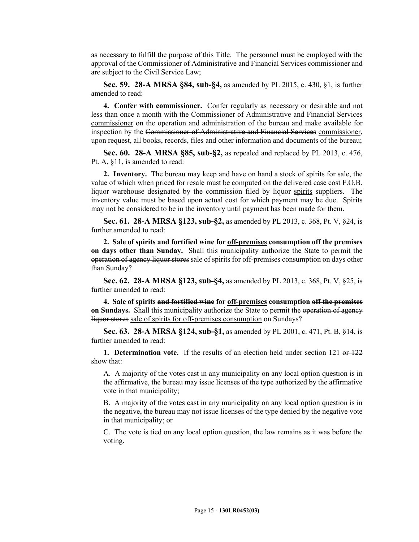as necessary to fulfill the purpose of this Title. The personnel must be employed with the approval of the Commissioner of Administrative and Financial Services commissioner and are subject to the Civil Service Law;

**Sec. 59. 28-A MRSA §84, sub-§4,** as amended by PL 2015, c. 430, §1, is further amended to read:

**4. Confer with commissioner.** Confer regularly as necessary or desirable and not less than once a month with the Commissioner of Administrative and Financial Services commissioner on the operation and administration of the bureau and make available for inspection by the Commissioner of Administrative and Financial Services commissioner, upon request, all books, records, files and other information and documents of the bureau;

**Sec. 60. 28-A MRSA §85, sub-§2,** as repealed and replaced by PL 2013, c. 476, Pt. A, §11, is amended to read:

**2. Inventory.** The bureau may keep and have on hand a stock of spirits for sale, the value of which when priced for resale must be computed on the delivered case cost F.O.B. liquor warehouse designated by the commission filed by liquor spirits suppliers. The inventory value must be based upon actual cost for which payment may be due. Spirits may not be considered to be in the inventory until payment has been made for them.

**Sec. 61. 28-A MRSA §123, sub-§2,** as amended by PL 2013, c. 368, Pt. V, §24, is further amended to read:

**2. Sale of spirits and fortified wine for off-premises consumption off the premises on days other than Sunday.** Shall this municipality authorize the State to permit the operation of agency liquor stores sale of spirits for off-premises consumption on days other than Sunday?

**Sec. 62. 28-A MRSA §123, sub-§4,** as amended by PL 2013, c. 368, Pt. V, §25, is further amended to read:

**4. Sale of spirits and fortified wine for off-premises consumption off the premises on Sundays.** Shall this municipality authorize the State to permit the operation of agency liquor stores sale of spirits for off-premises consumption on Sundays?

**Sec. 63. 28-A MRSA §124, sub-§1,** as amended by PL 2001, c. 471, Pt. B, §14, is further amended to read:

**1. Determination vote.** If the results of an election held under section 121 or 122 show that:

A. A majority of the votes cast in any municipality on any local option question is in the affirmative, the bureau may issue licenses of the type authorized by the affirmative vote in that municipality;

B. A majority of the votes cast in any municipality on any local option question is in the negative, the bureau may not issue licenses of the type denied by the negative vote in that municipality; or

C. The vote is tied on any local option question, the law remains as it was before the voting.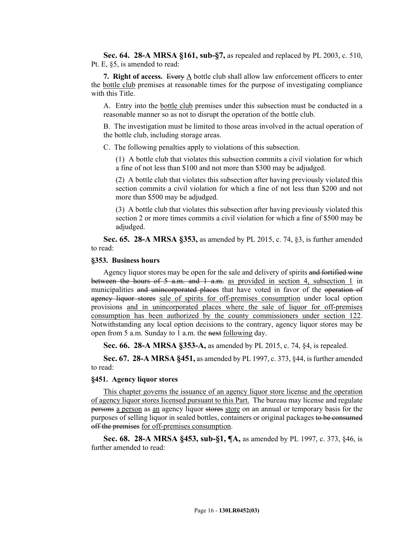**Sec. 64. 28-A MRSA §161, sub-§7,** as repealed and replaced by PL 2003, c. 510, Pt. E, §5, is amended to read:

**7. Right of access.** Every A bottle club shall allow law enforcement officers to enter the bottle club premises at reasonable times for the purpose of investigating compliance with this Title.

A. Entry into the bottle club premises under this subsection must be conducted in a reasonable manner so as not to disrupt the operation of the bottle club.

B. The investigation must be limited to those areas involved in the actual operation of the bottle club, including storage areas.

C. The following penalties apply to violations of this subsection.

(1) A bottle club that violates this subsection commits a civil violation for which a fine of not less than \$100 and not more than \$300 may be adjudged.

(2) A bottle club that violates this subsection after having previously violated this section commits a civil violation for which a fine of not less than \$200 and not more than \$500 may be adjudged.

(3) A bottle club that violates this subsection after having previously violated this section 2 or more times commits a civil violation for which a fine of \$500 may be adjudged.

**Sec. 65. 28-A MRSA §353,** as amended by PL 2015, c. 74, §3, is further amended to read:

#### **§353. Business hours**

Agency liquor stores may be open for the sale and delivery of spirits and fortified wine between the hours of 5 a.m. and 1 a.m. as provided in section 4, subsection 1 in municipalities and unincorporated places that have voted in favor of the operation of agency liquor stores sale of spirits for off-premises consumption under local option provisions and in unincorporated places where the sale of liquor for off-premises consumption has been authorized by the county commissioners under section 122. Notwithstanding any local option decisions to the contrary, agency liquor stores may be open from 5 a.m. Sunday to 1 a.m. the next following day.

**Sec. 66. 28-A MRSA §353-A,** as amended by PL 2015, c. 74, §4, is repealed.

**Sec. 67. 28-A MRSA §451,** as amended by PL 1997, c. 373, §44, is further amended to read:

## **§451. Agency liquor stores**

This chapter governs the issuance of an agency liquor store license and the operation of agency liquor stores licensed pursuant to this Part. The bureau may license and regulate persons a person as an agency liquor stores store on an annual or temporary basis for the purposes of selling liquor in sealed bottles, containers or original packages to be consumed off the premises for off-premises consumption.

**Sec. 68. 28-A MRSA §453, sub-§1, ¶A,** as amended by PL 1997, c. 373, §46, is further amended to read: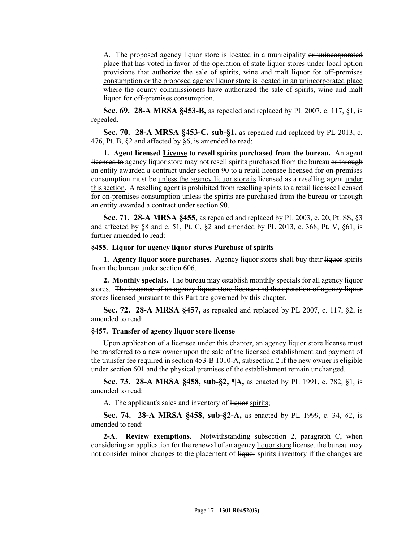A. The proposed agency liquor store is located in a municipality or unincorporated place that has voted in favor of the operation of state liquor stores under local option provisions that authorize the sale of spirits, wine and malt liquor for off-premises consumption or the proposed agency liquor store is located in an unincorporated place where the county commissioners have authorized the sale of spirits, wine and malt liquor for off-premises consumption.

**Sec. 69. 28-A MRSA §453-B,** as repealed and replaced by PL 2007, c. 117, §1, is repealed.

**Sec. 70. 28-A MRSA §453-C, sub-§1,** as repealed and replaced by PL 2013, c. 476, Pt. B, §2 and affected by §6, is amended to read:

**1. Agent licensed License to resell spirits purchased from the bureau.** An agent licensed to agency liquor store may not resell spirits purchased from the bureau or through an entity awarded a contract under section 90 to a retail licensee licensed for on-premises consumption must be unless the agency liquor store is licensed as a reselling agent under this section. A reselling agent is prohibited from reselling spirits to a retail licensee licensed for on-premises consumption unless the spirits are purchased from the bureau or through an entity awarded a contract under section 90.

**Sec. 71. 28-A MRSA §455,** as repealed and replaced by PL 2003, c. 20, Pt. SS, §3 and affected by  $\&$  8 and c. 51, Pt. C,  $\&$  2 and amended by PL 2013, c. 368, Pt. V,  $\&$  61, is further amended to read:

#### **§455. Liquor for agency liquor stores Purchase of spirits**

**1. Agency liquor store purchases.** Agency liquor stores shall buy their liquor spirits from the bureau under section 606.

**2. Monthly specials.** The bureau may establish monthly specials for all agency liquor stores. The issuance of an agency liquor store license and the operation of agency liquor stores licensed pursuant to this Part are governed by this chapter.

**Sec. 72. 28-A MRSA §457,** as repealed and replaced by PL 2007, c. 117, §2, is amended to read:

#### **§457. Transfer of agency liquor store license**

Upon application of a licensee under this chapter, an agency liquor store license must be transferred to a new owner upon the sale of the licensed establishment and payment of the transfer fee required in section  $453 - B1010 - A$ , subsection 2 if the new owner is eligible under section 601 and the physical premises of the establishment remain unchanged.

**Sec. 73. 28-A MRSA §458, sub-§2, ¶A,** as enacted by PL 1991, c. 782, §1, is amended to read:

A. The applicant's sales and inventory of liquor spirits;

**Sec. 74. 28-A MRSA §458, sub-§2-A,** as enacted by PL 1999, c. 34, §2, is amended to read:

**2-A. Review exemptions.** Notwithstanding subsection 2, paragraph C, when considering an application for the renewal of an agency liquor store license, the bureau may not consider minor changes to the placement of liquor spirits inventory if the changes are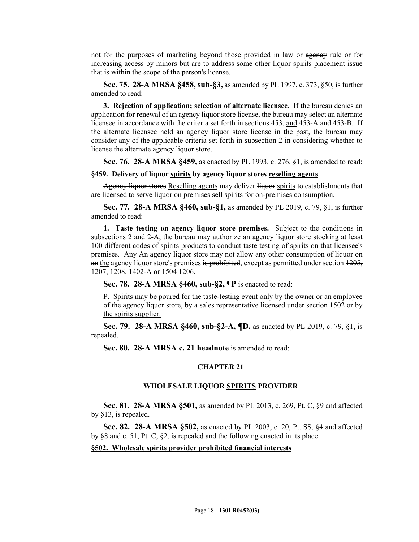not for the purposes of marketing beyond those provided in law or agency rule or for increasing access by minors but are to address some other liquor spirits placement issue that is within the scope of the person's license.

**Sec. 75. 28-A MRSA §458, sub-§3,** as amended by PL 1997, c. 373, §50, is further amended to read:

**3. Rejection of application; selection of alternate licensee.** If the bureau denies an application for renewal of an agency liquor store license, the bureau may select an alternate licensee in accordance with the criteria set forth in sections 453, and 453-A and 453-B. If the alternate licensee held an agency liquor store license in the past, the bureau may consider any of the applicable criteria set forth in subsection 2 in considering whether to license the alternate agency liquor store.

**Sec. 76. 28-A MRSA §459,** as enacted by PL 1993, c. 276, §1, is amended to read:

#### **§459. Delivery of liquor spirits by agency liquor stores reselling agents**

Agency liquor stores Reselling agents may deliver liquor spirits to establishments that are licensed to serve liquor on premises sell spirits for on-premises consumption.

**Sec. 77. 28-A MRSA §460, sub-§1,** as amended by PL 2019, c. 79, §1, is further amended to read:

**1. Taste testing on agency liquor store premises.** Subject to the conditions in subsections 2 and 2-A, the bureau may authorize an agency liquor store stocking at least 100 different codes of spirits products to conduct taste testing of spirits on that licensee's premises. Any An agency liquor store may not allow any other consumption of liquor on an the agency liquor store's premises is prohibited, except as permitted under section  $1205$ , 1207, 1208, 1402-A or 1504 1206.

**Sec. 78. 28-A MRSA §460, sub-§2, ¶P** is enacted to read:

P. Spirits may be poured for the taste-testing event only by the owner or an employee of the agency liquor store, by a sales representative licensed under section 1502 or by the spirits supplier.

**Sec. 79. 28-A MRSA §460, sub-§2-A, ¶D,** as enacted by PL 2019, c. 79, §1, is repealed.

**Sec. 80. 28-A MRSA c. 21 headnote** is amended to read:

#### **CHAPTER 21**

## **WHOLESALE LIQUOR SPIRITS PROVIDER**

**Sec. 81. 28-A MRSA §501,** as amended by PL 2013, c. 269, Pt. C, §9 and affected by §13, is repealed.

**Sec. 82. 28-A MRSA §502,** as enacted by PL 2003, c. 20, Pt. SS, §4 and affected by §8 and c. 51, Pt. C, §2, is repealed and the following enacted in its place:

## **§502. Wholesale spirits provider prohibited financial interests**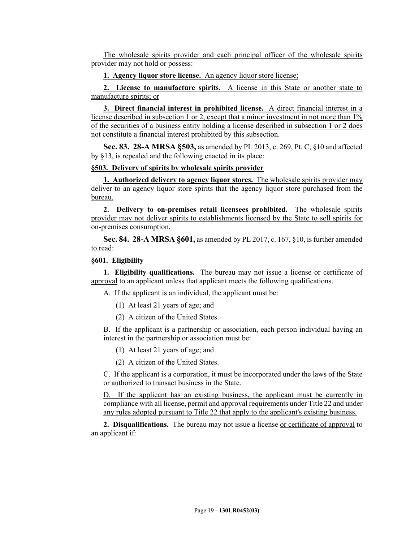The wholesale spirits provider and each principal officer of the wholesale spirits provider may not hold or possess:

**1. Agency liquor store license.** An agency liquor store license;

**2. License to manufacture spirits.** A license in this State or another state to manufacture spirits; or

**3. Direct financial interest in prohibited license.** A direct financial interest in a license described in subsection 1 or 2, except that a minor investment in not more than 1% of the securities of a business entity holding a license described in subsection 1 or 2 does not constitute a financial interest prohibited by this subsection.

**Sec. 83. 28-A MRSA §503,** as amended by PL 2013, c. 269, Pt. C, §10 and affected by §13, is repealed and the following enacted in its place:

#### **§503. Delivery of spirits by wholesale spirits provider**

**1. Authorized delivery to agency liquor stores.** The wholesale spirits provider may deliver to an agency liquor store spirits that the agency liquor store purchased from the bureau.

**2. Delivery to on-premises retail licensees prohibited.** The wholesale spirits provider may not deliver spirits to establishments licensed by the State to sell spirits for on-premises consumption.

**Sec. 84. 28-A MRSA §601,** as amended by PL 2017, c. 167, §10, is further amended to read:

#### **§601. Eligibility**

**1. Eligibility qualifications.** The bureau may not issue a license or certificate of approval to an applicant unless that applicant meets the following qualifications.

A. If the applicant is an individual, the applicant must be:

- (1) At least 21 years of age; and
- (2) A citizen of the United States.

B. If the applicant is a partnership or association, each person individual having an interest in the partnership or association must be:

- (1) At least 21 years of age; and
- (2) A citizen of the United States.

C. If the applicant is a corporation, it must be incorporated under the laws of the State or authorized to transact business in the State.

D. If the applicant has an existing business, the applicant must be currently in compliance with all license, permit and approval requirements under Title 22 and under any rules adopted pursuant to Title 22 that apply to the applicant's existing business.

**2. Disqualifications.** The bureau may not issue a license or certificate of approval to an applicant if: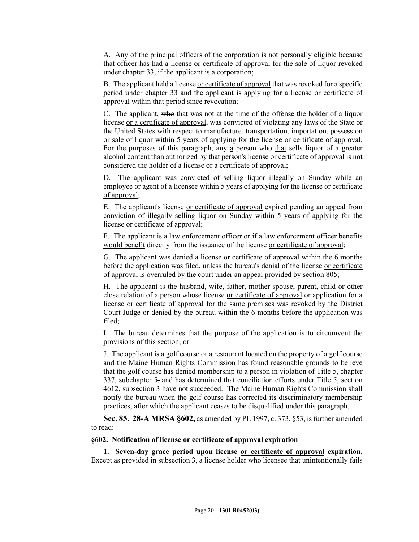A. Any of the principal officers of the corporation is not personally eligible because that officer has had a license or certificate of approval for the sale of liquor revoked under chapter 33, if the applicant is a corporation;

B. The applicant held a license or certificate of approval that was revoked for a specific period under chapter 33 and the applicant is applying for a license or certificate of approval within that period since revocation;

C. The applicant, who that was not at the time of the offense the holder of a liquor license or a certificate of approval, was convicted of violating any laws of the State or the United States with respect to manufacture, transportation, importation, possession or sale of liquor within 5 years of applying for the license or certificate of approval. For the purposes of this paragraph, any a person who that sells liquor of a greater alcohol content than authorized by that person's license or certificate of approval is not considered the holder of a license or a certificate of approval;

D. The applicant was convicted of selling liquor illegally on Sunday while an employee or agent of a licensee within 5 years of applying for the license or certificate of approval;

E. The applicant's license or certificate of approval expired pending an appeal from conviction of illegally selling liquor on Sunday within 5 years of applying for the license or certificate of approval;

F. The applicant is a law enforcement officer or if a law enforcement officer benefits would benefit directly from the issuance of the license or certificate of approval;

G. The applicant was denied a license or certificate of approval within the 6 months before the application was filed, unless the bureau's denial of the license or certificate of approval is overruled by the court under an appeal provided by section 805;

H. The applicant is the husband, wife, father, mother spouse, parent, child or other close relation of a person whose license or certificate of approval or application for a license or certificate of approval for the same premises was revoked by the District Court Judge or denied by the bureau within the 6 months before the application was filed;

I. The bureau determines that the purpose of the application is to circumvent the provisions of this section; or

J. The applicant is a golf course or a restaurant located on the property of a golf course and the Maine Human Rights Commission has found reasonable grounds to believe that the golf course has denied membership to a person in violation of Title 5, chapter 337, subchapter 5, and has determined that conciliation efforts under Title 5, section 4612, subsection 3 have not succeeded. The Maine Human Rights Commission shall notify the bureau when the golf course has corrected its discriminatory membership practices, after which the applicant ceases to be disqualified under this paragraph.

**Sec. 85. 28-A MRSA §602,** as amended by PL 1997, c. 373, §53, is further amended to read:

## **§602. Notification of license or certificate of approval expiration**

**1. Seven-day grace period upon license or certificate of approval expiration.** Except as provided in subsection 3, a license holder who licensee that unintentionally fails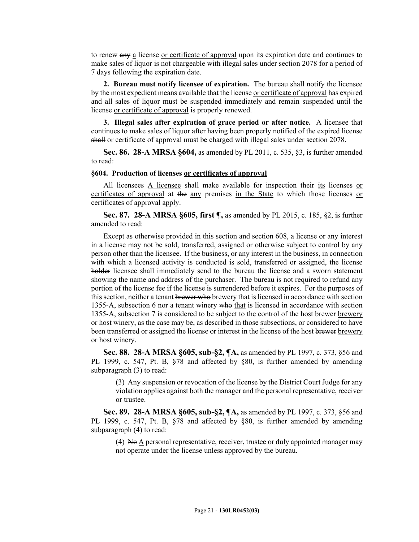to renew any a license or certificate of approval upon its expiration date and continues to make sales of liquor is not chargeable with illegal sales under section 2078 for a period of 7 days following the expiration date.

**2. Bureau must notify licensee of expiration.** The bureau shall notify the licensee by the most expedient means available that the license or certificate of approval has expired and all sales of liquor must be suspended immediately and remain suspended until the license or certificate of approval is properly renewed.

**3. Illegal sales after expiration of grace period or after notice.** A licensee that continues to make sales of liquor after having been properly notified of the expired license shall or certificate of approval must be charged with illegal sales under section 2078.

**Sec. 86. 28-A MRSA §604,** as amended by PL 2011, c. 535, §3, is further amended to read:

#### **§604. Production of licenses or certificates of approval**

All licensees A licensee shall make available for inspection their its licenses or certificates of approval at the any premises in the State to which those licenses or certificates of approval apply.

**Sec. 87. 28-A MRSA §605, first ¶,** as amended by PL 2015, c. 185, §2, is further amended to read:

Except as otherwise provided in this section and section 608, a license or any interest in a license may not be sold, transferred, assigned or otherwise subject to control by any person other than the licensee. If the business, or any interest in the business, in connection with which a licensed activity is conducted is sold, transferred or assigned, the license holder licensee shall immediately send to the bureau the license and a sworn statement showing the name and address of the purchaser. The bureau is not required to refund any portion of the license fee if the license is surrendered before it expires. For the purposes of this section, neither a tenant brewer who brewery that is licensed in accordance with section 1355-A, subsection 6 nor a tenant winery who that is licensed in accordance with section 1355-A, subsection 7 is considered to be subject to the control of the host brewer brewery or host winery, as the case may be, as described in those subsections, or considered to have been transferred or assigned the license or interest in the license of the host brewer brewery or host winery.

**Sec. 88. 28-A MRSA §605, sub-§2, ¶A,** as amended by PL 1997, c. 373, §56 and PL 1999, c. 547, Pt. B,  $\S 78$  and affected by  $\S 80$ , is further amended by amending subparagraph (3) to read:

(3) Any suspension or revocation of the license by the District Court  $\frac{1}{4}$ udge for any violation applies against both the manager and the personal representative, receiver or trustee.

**Sec. 89. 28-A MRSA §605, sub-§2, ¶A,** as amended by PL 1997, c. 373, §56 and PL 1999, c. 547, Pt. B, §78 and affected by §80, is further amended by amending subparagraph (4) to read:

(4) No A personal representative, receiver, trustee or duly appointed manager may not operate under the license unless approved by the bureau.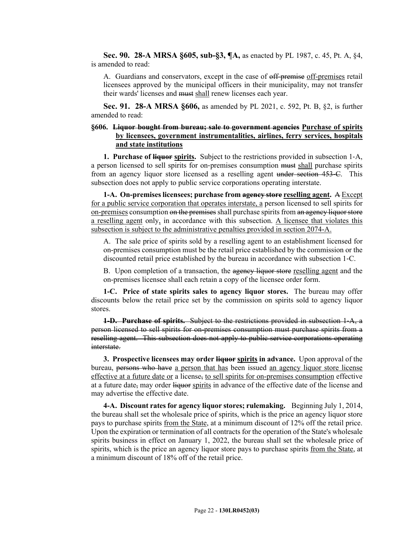**Sec. 90. 28-A MRSA §605, sub-§3, ¶A,** as enacted by PL 1987, c. 45, Pt. A, §4, is amended to read:

A. Guardians and conservators, except in the case of off-premise off-premises retail licensees approved by the municipal officers in their municipality, may not transfer their wards' licenses and must shall renew licenses each year.

**Sec. 91. 28-A MRSA §606,** as amended by PL 2021, c. 592, Pt. B, §2, is further amended to read:

## **§606. Liquor bought from bureau; sale to government agencies Purchase of spirits by licensees, government instrumentalities, airlines, ferry services, hospitals and state institutions**

**1. Purchase of liquor spirits.** Subject to the restrictions provided in subsection 1–A, a person licensed to sell spirits for on-premises consumption must shall purchase spirits from an agency liquor store licensed as a reselling agent under section 453‑C. This subsection does not apply to public service corporations operating interstate.

**1-A. On-premises licensees; purchase from agency store reselling agent.** A Except for a public service corporation that operates interstate, a person licensed to sell spirits for on-premises consumption on the premises shall purchase spirits from an agency liquor store a reselling agent only, in accordance with this subsection. A licensee that violates this subsection is subject to the administrative penalties provided in section 2074-A.

A. The sale price of spirits sold by a reselling agent to an establishment licensed for on-premises consumption must be the retail price established by the commission or the discounted retail price established by the bureau in accordance with subsection 1‑C.

B. Upon completion of a transaction, the agency liquor store reselling agent and the on-premises licensee shall each retain a copy of the licensee order form.

**1-C. Price of state spirits sales to agency liquor stores.** The bureau may offer discounts below the retail price set by the commission on spirits sold to agency liquor stores.

**1-D. Purchase of spirits.** Subject to the restrictions provided in subsection 1‑A, a person licensed to sell spirits for on-premises consumption must purchase spirits from a reselling agent. This subsection does not apply to public service corporations operating interstate.

**3. Prospective licensees may order liquor spirits in advance.** Upon approval of the bureau, persons who have a person that has been issued an agency liquor store license effective at a future date or a license, to sell spirits for on-premises consumption effective at a future date, may order liquor spirits in advance of the effective date of the license and may advertise the effective date.

**4-A. Discount rates for agency liquor stores; rulemaking.** Beginning July 1, 2014, the bureau shall set the wholesale price of spirits, which is the price an agency liquor store pays to purchase spirits from the State, at a minimum discount of 12% off the retail price. Upon the expiration or termination of all contracts for the operation of the State's wholesale spirits business in effect on January 1, 2022, the bureau shall set the wholesale price of spirits, which is the price an agency liquor store pays to purchase spirits from the State, at a minimum discount of 18% off of the retail price.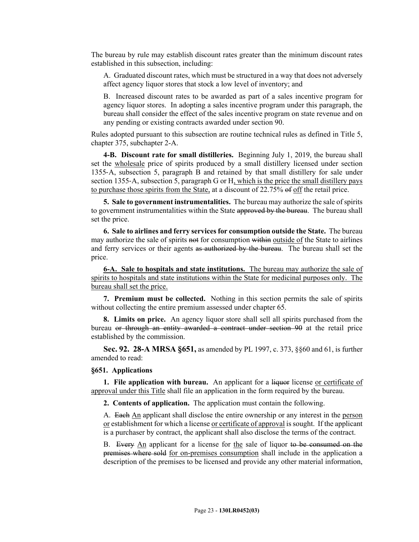The bureau by rule may establish discount rates greater than the minimum discount rates established in this subsection, including:

A. Graduated discount rates, which must be structured in a way that does not adversely affect agency liquor stores that stock a low level of inventory; and

B. Increased discount rates to be awarded as part of a sales incentive program for agency liquor stores. In adopting a sales incentive program under this paragraph, the bureau shall consider the effect of the sales incentive program on state revenue and on any pending or existing contracts awarded under section 90.

Rules adopted pursuant to this subsection are routine technical rules as defined in Title 5, chapter 375, subchapter 2-A.

**4-B. Discount rate for small distilleries.** Beginning July 1, 2019, the bureau shall set the wholesale price of spirits produced by a small distillery licensed under section 1355‑A, subsection 5, paragraph B and retained by that small distillery for sale under section 1355-A, subsection 5, paragraph G or H, which is the price the small distillery pays to purchase those spirits from the State, at a discount of 22.75% of off the retail price.

**5. Sale to government instrumentalities.** The bureau may authorize the sale of spirits to government instrumentalities within the State approved by the bureau. The bureau shall set the price.

**6. Sale to airlines and ferry services for consumption outside the State.** The bureau may authorize the sale of spirits not for consumption within outside of the State to airlines and ferry services or their agents as authorized by the bureau. The bureau shall set the price.

**6-A. Sale to hospitals and state institutions.** The bureau may authorize the sale of spirits to hospitals and state institutions within the State for medicinal purposes only. The bureau shall set the price.

**7. Premium must be collected.** Nothing in this section permits the sale of spirits without collecting the entire premium assessed under chapter 65.

**8. Limits on price.** An agency liquor store shall sell all spirits purchased from the bureau or through an entity awarded a contract under section 90 at the retail price established by the commission.

**Sec. 92. 28-A MRSA §651,** as amended by PL 1997, c. 373, §§60 and 61, is further amended to read:

#### **§651. Applications**

**1. File application with bureau.** An applicant for a liquor license or certificate of approval under this Title shall file an application in the form required by the bureau.

**2. Contents of application.** The application must contain the following.

A. Each An applicant shall disclose the entire ownership or any interest in the person or establishment for which a license or certificate of approval is sought. If the applicant is a purchaser by contract, the applicant shall also disclose the terms of the contract.

B. Every An applicant for a license for the sale of liquor to be consumed on the premises where sold for on-premises consumption shall include in the application a description of the premises to be licensed and provide any other material information,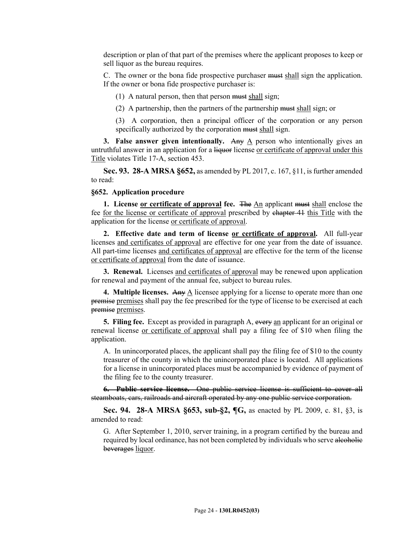description or plan of that part of the premises where the applicant proposes to keep or sell liquor as the bureau requires.

C. The owner or the bona fide prospective purchaser must shall sign the application. If the owner or bona fide prospective purchaser is:

(1) A natural person, then that person must shall sign;

(2) A partnership, then the partners of the partnership must shall sign; or

(3) A corporation, then a principal officer of the corporation or any person specifically authorized by the corporation must shall sign.

**3. False answer given intentionally.** Any  $\overline{A}$  person who intentionally gives an untruthful answer in an application for a liquor license or certificate of approval under this Title violates Title 17-A, section 453.

**Sec. 93. 28-A MRSA §652,** as amended by PL 2017, c. 167, §11, is further amended to read:

#### **§652. Application procedure**

**1. License <u>or certificate of approval</u> fee.** The An applicant must shall enclose the fee for the license or certificate of approval prescribed by chapter 41 this Title with the application for the license or certificate of approval.

**2. Effective date and term of license or certificate of approval.** All full-year licenses and certificates of approval are effective for one year from the date of issuance. All part-time licenses and certificates of approval are effective for the term of the license or certificate of approval from the date of issuance.

**3. Renewal.** Licenses and certificates of approval may be renewed upon application for renewal and payment of the annual fee, subject to bureau rules.

**4. Multiple licenses.** Any A licensee applying for a license to operate more than one premise premises shall pay the fee prescribed for the type of license to be exercised at each premise premises.

**5. Filing fee.** Except as provided in paragraph A, every an applicant for an original or renewal license or certificate of approval shall pay a filing fee of \$10 when filing the application.

A. In unincorporated places, the applicant shall pay the filing fee of \$10 to the county treasurer of the county in which the unincorporated place is located. All applications for a license in unincorporated places must be accompanied by evidence of payment of the filing fee to the county treasurer.

**6. Public service license.** One public service license is sufficient to cover all steamboats, cars, railroads and aircraft operated by any one public service corporation.

**Sec. 94. 28-A MRSA §653, sub-§2, ¶G,** as enacted by PL 2009, c. 81, §3, is amended to read:

G. After September 1, 2010, server training, in a program certified by the bureau and required by local ordinance, has not been completed by individuals who serve alcoholic beverages liquor.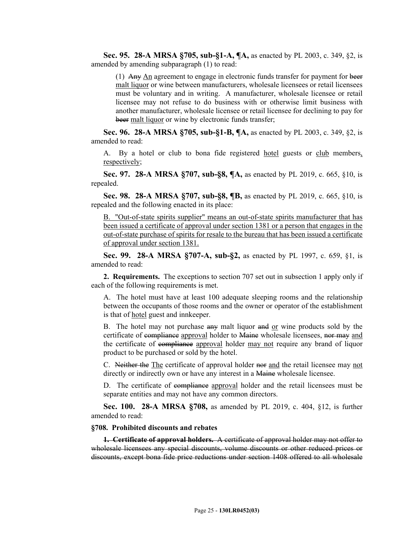**Sec. 95. 28-A MRSA §705, sub-§1-A, ¶A,** as enacted by PL 2003, c. 349, §2, is amended by amending subparagraph (1) to read:

(1) Any An agreement to engage in electronic funds transfer for payment for beer malt liquor or wine between manufacturers, wholesale licensees or retail licensees must be voluntary and in writing. A manufacturer, wholesale licensee or retail licensee may not refuse to do business with or otherwise limit business with another manufacturer, wholesale licensee or retail licensee for declining to pay for beer malt liquor or wine by electronic funds transfer;

**Sec. 96. 28-A MRSA §705, sub-§1-B, ¶A,** as enacted by PL 2003, c. 349, §2, is amended to read:

A. By a hotel or club to bona fide registered hotel guests or club members, respectively;

**Sec. 97. 28-A MRSA §707, sub-§8, ¶A,** as enacted by PL 2019, c. 665, §10, is repealed.

**Sec. 98. 28-A MRSA §707, sub-§8, ¶B,** as enacted by PL 2019, c. 665, §10, is repealed and the following enacted in its place:

B. "Out-of-state spirits supplier" means an out-of-state spirits manufacturer that has been issued a certificate of approval under section 1381 or a person that engages in the out-of-state purchase of spirits for resale to the bureau that has been issued a certificate of approval under section 1381.

**Sec. 99. 28-A MRSA §707-A, sub-§2,** as enacted by PL 1997, c. 659, §1, is amended to read:

**2. Requirements.** The exceptions to section 707 set out in subsection 1 apply only if each of the following requirements is met.

A. The hotel must have at least 100 adequate sleeping rooms and the relationship between the occupants of those rooms and the owner or operator of the establishment is that of hotel guest and innkeeper.

B. The hotel may not purchase any malt liquor and or wine products sold by the certificate of compliance approval holder to Maine wholesale licensees, nor may and the certificate of compliance approval holder may not require any brand of liquor product to be purchased or sold by the hotel.

C. Neither the The certificate of approval holder nor and the retail licensee may not directly or indirectly own or have any interest in a Maine wholesale licensee.

D. The certificate of compliance approval holder and the retail licensees must be separate entities and may not have any common directors.

**Sec. 100. 28-A MRSA §708,** as amended by PL 2019, c. 404, §12, is further amended to read:

**§708. Prohibited discounts and rebates**

**1. Certificate of approval holders.** A certificate of approval holder may not offer to wholesale licensees any special discounts, volume discounts or other reduced prices or discounts, except bona fide price reductions under section 1408 offered to all wholesale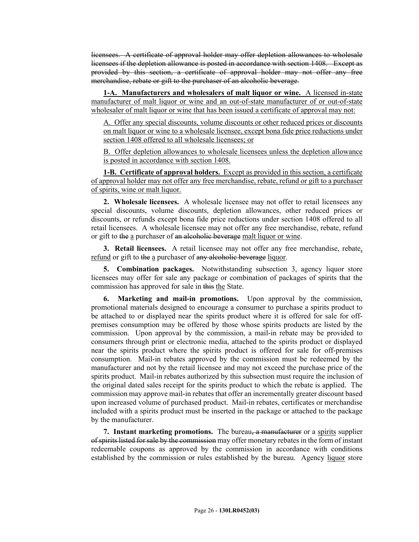licensees. A certificate of approval holder may offer depletion allowances to wholesale licensees if the depletion allowance is posted in accordance with section 1408. Except as provided by this section, a certificate of approval holder may not offer any free merchandise, rebate or gift to the purchaser of an alcoholic beverage.

**1-A. Manufacturers and wholesalers of malt liquor or wine.** A licensed in-state manufacturer of malt liquor or wine and an out-of-state manufacturer of or out-of-state wholesaler of malt liquor or wine that has been issued a certificate of approval may not:

A. Offer any special discounts, volume discounts or other reduced prices or discounts on malt liquor or wine to a wholesale licensee, except bona fide price reductions under section 1408 offered to all wholesale licensees; or

B. Offer depletion allowances to wholesale licensees unless the depletion allowance is posted in accordance with section 1408.

**1-B. Certificate of approval holders.** Except as provided in this section, a certificate of approval holder may not offer any free merchandise, rebate, refund or gift to a purchaser of spirits, wine or malt liquor.

**2. Wholesale licensees.** A wholesale licensee may not offer to retail licensees any special discounts, volume discounts, depletion allowances, other reduced prices or discounts, or refunds except bona fide price reductions under section 1408 offered to all retail licensees. A wholesale licensee may not offer any free merchandise, rebate, refund or gift to the a purchaser of an alcoholic beverage malt liquor or wine.

**3. Retail licensees.** A retail licensee may not offer any free merchandise, rebate, refund or gift to the a purchaser of any alcoholic beverage liquor.

**5. Combination packages.** Notwithstanding subsection 3, agency liquor store licensees may offer for sale any package or combination of packages of spirits that the commission has approved for sale in this the State.

**6. Marketing and mail-in promotions.** Upon approval by the commission, promotional materials designed to encourage a consumer to purchase a spirits product to be attached to or displayed near the spirits product where it is offered for sale for offpremises consumption may be offered by those whose spirits products are listed by the commission. Upon approval by the commission, a mail-in rebate may be provided to consumers through print or electronic media, attached to the spirits product or displayed near the spirits product where the spirits product is offered for sale for off-premises consumption. Mail-in rebates approved by the commission must be redeemed by the manufacturer and not by the retail licensee and may not exceed the purchase price of the spirits product. Mail-in rebates authorized by this subsection must require the inclusion of the original dated sales receipt for the spirits product to which the rebate is applied. The commission may approve mail-in rebates that offer an incrementally greater discount based upon increased volume of purchased product. Mail-in rebates, certificates or merchandise included with a spirits product must be inserted in the package or attached to the package by the manufacturer.

**7. Instant marketing promotions.** The bureau, a manufacturer or a spirits supplier of spirits listed for sale by the commission may offer monetary rebates in the form of instant redeemable coupons as approved by the commission in accordance with conditions established by the commission or rules established by the bureau. Agency liquor store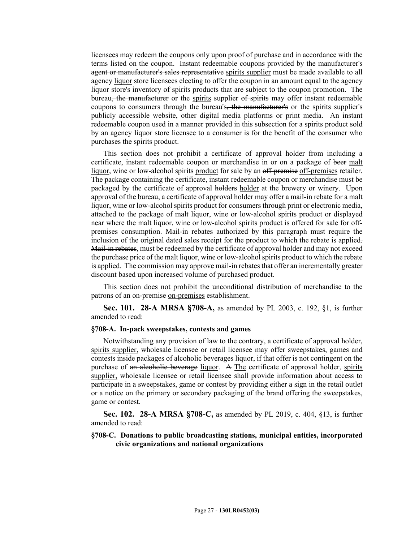licensees may redeem the coupons only upon proof of purchase and in accordance with the terms listed on the coupon. Instant redeemable coupons provided by the manufacturer's agent or manufacturer's sales representative spirits supplier must be made available to all agency liquor store licensees electing to offer the coupon in an amount equal to the agency liquor store's inventory of spirits products that are subject to the coupon promotion. The bureau, the manufacturer or the spirits supplier of spirits may offer instant redeemable coupons to consumers through the bureau's, the manufacturer's or the spirits supplier's publicly accessible website, other digital media platforms or print media. An instant redeemable coupon used in a manner provided in this subsection for a spirits product sold by an agency liquor store licensee to a consumer is for the benefit of the consumer who purchases the spirits product.

This section does not prohibit a certificate of approval holder from including a certificate, instant redeemable coupon or merchandise in or on a package of beer malt liquor, wine or low-alcohol spirits product for sale by an off-premises off-premises retailer. The package containing the certificate, instant redeemable coupon or merchandise must be packaged by the certificate of approval holders holder at the brewery or winery. Upon approval of the bureau, a certificate of approval holder may offer a mail-in rebate for a malt liquor, wine or low-alcohol spirits product for consumers through print or electronic media, attached to the package of malt liquor, wine or low-alcohol spirits product or displayed near where the malt liquor, wine or low-alcohol spirits product is offered for sale for offpremises consumption. Mail-in rebates authorized by this paragraph must require the inclusion of the original dated sales receipt for the product to which the rebate is applied. Mail-in rebates, must be redeemed by the certificate of approval holder and may not exceed the purchase price of the malt liquor, wine or low-alcohol spirits product to which the rebate is applied. The commission may approve mail-in rebates that offer an incrementally greater discount based upon increased volume of purchased product.

This section does not prohibit the unconditional distribution of merchandise to the patrons of an on-premise on-premises establishment.

**Sec. 101. 28-A MRSA §708-A,** as amended by PL 2003, c. 192, §1, is further amended to read:

#### **§708-A. In-pack sweepstakes, contests and games**

Notwithstanding any provision of law to the contrary, a certificate of approval holder, spirits supplier, wholesale licensee or retail licensee may offer sweepstakes, games and contests inside packages of alcoholic beverages liquor, if that offer is not contingent on the purchase of an alcoholic beverage liquor. A The certificate of approval holder, spirits supplier, wholesale licensee or retail licensee shall provide information about access to participate in a sweepstakes, game or contest by providing either a sign in the retail outlet or a notice on the primary or secondary packaging of the brand offering the sweepstakes, game or contest.

**Sec. 102. 28-A MRSA §708-C,** as amended by PL 2019, c. 404, §13, is further amended to read:

## **§708-C. Donations to public broadcasting stations, municipal entities, incorporated civic organizations and national organizations**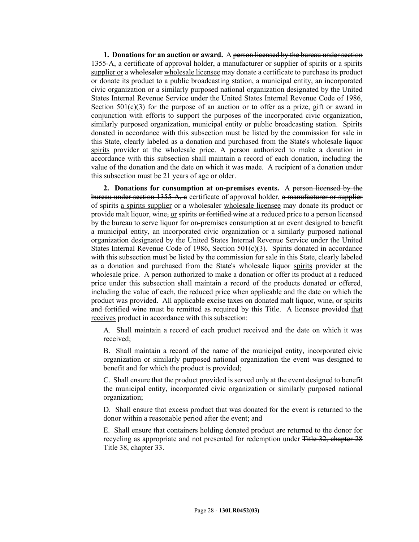**1. Donations for an auction or award.** A person licensed by the bureau under section 1355-A, a certificate of approval holder, a manufacturer or supplier of spirits or a spirits supplier or a wholesaler wholesale licensee may donate a certificate to purchase its product or donate its product to a public broadcasting station, a municipal entity, an incorporated civic organization or a similarly purposed national organization designated by the United States Internal Revenue Service under the United States Internal Revenue Code of 1986, Section  $501(c)(3)$  for the purpose of an auction or to offer as a prize, gift or award in conjunction with efforts to support the purposes of the incorporated civic organization, similarly purposed organization, municipal entity or public broadcasting station. Spirits donated in accordance with this subsection must be listed by the commission for sale in this State, clearly labeled as a donation and purchased from the State's wholesale liquor spirits provider at the wholesale price. A person authorized to make a donation in accordance with this subsection shall maintain a record of each donation, including the value of the donation and the date on which it was made. A recipient of a donation under this subsection must be 21 years of age or older.

**2. Donations for consumption at on-premises events.** A person licensed by the bureau under section 1355-A, a certificate of approval holder, a manufacturer or supplier of spirits a spirits supplier or a wholesaler wholesale licensee may donate its product or provide malt liquor, wine, or spirits or fortified wine at a reduced price to a person licensed by the bureau to serve liquor for on-premises consumption at an event designed to benefit a municipal entity, an incorporated civic organization or a similarly purposed national organization designated by the United States Internal Revenue Service under the United States Internal Revenue Code of 1986, Section 501(c)(3). Spirits donated in accordance with this subsection must be listed by the commission for sale in this State, clearly labeled as a donation and purchased from the State's wholesale liquor spirits provider at the wholesale price. A person authorized to make a donation or offer its product at a reduced price under this subsection shall maintain a record of the products donated or offered, including the value of each, the reduced price when applicable and the date on which the product was provided. All applicable excise taxes on donated malt liquor, wine, or spirits and fortified wine must be remitted as required by this Title. A licensee provided that receives product in accordance with this subsection:

A. Shall maintain a record of each product received and the date on which it was received;

B. Shall maintain a record of the name of the municipal entity, incorporated civic organization or similarly purposed national organization the event was designed to benefit and for which the product is provided;

C. Shall ensure that the product provided is served only at the event designed to benefit the municipal entity, incorporated civic organization or similarly purposed national organization;

D. Shall ensure that excess product that was donated for the event is returned to the donor within a reasonable period after the event; and

E. Shall ensure that containers holding donated product are returned to the donor for recycling as appropriate and not presented for redemption under Title 32, chapter 28 Title 38, chapter 33.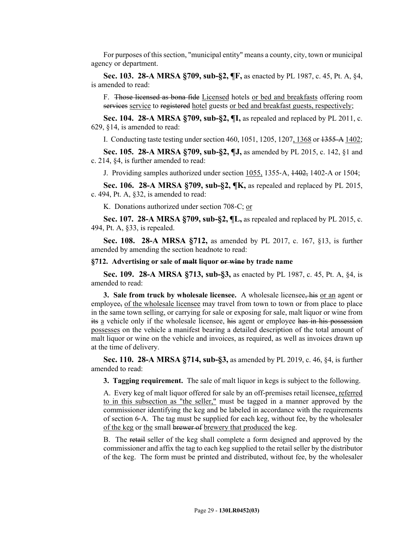For purposes of this section, "municipal entity" means a county, city, town or municipal agency or department.

**Sec. 103. 28-A MRSA §709, sub-§2, ¶F,** as enacted by PL 1987, c. 45, Pt. A, §4, is amended to read:

F. Those licensed as bona fide Licensed hotels or bed and breakfasts offering room services service to registered hotel guests or bed and breakfast guests, respectively;

**Sec. 104. 28-A MRSA §709, sub-§2, ¶I,** as repealed and replaced by PL 2011, c. 629, §14, is amended to read:

I. Conducting taste testing under section 460, 1051, 1205, 1207, 1368 or 1355-A 1402;

**Sec. 105. 28-A MRSA §709, sub-§2, ¶J,** as amended by PL 2015, c. 142, §1 and c. 214, §4, is further amended to read:

J. Providing samples authorized under section 1055, 1355‑A, 1402, 1402-A or 1504;

**Sec. 106. 28-A MRSA §709, sub-§2, ¶K,** as repealed and replaced by PL 2015, c. 494, Pt. A, §32, is amended to read:

K. Donations authorized under section 708‑C; or

**Sec. 107. 28-A MRSA §709, sub-§2, ¶L,** as repealed and replaced by PL 2015, c. 494, Pt. A, §33, is repealed.

**Sec. 108. 28-A MRSA §712,** as amended by PL 2017, c. 167, §13, is further amended by amending the section headnote to read:

#### **§712. Advertising or sale of malt liquor or wine by trade name**

**Sec. 109. 28-A MRSA §713, sub-§3,** as enacted by PL 1987, c. 45, Pt. A, §4, is amended to read:

**3. Sale from truck by wholesale licensee.** A wholesale licensee, his <u>or an</u> agent or employee, of the wholesale licensee may travel from town to town or from place to place in the same town selling, or carrying for sale or exposing for sale, malt liquor or wine from its a vehicle only if the wholesale licensee, his agent or employee has in his possession possesses on the vehicle a manifest bearing a detailed description of the total amount of malt liquor or wine on the vehicle and invoices, as required, as well as invoices drawn up at the time of delivery.

**Sec. 110. 28-A MRSA §714, sub-§3,** as amended by PL 2019, c. 46, §4, is further amended to read:

**3. Tagging requirement.** The sale of malt liquor in kegs is subject to the following.

A. Every keg of malt liquor offered for sale by an off-premises retail licensee, referred to in this subsection as "the seller," must be tagged in a manner approved by the commissioner identifying the keg and be labeled in accordance with the requirements of section 6‑A. The tag must be supplied for each keg, without fee, by the wholesaler of the keg or the small brewer of brewery that produced the keg.

B. The retail seller of the keg shall complete a form designed and approved by the commissioner and affix the tag to each keg supplied to the retail seller by the distributor of the keg. The form must be printed and distributed, without fee, by the wholesaler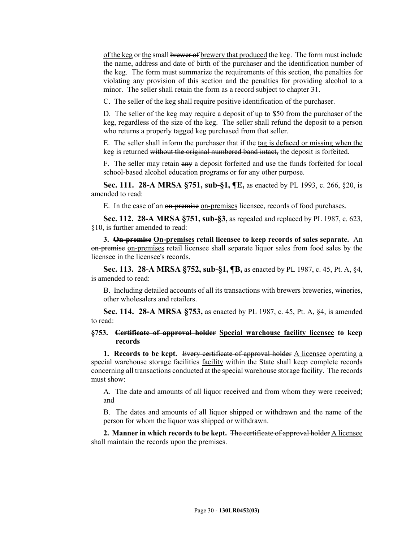of the keg or the small brewer of brewery that produced the keg. The form must include the name, address and date of birth of the purchaser and the identification number of the keg. The form must summarize the requirements of this section, the penalties for violating any provision of this section and the penalties for providing alcohol to a minor. The seller shall retain the form as a record subject to chapter 31.

C. The seller of the keg shall require positive identification of the purchaser.

D. The seller of the keg may require a deposit of up to \$50 from the purchaser of the keg, regardless of the size of the keg. The seller shall refund the deposit to a person who returns a properly tagged keg purchased from that seller.

E. The seller shall inform the purchaser that if the tag is defaced or missing when the keg is returned without the original numbered band intact, the deposit is forfeited.

F. The seller may retain any a deposit forfeited and use the funds forfeited for local school-based alcohol education programs or for any other purpose.

**Sec. 111. 28-A MRSA §751, sub-§1, ¶E,** as enacted by PL 1993, c. 266, §20, is amended to read:

E. In the case of an on-premise on-premises licensee, records of food purchases.

**Sec. 112. 28-A MRSA §751, sub-§3,** as repealed and replaced by PL 1987, c. 623, §10, is further amended to read:

**3. On-premise On-premises retail licensee to keep records of sales separate.** An on-premise on-premises retail licensee shall separate liquor sales from food sales by the licensee in the licensee's records.

**Sec. 113. 28-A MRSA §752, sub-§1, ¶B,** as enacted by PL 1987, c. 45, Pt. A, §4, is amended to read:

B. Including detailed accounts of all its transactions with brewers breweries, wineries, other wholesalers and retailers.

**Sec. 114. 28-A MRSA §753,** as enacted by PL 1987, c. 45, Pt. A, §4, is amended to read:

## **§753. Certificate of approval holder Special warehouse facility licensee to keep records**

**1. Records to be kept.** Every certificate of approval holder A licensee operating a special warehouse storage facilities facility within the State shall keep complete records concerning all transactions conducted at the special warehouse storage facility. The records must show:

A. The date and amounts of all liquor received and from whom they were received; and

B. The dates and amounts of all liquor shipped or withdrawn and the name of the person for whom the liquor was shipped or withdrawn.

**2. Manner in which records to be kept.** The certificate of approval holder A licensee shall maintain the records upon the premises.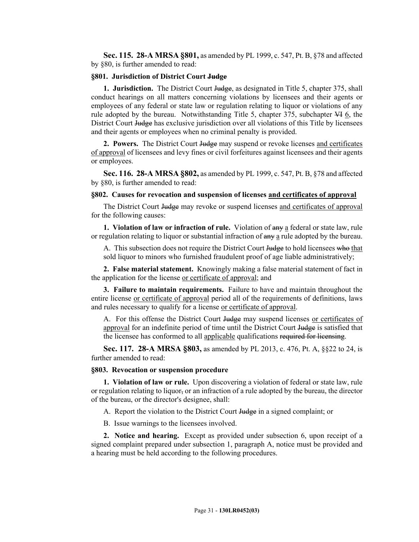**Sec. 115. 28-A MRSA §801,** as amended by PL 1999, c. 547, Pt. B, §78 and affected by §80, is further amended to read:

#### **§801. Jurisdiction of District Court Judge**

**1. Jurisdiction.** The District Court Judge, as designated in Title 5, chapter 375, shall conduct hearings on all matters concerning violations by licensees and their agents or employees of any federal or state law or regulation relating to liquor or violations of any rule adopted by the bureau. Notwithstanding Title 5, chapter 375, subchapter VI 6, the District Court Judge has exclusive jurisdiction over all violations of this Title by licensees and their agents or employees when no criminal penalty is provided.

**2. Powers.** The District Court Judge may suspend or revoke licenses and certificates of approval of licensees and levy fines or civil forfeitures against licensees and their agents or employees.

**Sec. 116. 28-A MRSA §802,** as amended by PL 1999, c. 547, Pt. B, §78 and affected by §80, is further amended to read:

#### **§802. Causes for revocation and suspension of licenses and certificates of approval**

The District Court Judge may revoke or suspend licenses and certificates of approval for the following causes:

**1. Violation of law or infraction of rule.** Violation of any a federal or state law, rule or regulation relating to liquor or substantial infraction of any a rule adopted by the bureau.

A. This subsection does not require the District Court Judge to hold licensees who that sold liquor to minors who furnished fraudulent proof of age liable administratively;

**2. False material statement.** Knowingly making a false material statement of fact in the application for the license or certificate of approval; and

**3. Failure to maintain requirements.** Failure to have and maintain throughout the entire license or certificate of approval period all of the requirements of definitions, laws and rules necessary to qualify for a license or certificate of approval.

A. For this offense the District Court Judge may suspend licenses or certificates of approval for an indefinite period of time until the District Court Judge is satisfied that the licensee has conformed to all applicable qualifications required for licensing.

**Sec. 117. 28-A MRSA §803,** as amended by PL 2013, c. 476, Pt. A, §§22 to 24, is further amended to read:

#### **§803. Revocation or suspension procedure**

**1. Violation of law or rule.** Upon discovering a violation of federal or state law, rule or regulation relating to liquor, or an infraction of a rule adopted by the bureau, the director of the bureau, or the director's designee, shall:

A. Report the violation to the District Court Judge in a signed complaint; or

B. Issue warnings to the licensees involved.

**2. Notice and hearing.** Except as provided under subsection 6, upon receipt of a signed complaint prepared under subsection 1, paragraph A, notice must be provided and a hearing must be held according to the following procedures.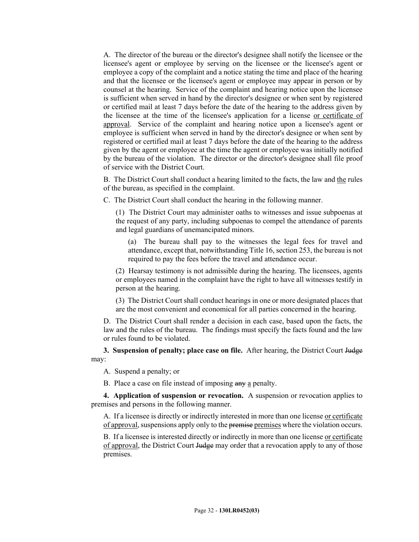A. The director of the bureau or the director's designee shall notify the licensee or the licensee's agent or employee by serving on the licensee or the licensee's agent or employee a copy of the complaint and a notice stating the time and place of the hearing and that the licensee or the licensee's agent or employee may appear in person or by counsel at the hearing. Service of the complaint and hearing notice upon the licensee is sufficient when served in hand by the director's designee or when sent by registered or certified mail at least 7 days before the date of the hearing to the address given by the licensee at the time of the licensee's application for a license or certificate of approval. Service of the complaint and hearing notice upon a licensee's agent or employee is sufficient when served in hand by the director's designee or when sent by registered or certified mail at least 7 days before the date of the hearing to the address given by the agent or employee at the time the agent or employee was initially notified by the bureau of the violation. The director or the director's designee shall file proof of service with the District Court.

B. The District Court shall conduct a hearing limited to the facts, the law and the rules of the bureau, as specified in the complaint.

C. The District Court shall conduct the hearing in the following manner.

(1) The District Court may administer oaths to witnesses and issue subpoenas at the request of any party, including subpoenas to compel the attendance of parents and legal guardians of unemancipated minors.

(a) The bureau shall pay to the witnesses the legal fees for travel and attendance, except that, notwithstanding Title 16, section 253, the bureau is not required to pay the fees before the travel and attendance occur.

(2) Hearsay testimony is not admissible during the hearing. The licensees, agents or employees named in the complaint have the right to have all witnesses testify in person at the hearing.

(3) The District Court shall conduct hearings in one or more designated places that are the most convenient and economical for all parties concerned in the hearing.

D. The District Court shall render a decision in each case, based upon the facts, the law and the rules of the bureau. The findings must specify the facts found and the law or rules found to be violated.

**3. Suspension of penalty; place case on file.** After hearing, the District Court Judge may:

A. Suspend a penalty; or

B. Place a case on file instead of imposing any a penalty.

**4. Application of suspension or revocation.** A suspension or revocation applies to premises and persons in the following manner.

A. If a licensee is directly or indirectly interested in more than one license or certificate of approval, suspensions apply only to the premise premises where the violation occurs.

B. If a licensee is interested directly or indirectly in more than one license or certificate of approval, the District Court Judge may order that a revocation apply to any of those premises.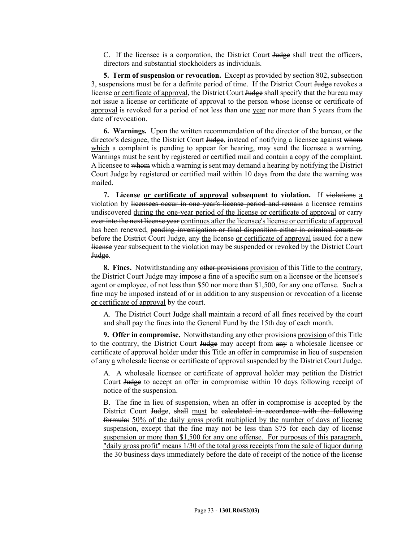C. If the licensee is a corporation, the District Court Judge shall treat the officers, directors and substantial stockholders as individuals.

**5. Term of suspension or revocation.** Except as provided by section 802, subsection 3, suspensions must be for a definite period of time. If the District Court Judge revokes a license or certificate of approval, the District Court Judge shall specify that the bureau may not issue a license or certificate of approval to the person whose license or certificate of approval is revoked for a period of not less than one year nor more than 5 years from the date of revocation.

**6. Warnings.** Upon the written recommendation of the director of the bureau, or the director's designee, the District Court Judge, instead of notifying a licensee against whom which a complaint is pending to appear for hearing, may send the licensee a warning. Warnings must be sent by registered or certified mail and contain a copy of the complaint. A licensee to whom which a warning is sent may demand a hearing by notifying the District Court Judge by registered or certified mail within 10 days from the date the warning was mailed.

**7. License or certificate of approval subsequent to violation.** If violations a violation by licensees occur in one year's license period and remain a licensee remains undiscovered during the one-year period of the license or certificate of approval or earry over into the next license year continues after the licensee's license or certificate of approval has been renewed, pending investigation or final disposition either in criminal courts or before the District Court Judge, any the license or certificate of approval issued for a new license year subsequent to the violation may be suspended or revoked by the District Court Judge.

**8. Fines.** Notwithstanding any other provisions provision of this Title to the contrary, the District Court Judge may impose a fine of a specific sum on a licensee or the licensee's agent or employee, of not less than \$50 nor more than \$1,500, for any one offense. Such a fine may be imposed instead of or in addition to any suspension or revocation of a license or certificate of approval by the court.

A. The District Court Judge shall maintain a record of all fines received by the court and shall pay the fines into the General Fund by the 15th day of each month.

**9. Offer in compromise.** Notwithstanding any other provisions provision of this Title to the contrary, the District Court Judge may accept from any a wholesale licensee or certificate of approval holder under this Title an offer in compromise in lieu of suspension of any a wholesale license or certificate of approval suspended by the District Court Judge.

A. A wholesale licensee or certificate of approval holder may petition the District Court Judge to accept an offer in compromise within 10 days following receipt of notice of the suspension.

B. The fine in lieu of suspension, when an offer in compromise is accepted by the District Court Judge, shall must be calculated in accordance with the following formula: 50% of the daily gross profit multiplied by the number of days of license suspension, except that the fine may not be less than \$75 for each day of license suspension or more than \$1,500 for any one offense. For purposes of this paragraph, "daily gross profit" means 1/30 of the total gross receipts from the sale of liquor during the 30 business days immediately before the date of receipt of the notice of the license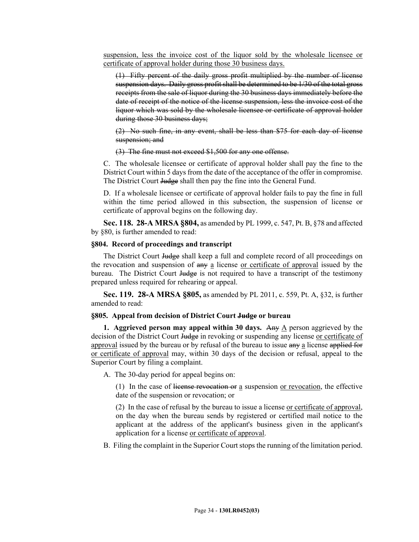suspension, less the invoice cost of the liquor sold by the wholesale licensee or certificate of approval holder during those 30 business days.

(1) Fifty percent of the daily gross profit multiplied by the number of license suspension days. Daily gross profit shall be determined to be 1/30 of the total gross receipts from the sale of liquor during the 30 business days immediately before the date of receipt of the notice of the license suspension, less the invoice cost of the liquor which was sold by the wholesale licensee or certificate of approval holder during those 30 business days;

(2) No such fine, in any event, shall be less than \$75 for each day of license suspension; and

(3) The fine must not exceed \$1,500 for any one offense.

C. The wholesale licensee or certificate of approval holder shall pay the fine to the District Court within 5 days from the date of the acceptance of the offer in compromise. The District Court Judge shall then pay the fine into the General Fund.

D. If a wholesale licensee or certificate of approval holder fails to pay the fine in full within the time period allowed in this subsection, the suspension of license or certificate of approval begins on the following day.

**Sec. 118. 28-A MRSA §804,** as amended by PL 1999, c. 547, Pt. B, §78 and affected by §80, is further amended to read:

#### **§804. Record of proceedings and transcript**

The District Court Judge shall keep a full and complete record of all proceedings on the revocation and suspension of any a license or certificate of approval issued by the bureau. The District Court Judge is not required to have a transcript of the testimony prepared unless required for rehearing or appeal.

**Sec. 119. 28-A MRSA §805,** as amended by PL 2011, c. 559, Pt. A, §32, is further amended to read:

#### **§805. Appeal from decision of District Court Judge or bureau**

**1. Aggrieved person may appeal within 30 days.** Any A person aggrieved by the decision of the District Court Judge in revoking or suspending any license or certificate of approval issued by the bureau or by refusal of the bureau to issue any a license applied for or certificate of approval may, within 30 days of the decision or refusal, appeal to the Superior Court by filing a complaint.

A. The 30-day period for appeal begins on:

(1) In the case of license revocation or  $\underline{a}$  suspension or revocation, the effective date of the suspension or revocation; or

(2) In the case of refusal by the bureau to issue a license or certificate of approval, on the day when the bureau sends by registered or certified mail notice to the applicant at the address of the applicant's business given in the applicant's application for a license or certificate of approval.

B. Filing the complaint in the Superior Court stops the running of the limitation period.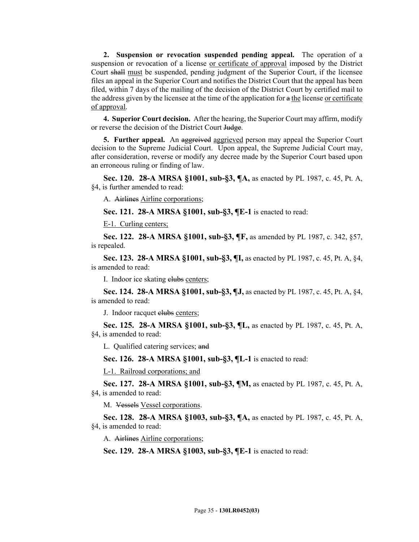**2. Suspension or revocation suspended pending appeal.** The operation of a suspension or revocation of a license or certificate of approval imposed by the District Court shall must be suspended, pending judgment of the Superior Court, if the licensee files an appeal in the Superior Court and notifies the District Court that the appeal has been filed, within 7 days of the mailing of the decision of the District Court by certified mail to the address given by the licensee at the time of the application for a the license or certificate of approval.

**4. Superior Court decision.** After the hearing, the Superior Court may affirm, modify or reverse the decision of the District Court Judge.

**5. Further appeal.** An aggreived aggrieved person may appeal the Superior Court decision to the Supreme Judicial Court. Upon appeal, the Supreme Judicial Court may, after consideration, reverse or modify any decree made by the Superior Court based upon an erroneous ruling or finding of law.

**Sec. 120. 28-A MRSA §1001, sub-§3, ¶A,** as enacted by PL 1987, c. 45, Pt. A, §4, is further amended to read:

A. Airlines Airline corporations;

**Sec. 121. 28-A MRSA §1001, sub-§3, ¶E-1** is enacted to read:

E-1. Curling centers;

**Sec. 122. 28-A MRSA §1001, sub-§3, ¶F,** as amended by PL 1987, c. 342, §57, is repealed.

**Sec. 123. 28-A MRSA §1001, sub-§3, ¶I,** as enacted by PL 1987, c. 45, Pt. A, §4, is amended to read:

I. Indoor ice skating elubs centers;

**Sec. 124. 28-A MRSA §1001, sub-§3, ¶J,** as enacted by PL 1987, c. 45, Pt. A, §4, is amended to read:

J. Indoor racquet elubs centers;

**Sec. 125. 28-A MRSA §1001, sub-§3, ¶L,** as enacted by PL 1987, c. 45, Pt. A, §4, is amended to read:

L. Qualified catering services; and

**Sec. 126. 28-A MRSA §1001, sub-§3, ¶L-1** is enacted to read:

L-1. Railroad corporations; and

**Sec. 127. 28-A MRSA §1001, sub-§3, ¶M,** as enacted by PL 1987, c. 45, Pt. A, §4, is amended to read:

M. Vessels Vessel corporations.

**Sec. 128. 28-A MRSA §1003, sub-§3, ¶A,** as enacted by PL 1987, c. 45, Pt. A, §4, is amended to read:

A. Airlines Airline corporations;

**Sec. 129. 28-A MRSA §1003, sub-§3, ¶E-1** is enacted to read: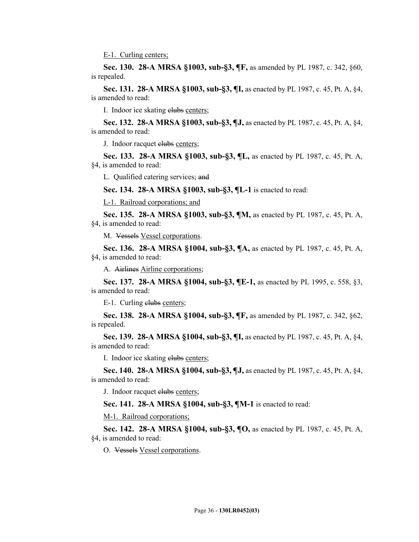E-1. Curling centers;

**Sec. 130. 28-A MRSA §1003, sub-§3, ¶F,** as amended by PL 1987, c. 342, §60, is repealed.

**Sec. 131. 28-A MRSA §1003, sub-§3, ¶I,** as enacted by PL 1987, c. 45, Pt. A, §4, is amended to read:

I. Indoor ice skating elubs centers;

**Sec. 132. 28-A MRSA §1003, sub-§3, ¶J,** as enacted by PL 1987, c. 45, Pt. A, §4, is amended to read:

J. Indoor racquet elubs centers;

**Sec. 133. 28-A MRSA §1003, sub-§3, ¶L,** as enacted by PL 1987, c. 45, Pt. A, §4, is amended to read:

L. Qualified catering services; and

**Sec. 134. 28-A MRSA §1003, sub-§3, ¶L-1** is enacted to read:

L-1. Railroad corporations; and

**Sec. 135. 28-A MRSA §1003, sub-§3, ¶M,** as enacted by PL 1987, c. 45, Pt. A, §4, is amended to read:

M. Vessels Vessel corporations.

**Sec. 136. 28-A MRSA §1004, sub-§3, ¶A,** as enacted by PL 1987, c. 45, Pt. A, §4, is amended to read:

A. Airlines Airline corporations;

**Sec. 137. 28-A MRSA §1004, sub-§3, ¶E-1,** as enacted by PL 1995, c. 558, §3, is amended to read:

E-1. Curling elubs centers;

**Sec. 138. 28-A MRSA §1004, sub-§3, ¶F,** as amended by PL 1987, c. 342, §62, is repealed.

**Sec. 139. 28-A MRSA §1004, sub-§3, ¶I,** as enacted by PL 1987, c. 45, Pt. A, §4, is amended to read:

I. Indoor ice skating elubs centers;

**Sec. 140. 28-A MRSA §1004, sub-§3, ¶J,** as enacted by PL 1987, c. 45, Pt. A, §4, is amended to read:

J. Indoor racquet clubs centers;

**Sec. 141. 28-A MRSA §1004, sub-§3, ¶M-1** is enacted to read:

M-1. Railroad corporations;

**Sec. 142. 28-A MRSA §1004, sub-§3, ¶O,** as enacted by PL 1987, c. 45, Pt. A, §4, is amended to read:

O. Vessels Vessel corporations.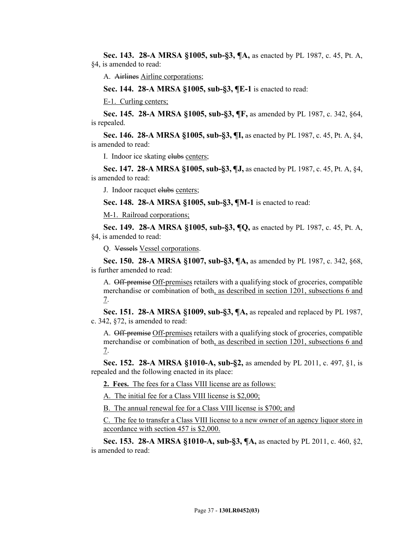**Sec. 143. 28-A MRSA §1005, sub-§3, ¶A,** as enacted by PL 1987, c. 45, Pt. A, §4, is amended to read:

A. Airlines Airline corporations;

**Sec. 144. 28-A MRSA §1005, sub-§3, ¶E-1** is enacted to read:

E-1. Curling centers;

**Sec. 145. 28-A MRSA §1005, sub-§3, ¶F,** as amended by PL 1987, c. 342, §64, is repealed.

**Sec. 146. 28-A MRSA §1005, sub-§3, ¶I,** as enacted by PL 1987, c. 45, Pt. A, §4, is amended to read:

I. Indoor ice skating elubs centers;

**Sec. 147. 28-A MRSA §1005, sub-§3, ¶J,** as enacted by PL 1987, c. 45, Pt. A, §4, is amended to read:

J. Indoor racquet elubs centers;

**Sec. 148. 28-A MRSA §1005, sub-§3, ¶M-1** is enacted to read:

M-1. Railroad corporations;

**Sec. 149. 28-A MRSA §1005, sub-§3, ¶Q,** as enacted by PL 1987, c. 45, Pt. A, §4, is amended to read:

Q. Vessels Vessel corporations.

**Sec. 150. 28-A MRSA §1007, sub-§3, ¶A,** as amended by PL 1987, c. 342, §68, is further amended to read:

A. Off-premise Off-premises retailers with a qualifying stock of groceries, compatible merchandise or combination of both, as described in section 1201, subsections 6 and 7.

**Sec. 151. 28-A MRSA §1009, sub-§3, ¶A,** as repealed and replaced by PL 1987, c. 342, §72, is amended to read:

A. Off-premise Off-premises retailers with a qualifying stock of groceries, compatible merchandise or combination of both, as described in section 1201, subsections 6 and 7.

**Sec. 152. 28-A MRSA §1010-A, sub-§2,** as amended by PL 2011, c. 497, §1, is repealed and the following enacted in its place:

**2. Fees.** The fees for a Class VIII license are as follows:

A. The initial fee for a Class VIII license is \$2,000;

B. The annual renewal fee for a Class VIII license is \$700; and

C. The fee to transfer a Class VIII license to a new owner of an agency liquor store in accordance with section 457 is \$2,000.

**Sec. 153. 28-A MRSA §1010-A, sub-§3, ¶A,** as enacted by PL 2011, c. 460, §2, is amended to read: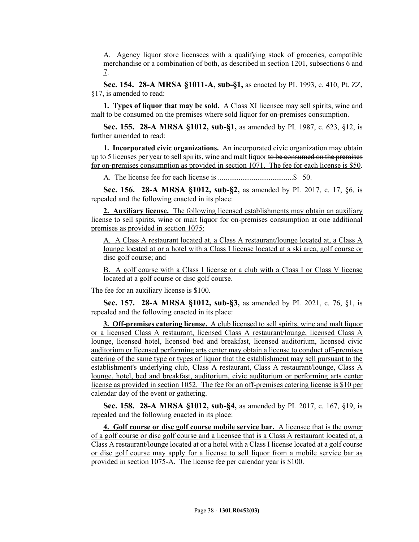A. Agency liquor store licensees with a qualifying stock of groceries, compatible merchandise or a combination of both, as described in section 1201, subsections 6 and 7.

**Sec. 154. 28-A MRSA §1011-A, sub-§1,** as enacted by PL 1993, c. 410, Pt. ZZ, §17, is amended to read:

**1. Types of liquor that may be sold.** A Class XI licensee may sell spirits, wine and malt to be consumed on the premises where sold liquor for on-premises consumption.

**Sec. 155. 28-A MRSA §1012, sub-§1,** as amended by PL 1987, c. 623, §12, is further amended to read:

**1. Incorporated civic organizations.** An incorporated civic organization may obtain up to 5 licenses per year to sell spirits, wine and malt liquor to be consumed on the premises for on-premises consumption as provided in section 1071. The fee for each license is \$50.

A. The license fee for each license is ........................................\$ 50.

**Sec. 156. 28-A MRSA §1012, sub-§2,** as amended by PL 2017, c. 17, §6, is repealed and the following enacted in its place:

**2. Auxiliary license.** The following licensed establishments may obtain an auxiliary license to sell spirits, wine or malt liquor for on-premises consumption at one additional premises as provided in section 1075:

A. A Class A restaurant located at, a Class A restaurant/lounge located at, a Class A lounge located at or a hotel with a Class I license located at a ski area, golf course or disc golf course; and

B. A golf course with a Class I license or a club with a Class I or Class V license located at a golf course or disc golf course.

The fee for an auxiliary license is \$100.

**Sec. 157. 28-A MRSA §1012, sub-§3,** as amended by PL 2021, c. 76, §1, is repealed and the following enacted in its place:

**3. Off-premises catering license.** A club licensed to sell spirits, wine and malt liquor or a licensed Class A restaurant, licensed Class A restaurant/lounge, licensed Class A lounge, licensed hotel, licensed bed and breakfast, licensed auditorium, licensed civic auditorium or licensed performing arts center may obtain a license to conduct off-premises catering of the same type or types of liquor that the establishment may sell pursuant to the establishment's underlying club, Class A restaurant, Class A restaurant/lounge, Class A lounge, hotel, bed and breakfast, auditorium, civic auditorium or performing arts center license as provided in section 1052. The fee for an off-premises catering license is \$10 per calendar day of the event or gathering.

**Sec. 158. 28-A MRSA §1012, sub-§4,** as amended by PL 2017, c. 167, §19, is repealed and the following enacted in its place:

**4. Golf course or disc golf course mobile service bar.** A licensee that is the owner of a golf course or disc golf course and a licensee that is a Class A restaurant located at, a Class A restaurant/lounge located at or a hotel with a Class I license located at a golf course or disc golf course may apply for a license to sell liquor from a mobile service bar as provided in section 1075-A. The license fee per calendar year is \$100.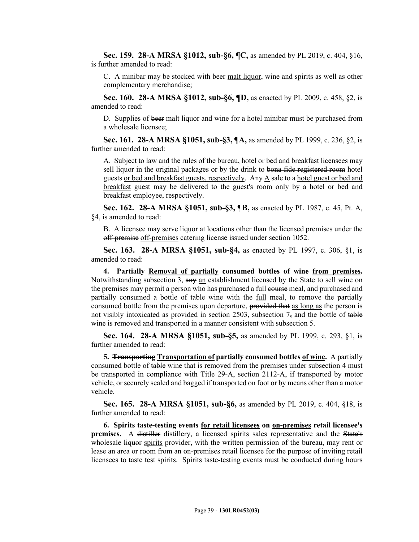**Sec. 159. 28-A MRSA §1012, sub-§6, ¶C,** as amended by PL 2019, c. 404, §16, is further amended to read:

C. A minibar may be stocked with beer malt liquor, wine and spirits as well as other complementary merchandise;

**Sec. 160. 28-A MRSA §1012, sub-§6, ¶D,** as enacted by PL 2009, c. 458, §2, is amended to read:

D. Supplies of beer malt liquor and wine for a hotel minibar must be purchased from a wholesale licensee;

**Sec. 161. 28-A MRSA §1051, sub-§3, ¶A,** as amended by PL 1999, c. 236, §2, is further amended to read:

A. Subject to law and the rules of the bureau, hotel or bed and breakfast licensees may sell liquor in the original packages or by the drink to bona fide registered room hotel guests or bed and breakfast guests, respectively. Any A sale to a hotel guest or bed and breakfast guest may be delivered to the guest's room only by a hotel or bed and breakfast employee, respectively.

**Sec. 162. 28-A MRSA §1051, sub-§3, ¶B,** as enacted by PL 1987, c. 45, Pt. A, §4, is amended to read:

B. A licensee may serve liquor at locations other than the licensed premises under the off-premise off-premises catering license issued under section 1052.

**Sec. 163. 28-A MRSA §1051, sub-§4,** as enacted by PL 1997, c. 306, §1, is amended to read:

**4. Partially Removal of partially consumed bottles of wine from premises.**  Notwithstanding subsection 3, any an establishment licensed by the State to sell wine on the premises may permit a person who has purchased a full course meal, and purchased and partially consumed a bottle of table wine with the full meal, to remove the partially consumed bottle from the premises upon departure, provided that as long as the person is not visibly intoxicated as provided in section 2503, subsection  $7<sub>5</sub>$  and the bottle of table wine is removed and transported in a manner consistent with subsection 5.

**Sec. 164. 28-A MRSA §1051, sub-§5,** as amended by PL 1999, c. 293, §1, is further amended to read:

**5. Transporting Transportation of partially consumed bottles of wine.** A partially consumed bottle of table wine that is removed from the premises under subsection 4 must be transported in compliance with Title 29-A, section 2112-A, if transported by motor vehicle, or securely sealed and bagged if transported on foot or by means other than a motor vehicle.

**Sec. 165. 28-A MRSA §1051, sub-§6,** as amended by PL 2019, c. 404, §18, is further amended to read:

**6. Spirits taste-testing events for retail licensees on on-premises retail licensee's premises.** A distiller distillery, a licensed spirits sales representative and the State's wholesale liquor spirits provider, with the written permission of the bureau, may rent or lease an area or room from an on-premises retail licensee for the purpose of inviting retail licensees to taste test spirits. Spirits taste-testing events must be conducted during hours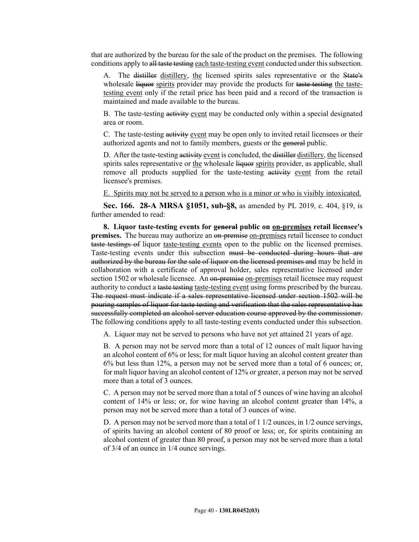that are authorized by the bureau for the sale of the product on the premises. The following conditions apply to all taste testing each taste-testing event conducted under this subsection.

A. The distiller distillery, the licensed spirits sales representative or the State's wholesale liquor spirits provider may provide the products for taste-testing the tastetesting event only if the retail price has been paid and a record of the transaction is maintained and made available to the bureau.

B. The taste-testing activity event may be conducted only within a special designated area or room.

C. The taste-testing activity event may be open only to invited retail licensees or their authorized agents and not to family members, guests or the general public.

D. After the taste-testing activity event is concluded, the distiller distillery, the licensed spirits sales representative or the wholesale liquor spirits provider, as applicable, shall remove all products supplied for the taste-testing activity event from the retail licensee's premises.

E. Spirits may not be served to a person who is a minor or who is visibly intoxicated.

**Sec. 166. 28-A MRSA §1051, sub-§8,** as amended by PL 2019, c. 404, §19, is further amended to read:

**8. Liquor taste-testing events for general public on on-premises retail licensee's premises.** The bureau may authorize an on-premise on-premises retail licensee to conduct taste testings of liquor taste-testing events open to the public on the licensed premises. Taste-testing events under this subsection must be conducted during hours that are authorized by the bureau for the sale of liquor on the licensed premises and may be held in collaboration with a certificate of approval holder, sales representative licensed under section 1502 or wholesale licensee. An on-premise on-premises retail licensee may request authority to conduct a taste testing taste-testing event using forms prescribed by the bureau. The request must indicate if a sales representative licensed under section 1502 will be pouring samples of liquor for taste testing and verification that the sales representative has successfully completed an alcohol server education course approved by the commissioner. The following conditions apply to all taste-testing events conducted under this subsection.

A. Liquor may not be served to persons who have not yet attained 21 years of age.

B. A person may not be served more than a total of 12 ounces of malt liquor having an alcohol content of 6% or less; for malt liquor having an alcohol content greater than 6% but less than 12%, a person may not be served more than a total of 6 ounces; or, for malt liquor having an alcohol content of 12% or greater, a person may not be served more than a total of 3 ounces.

C. A person may not be served more than a total of 5 ounces of wine having an alcohol content of 14% or less; or, for wine having an alcohol content greater than 14%, a person may not be served more than a total of 3 ounces of wine.

D. A person may not be served more than a total of  $11/2$  ounces, in  $1/2$  ounce servings, of spirits having an alcohol content of 80 proof or less; or, for spirits containing an alcohol content of greater than 80 proof, a person may not be served more than a total of 3/4 of an ounce in 1/4 ounce servings.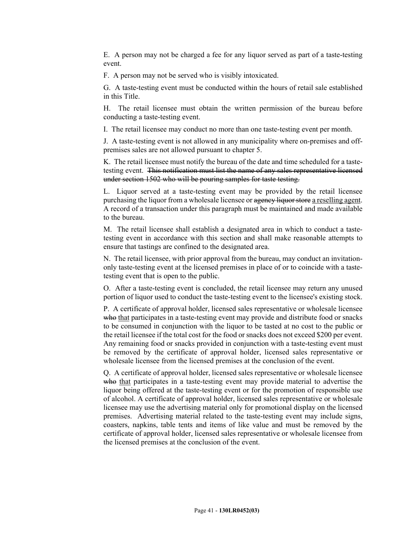E. A person may not be charged a fee for any liquor served as part of a taste-testing event.

F. A person may not be served who is visibly intoxicated.

G. A taste-testing event must be conducted within the hours of retail sale established in this Title.

H. The retail licensee must obtain the written permission of the bureau before conducting a taste-testing event.

I. The retail licensee may conduct no more than one taste-testing event per month.

J. A taste-testing event is not allowed in any municipality where on-premises and offpremises sales are not allowed pursuant to chapter 5.

K. The retail licensee must notify the bureau of the date and time scheduled for a tastetesting event. This notification must list the name of any sales representative licensed under section 1502 who will be pouring samples for taste testing.

L. Liquor served at a taste-testing event may be provided by the retail licensee purchasing the liquor from a wholesale licensee or agency liquor store a reselling agent. A record of a transaction under this paragraph must be maintained and made available to the bureau.

M. The retail licensee shall establish a designated area in which to conduct a tastetesting event in accordance with this section and shall make reasonable attempts to ensure that tastings are confined to the designated area.

N. The retail licensee, with prior approval from the bureau, may conduct an invitationonly taste-testing event at the licensed premises in place of or to coincide with a tastetesting event that is open to the public.

O. After a taste-testing event is concluded, the retail licensee may return any unused portion of liquor used to conduct the taste-testing event to the licensee's existing stock.

P. A certificate of approval holder, licensed sales representative or wholesale licensee who that participates in a taste-testing event may provide and distribute food or snacks to be consumed in conjunction with the liquor to be tasted at no cost to the public or the retail licensee if the total cost for the food or snacks does not exceed \$200 per event. Any remaining food or snacks provided in conjunction with a taste-testing event must be removed by the certificate of approval holder, licensed sales representative or wholesale licensee from the licensed premises at the conclusion of the event.

Q. A certificate of approval holder, licensed sales representative or wholesale licensee who that participates in a taste-testing event may provide material to advertise the liquor being offered at the taste-testing event or for the promotion of responsible use of alcohol. A certificate of approval holder, licensed sales representative or wholesale licensee may use the advertising material only for promotional display on the licensed premises. Advertising material related to the taste-testing event may include signs, coasters, napkins, table tents and items of like value and must be removed by the certificate of approval holder, licensed sales representative or wholesale licensee from the licensed premises at the conclusion of the event.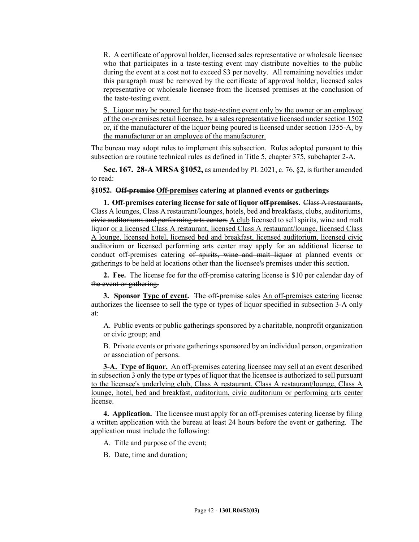R. A certificate of approval holder, licensed sales representative or wholesale licensee who that participates in a taste-testing event may distribute novelties to the public during the event at a cost not to exceed \$3 per novelty. All remaining novelties under this paragraph must be removed by the certificate of approval holder, licensed sales representative or wholesale licensee from the licensed premises at the conclusion of the taste-testing event.

S. Liquor may be poured for the taste-testing event only by the owner or an employee of the on-premises retail licensee, by a sales representative licensed under section 1502 or, if the manufacturer of the liquor being poured is licensed under section 1355-A, by the manufacturer or an employee of the manufacturer.

The bureau may adopt rules to implement this subsection. Rules adopted pursuant to this subsection are routine technical rules as defined in Title 5, chapter 375, subchapter 2-A.

**Sec. 167. 28-A MRSA §1052,** as amended by PL 2021, c. 76, §2, is further amended to read:

#### **§1052. Off-premise Off-premises catering at planned events or gatherings**

**1. Off-premises catering license for sale of liquor off premises.** Class A restaurants, Class A lounges, Class A restaurant/lounges, hotels, bed and breakfasts, clubs, auditoriums, civic auditoriums and performing arts centers A club licensed to sell spirits, wine and malt liquor or a licensed Class A restaurant, licensed Class A restaurant/lounge, licensed Class A lounge, licensed hotel, licensed bed and breakfast, licensed auditorium, licensed civic auditorium or licensed performing arts center may apply for an additional license to conduct off-premises catering of spirits, wine and malt liquor at planned events or gatherings to be held at locations other than the licensee's premises under this section.

**2. Fee.** The license fee for the off-premise catering license is \$10 per calendar day of the event or gathering.

**3. Sponsor Type of event.** The off-premise sales An off-premises catering license authorizes the licensee to sell the type or types of liquor specified in subsection 3-A only at:

A. Public events or public gatherings sponsored by a charitable, nonprofit organization or civic group; and

B. Private events or private gatherings sponsored by an individual person, organization or association of persons.

**3-A. Type of liquor.** An off-premises catering licensee may sell at an event described in subsection 3 only the type or types of liquor that the licensee is authorized to sell pursuant to the licensee's underlying club, Class A restaurant, Class A restaurant/lounge, Class A lounge, hotel, bed and breakfast, auditorium, civic auditorium or performing arts center license.

**4. Application.** The licensee must apply for an off-premises catering license by filing a written application with the bureau at least 24 hours before the event or gathering. The application must include the following:

A. Title and purpose of the event;

B. Date, time and duration;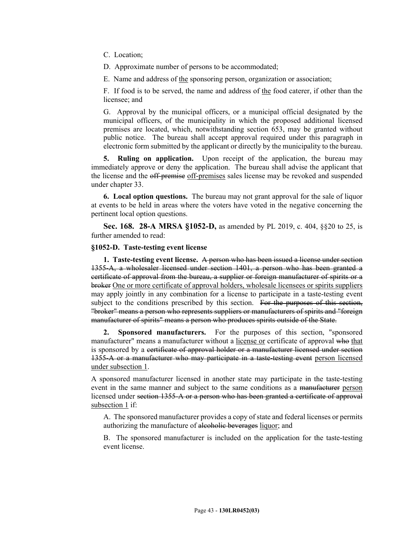C. Location;

D. Approximate number of persons to be accommodated;

E. Name and address of the sponsoring person, organization or association;

F. If food is to be served, the name and address of the food caterer, if other than the licensee; and

G. Approval by the municipal officers, or a municipal official designated by the municipal officers, of the municipality in which the proposed additional licensed premises are located, which, notwithstanding section 653, may be granted without public notice. The bureau shall accept approval required under this paragraph in electronic form submitted by the applicant or directly by the municipality to the bureau.

**5. Ruling on application.** Upon receipt of the application, the bureau may immediately approve or deny the application. The bureau shall advise the applicant that the license and the off-premise off-premises sales license may be revoked and suspended under chapter 33.

**6. Local option questions.** The bureau may not grant approval for the sale of liquor at events to be held in areas where the voters have voted in the negative concerning the pertinent local option questions.

**Sec. 168. 28-A MRSA §1052-D,** as amended by PL 2019, c. 404, §§20 to 25, is further amended to read:

# **§1052-D. Taste-testing event license**

**1. Taste-testing event license.** A person who has been issued a license under section 1355-A, a wholesaler licensed under section 1401, a person who has been granted a certificate of approval from the bureau, a supplier or foreign manufacturer of spirits or a broker One or more certificate of approval holders, wholesale licensees or spirits suppliers may apply jointly in any combination for a license to participate in a taste-testing event subject to the conditions prescribed by this section. For the purposes of this section, "broker" means a person who represents suppliers or manufacturers of spirits and "foreign manufacturer of spirits" means a person who produces spirits outside of the State.

**2. Sponsored manufacturers.** For the purposes of this section, "sponsored manufacturer" means a manufacturer without a license or certificate of approval who that is sponsored by a certificate of approval holder or a manufacturer licensed under section 1355-A or a manufacturer who may participate in a taste-testing event person licensed under subsection 1.

A sponsored manufacturer licensed in another state may participate in the taste-testing event in the same manner and subject to the same conditions as a manufacturer person licensed under section 1355-A or a person who has been granted a certificate of approval subsection 1 if:

A. The sponsored manufacturer provides a copy of state and federal licenses or permits authorizing the manufacture of alcoholic beverages liquor; and

B. The sponsored manufacturer is included on the application for the taste-testing event license.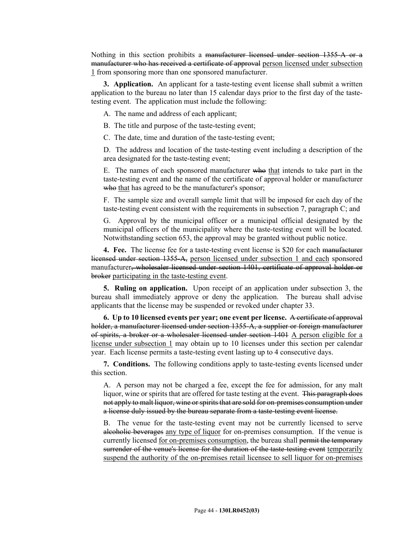Nothing in this section prohibits a manufacturer licensed under section 1355-A or a manufacturer who has received a certificate of approval person licensed under subsection 1 from sponsoring more than one sponsored manufacturer.

**3. Application.** An applicant for a taste-testing event license shall submit a written application to the bureau no later than 15 calendar days prior to the first day of the tastetesting event. The application must include the following:

A. The name and address of each applicant;

B. The title and purpose of the taste-testing event;

C. The date, time and duration of the taste-testing event;

D. The address and location of the taste-testing event including a description of the area designated for the taste-testing event;

E. The names of each sponsored manufacturer who that intends to take part in the taste-testing event and the name of the certificate of approval holder or manufacturer who that has agreed to be the manufacturer's sponsor;

F. The sample size and overall sample limit that will be imposed for each day of the taste-testing event consistent with the requirements in subsection 7, paragraph C; and

G. Approval by the municipal officer or a municipal official designated by the municipal officers of the municipality where the taste-testing event will be located. Notwithstanding section 653, the approval may be granted without public notice.

**4. Fee.** The license fee for a taste-testing event license is \$20 for each manufacturer licensed under section 1355-A, person licensed under subsection 1 and each sponsored manufacturer, wholesaler licensed under section 1401, certificate of approval holder or broker participating in the taste-testing event.

**5. Ruling on application.** Upon receipt of an application under subsection 3, the bureau shall immediately approve or deny the application. The bureau shall advise applicants that the license may be suspended or revoked under chapter 33.

**6. Up to 10 licensed events per year; one event per license.** A certificate of approval holder, a manufacturer licensed under section 1355-A, a supplier or foreign manufacturer of spirits, a broker or a wholesaler licensed under section 1401 A person eligible for a license under subsection 1 may obtain up to 10 licenses under this section per calendar year. Each license permits a taste-testing event lasting up to 4 consecutive days.

**7. Conditions.** The following conditions apply to taste-testing events licensed under this section.

A. A person may not be charged a fee, except the fee for admission, for any malt liquor, wine or spirits that are offered for taste testing at the event. This paragraph does not apply to malt liquor, wine or spirits that are sold for on-premises consumption under a license duly issued by the bureau separate from a taste-testing event license.

B. The venue for the taste-testing event may not be currently licensed to serve alcoholic beverages any type of liquor for on-premises consumption. If the venue is currently licensed for on-premises consumption, the bureau shall permit the temporary surrender of the venue's license for the duration of the taste-testing event temporarily suspend the authority of the on-premises retail licensee to sell liquor for on-premises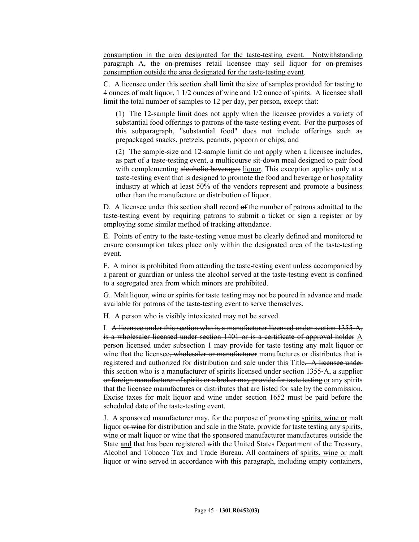consumption in the area designated for the taste-testing event. Notwithstanding paragraph A, the on-premises retail licensee may sell liquor for on-premises consumption outside the area designated for the taste-testing event.

C. A licensee under this section shall limit the size of samples provided for tasting to 4 ounces of malt liquor, 1 1/2 ounces of wine and 1/2 ounce of spirits. A licensee shall limit the total number of samples to 12 per day, per person, except that:

(1) The 12-sample limit does not apply when the licensee provides a variety of substantial food offerings to patrons of the taste-testing event. For the purposes of this subparagraph, "substantial food" does not include offerings such as prepackaged snacks, pretzels, peanuts, popcorn or chips; and

(2) The sample-size and 12-sample limit do not apply when a licensee includes, as part of a taste-testing event, a multicourse sit-down meal designed to pair food with complementing alcoholic beverages liquor. This exception applies only at a taste-testing event that is designed to promote the food and beverage or hospitality industry at which at least 50% of the vendors represent and promote a business other than the manufacture or distribution of liquor.

D. A licensee under this section shall record of the number of patrons admitted to the taste-testing event by requiring patrons to submit a ticket or sign a register or by employing some similar method of tracking attendance.

E. Points of entry to the taste-testing venue must be clearly defined and monitored to ensure consumption takes place only within the designated area of the taste-testing event.

F. A minor is prohibited from attending the taste-testing event unless accompanied by a parent or guardian or unless the alcohol served at the taste-testing event is confined to a segregated area from which minors are prohibited.

G. Malt liquor, wine or spirits for taste testing may not be poured in advance and made available for patrons of the taste-testing event to serve themselves.

H. A person who is visibly intoxicated may not be served.

I. A licensee under this section who is a manufacturer licensed under section 1355-A, is a wholesaler licensed under section 1401 or is a certificate of approval holder A person licensed under subsection 1 may provide for taste testing any malt liquor or wine that the licensee, wholesaler or manufacturer manufactures or distributes that is registered and authorized for distribution and sale under this Title. A licensee under this section who is a manufacturer of spirits licensed under section 1355‑A, a supplier or foreign manufacturer of spirits or a broker may provide for taste testing or any spirits that the licensee manufactures or distributes that are listed for sale by the commission. Excise taxes for malt liquor and wine under section 1652 must be paid before the scheduled date of the taste-testing event.

J. A sponsored manufacturer may, for the purpose of promoting spirits, wine or malt liquor or wine for distribution and sale in the State, provide for taste testing any spirits, wine or malt liquor or wine that the sponsored manufacturer manufactures outside the State and that has been registered with the United States Department of the Treasury, Alcohol and Tobacco Tax and Trade Bureau. All containers of spirits, wine or malt liquor or wine served in accordance with this paragraph, including empty containers,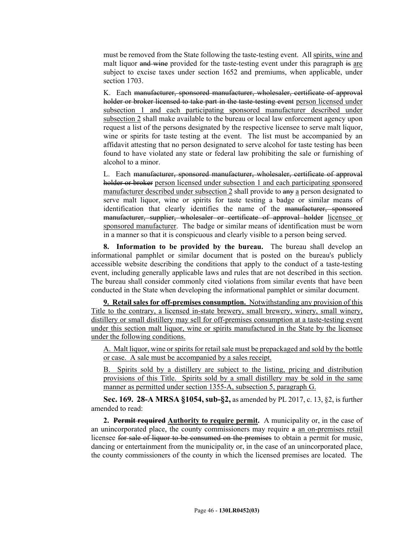must be removed from the State following the taste-testing event. All spirits, wine and malt liquor and wine provided for the taste-testing event under this paragraph is are subject to excise taxes under section 1652 and premiums, when applicable, under section 1703.

K. Each manufacturer, sponsored manufacturer, wholesaler, certificate of approval holder or broker licensed to take part in the taste-testing event person licensed under subsection 1 and each participating sponsored manufacturer described under subsection 2 shall make available to the bureau or local law enforcement agency upon request a list of the persons designated by the respective licensee to serve malt liquor, wine or spirits for taste testing at the event. The list must be accompanied by an affidavit attesting that no person designated to serve alcohol for taste testing has been found to have violated any state or federal law prohibiting the sale or furnishing of alcohol to a minor.

L. Each manufacturer, sponsored manufacturer, wholesaler, certificate of approval holder or broker person licensed under subsection 1 and each participating sponsored manufacturer described under subsection 2 shall provide to any a person designated to serve malt liquor, wine or spirits for taste testing a badge or similar means of identification that clearly identifies the name of the manufacturer, sponsored manufacturer, supplier, wholesaler or certificate of approval holder licensee or sponsored manufacturer. The badge or similar means of identification must be worn in a manner so that it is conspicuous and clearly visible to a person being served.

**8. Information to be provided by the bureau.** The bureau shall develop an informational pamphlet or similar document that is posted on the bureau's publicly accessible website describing the conditions that apply to the conduct of a taste-testing event, including generally applicable laws and rules that are not described in this section. The bureau shall consider commonly cited violations from similar events that have been conducted in the State when developing the informational pamphlet or similar document.

**9. Retail sales for off-premises consumption.** Notwithstanding any provision of this Title to the contrary, a licensed in-state brewery, small brewery, winery, small winery, distillery or small distillery may sell for off-premises consumption at a taste-testing event under this section malt liquor, wine or spirits manufactured in the State by the licensee under the following conditions.

A. Malt liquor, wine or spirits for retail sale must be prepackaged and sold by the bottle or case. A sale must be accompanied by a sales receipt.

B. Spirits sold by a distillery are subject to the listing, pricing and distribution provisions of this Title. Spirits sold by a small distillery may be sold in the same manner as permitted under section 1355-A, subsection 5, paragraph G.

**Sec. 169. 28-A MRSA §1054, sub-§2,** as amended by PL 2017, c. 13, §2, is further amended to read:

**2. Permit required Authority to require permit.** A municipality or, in the case of an unincorporated place, the county commissioners may require a an on-premises retail licensee for sale of liquor to be consumed on the premises to obtain a permit for music, dancing or entertainment from the municipality or, in the case of an unincorporated place, the county commissioners of the county in which the licensed premises are located. The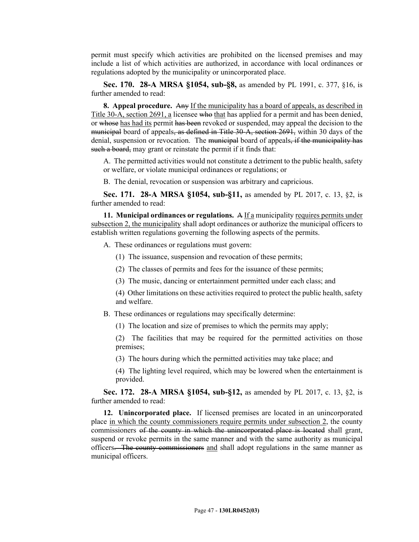permit must specify which activities are prohibited on the licensed premises and may include a list of which activities are authorized, in accordance with local ordinances or regulations adopted by the municipality or unincorporated place.

**Sec. 170. 28-A MRSA §1054, sub-§8,** as amended by PL 1991, c. 377, §16, is further amended to read:

**8. Appeal procedure.** Any If the municipality has a board of appeals, as described in Title 30-A, section 2691, a licensee who that has applied for a permit and has been denied, or whose has had its permit has been revoked or suspended, may appeal the decision to the municipal board of appeals, as defined in Title 30-A, section 2691, within 30 days of the denial, suspension or revocation. The municipal board of appeals, if the municipality has such a board, may grant or reinstate the permit if it finds that:

A. The permitted activities would not constitute a detriment to the public health, safety or welfare, or violate municipal ordinances or regulations; or

B. The denial, revocation or suspension was arbitrary and capricious.

**Sec. 171. 28-A MRSA §1054, sub-§11,** as amended by PL 2017, c. 13, §2, is further amended to read:

**11. Municipal ordinances or regulations.** A If a municipality requires permits under subsection 2, the municipality shall adopt ordinances or authorize the municipal officers to establish written regulations governing the following aspects of the permits.

A. These ordinances or regulations must govern:

- (1) The issuance, suspension and revocation of these permits;
- (2) The classes of permits and fees for the issuance of these permits;
- (3) The music, dancing or entertainment permitted under each class; and

(4) Other limitations on these activities required to protect the public health, safety and welfare.

- B. These ordinances or regulations may specifically determine:
	- (1) The location and size of premises to which the permits may apply;

(2) The facilities that may be required for the permitted activities on those premises;

(3) The hours during which the permitted activities may take place; and

(4) The lighting level required, which may be lowered when the entertainment is provided.

**Sec. 172. 28-A MRSA §1054, sub-§12,** as amended by PL 2017, c. 13, §2, is further amended to read:

**12. Unincorporated place.** If licensed premises are located in an unincorporated place in which the county commissioners require permits under subsection 2, the county commissioners of the county in which the unincorporated place is located shall grant, suspend or revoke permits in the same manner and with the same authority as municipal officers. The county commissioners and shall adopt regulations in the same manner as municipal officers.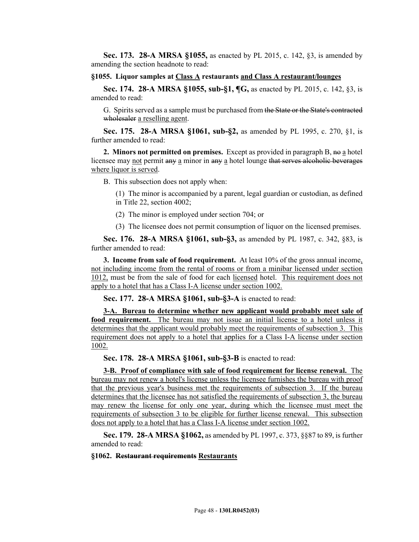**Sec. 173. 28-A MRSA §1055,** as enacted by PL 2015, c. 142, §3, is amended by amending the section headnote to read:

### **§1055. Liquor samples at Class A restaurants and Class A restaurant/lounges**

**Sec. 174. 28-A MRSA §1055, sub-§1, ¶G,** as enacted by PL 2015, c. 142, §3, is amended to read:

G. Spirits served as a sample must be purchased from the State or the State's contracted wholesaler a reselling agent.

**Sec. 175. 28-A MRSA §1061, sub-§2,** as amended by PL 1995, c. 270, §1, is further amended to read:

**2. Minors not permitted on premises.** Except as provided in paragraph B,  $\theta$  a hotel licensee may not permit any a minor in any a hotel lounge that serves alcoholic beverages where liquor is served.

B. This subsection does not apply when:

(1) The minor is accompanied by a parent, legal guardian or custodian, as defined in Title 22, section 4002;

(2) The minor is employed under section 704; or

(3) The licensee does not permit consumption of liquor on the licensed premises.

**Sec. 176. 28-A MRSA §1061, sub-§3,** as amended by PL 1987, c. 342, §83, is further amended to read:

**3. Income from sale of food requirement.** At least 10% of the gross annual income, not including income from the rental of rooms or from a minibar licensed under section 1012, must be from the sale of food for each licensed hotel. This requirement does not apply to a hotel that has a Class I-A license under section 1002.

**Sec. 177. 28-A MRSA §1061, sub-§3-A** is enacted to read:

**3-A. Bureau to determine whether new applicant would probably meet sale of food requirement.** The bureau may not issue an initial license to a hotel unless it determines that the applicant would probably meet the requirements of subsection 3. This requirement does not apply to a hotel that applies for a Class I-A license under section 1002.

**Sec. 178. 28-A MRSA §1061, sub-§3-B** is enacted to read:

**3-B. Proof of compliance with sale of food requirement for license renewal.** The bureau may not renew a hotel's license unless the licensee furnishes the bureau with proof that the previous year's business met the requirements of subsection 3. If the bureau determines that the licensee has not satisfied the requirements of subsection 3, the bureau may renew the license for only one year, during which the licensee must meet the requirements of subsection 3 to be eligible for further license renewal. This subsection does not apply to a hotel that has a Class I-A license under section 1002.

**Sec. 179. 28-A MRSA §1062,** as amended by PL 1997, c. 373, §§87 to 89, is further amended to read:

### **§1062. Restaurant requirements Restaurants**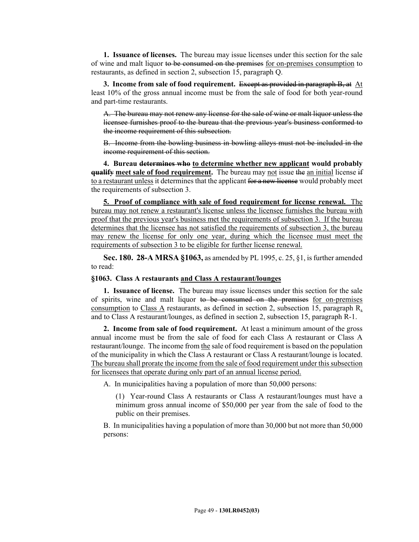**1. Issuance of licenses.** The bureau may issue licenses under this section for the sale of wine and malt liquor to be consumed on the premises for on-premises consumption to restaurants, as defined in section 2, subsection 15, paragraph Q.

**3. Income from sale of food requirement.** Except as provided in paragraph B, at At least 10% of the gross annual income must be from the sale of food for both year-round and part-time restaurants.

A. The bureau may not renew any license for the sale of wine or malt liquor unless the licensee furnishes proof to the bureau that the previous year's business conformed to the income requirement of this subsection.

B. Income from the bowling business in bowling alleys must not be included in the income requirement of this section.

**4. Bureau determines who to determine whether new applicant would probably qualify meet sale of food requirement.** The bureau may not issue the an initial license if to a restaurant unless it determines that the applicant for a new license would probably meet the requirements of subsection 3.

**5. Proof of compliance with sale of food requirement for license renewal.** The bureau may not renew a restaurant's license unless the licensee furnishes the bureau with proof that the previous year's business met the requirements of subsection 3. If the bureau determines that the licensee has not satisfied the requirements of subsection 3, the bureau may renew the license for only one year, during which the licensee must meet the requirements of subsection 3 to be eligible for further license renewal.

**Sec. 180. 28-A MRSA §1063,** as amended by PL 1995, c. 25, §1, is further amended to read:

### **§1063. Class A restaurants and Class A restaurant/lounges**

**1. Issuance of license.** The bureau may issue licenses under this section for the sale of spirits, wine and malt liquor to be consumed on the premises for on-premises consumption to Class A restaurants, as defined in section 2, subsection 15, paragraph  $R_a$ and to Class A restaurant/lounges, as defined in section 2, subsection 15, paragraph R-1.

**2. Income from sale of food requirement.** At least a minimum amount of the gross annual income must be from the sale of food for each Class A restaurant or Class A restaurant/lounge. The income from the sale of food requirement is based on the population of the municipality in which the Class A restaurant or Class A restaurant/lounge is located. The bureau shall prorate the income from the sale of food requirement under this subsection for licensees that operate during only part of an annual license period.

A. In municipalities having a population of more than 50,000 persons:

(1) Year-round Class A restaurants or Class A restaurant/lounges must have a minimum gross annual income of \$50,000 per year from the sale of food to the public on their premises.

B. In municipalities having a population of more than 30,000 but not more than 50,000 persons: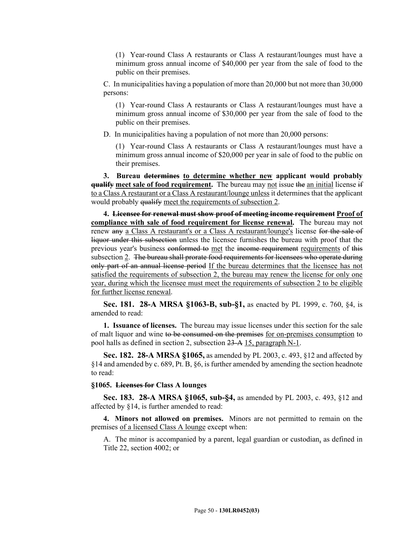(1) Year-round Class A restaurants or Class A restaurant/lounges must have a minimum gross annual income of \$40,000 per year from the sale of food to the public on their premises.

C. In municipalities having a population of more than 20,000 but not more than 30,000 persons:

(1) Year-round Class A restaurants or Class A restaurant/lounges must have a minimum gross annual income of \$30,000 per year from the sale of food to the public on their premises.

D. In municipalities having a population of not more than 20,000 persons:

(1) Year-round Class A restaurants or Class A restaurant/lounges must have a minimum gross annual income of \$20,000 per year in sale of food to the public on their premises.

**3. Bureau determines to determine whether new applicant would probably qualify meet sale of food requirement.** The bureau may not issue the an initial license if to a Class A restaurant or a Class A restaurant/lounge unless it determines that the applicant would probably qualify meet the requirements of subsection 2.

**4. Licensee for renewal must show proof of meeting income requirement Proof of compliance with sale of food requirement for license renewal.** The bureau may not renew any a Class A restaurant's or a Class A restaurant/lounge's license for the sale of liquor under this subsection unless the licensee furnishes the bureau with proof that the previous year's business conformed to met the income requirement requirements of this subsection 2. The bureau shall prorate food requirements for licensees who operate during only part of an annual license period If the bureau determines that the licensee has not satisfied the requirements of subsection 2, the bureau may renew the license for only one year, during which the licensee must meet the requirements of subsection 2 to be eligible for further license renewal.

**Sec. 181. 28-A MRSA §1063-B, sub-§1,** as enacted by PL 1999, c. 760, §4, is amended to read:

**1. Issuance of licenses.** The bureau may issue licenses under this section for the sale of malt liquor and wine to be consumed on the premises for on-premises consumption to pool halls as defined in section 2, subsection 23-A 15, paragraph N-1.

**Sec. 182. 28-A MRSA §1065,** as amended by PL 2003, c. 493, §12 and affected by §14 and amended by c. 689, Pt. B, §6, is further amended by amending the section headnote to read:

### **§1065. Licenses for Class A lounges**

**Sec. 183. 28-A MRSA §1065, sub-§4,** as amended by PL 2003, c. 493, §12 and affected by §14, is further amended to read:

**4. Minors not allowed on premises.** Minors are not permitted to remain on the premises of a licensed Class A lounge except when:

A. The minor is accompanied by a parent, legal guardian or custodian, as defined in Title 22, section 4002; or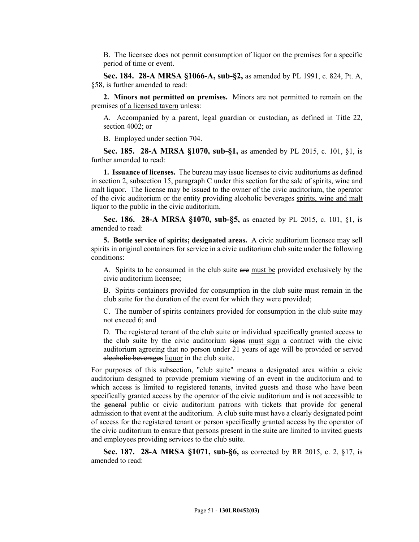B. The licensee does not permit consumption of liquor on the premises for a specific period of time or event.

**Sec. 184. 28-A MRSA §1066-A, sub-§2,** as amended by PL 1991, c. 824, Pt. A, §58, is further amended to read:

**2. Minors not permitted on premises.** Minors are not permitted to remain on the premises of a licensed tavern unless:

A. Accompanied by a parent, legal guardian or custodian, as defined in Title 22, section 4002; or

B. Employed under section 704.

**Sec. 185. 28-A MRSA §1070, sub-§1,** as amended by PL 2015, c. 101, §1, is further amended to read:

**1. Issuance of licenses.** The bureau may issue licenses to civic auditoriums as defined in section 2, subsection 15, paragraph C under this section for the sale of spirits, wine and malt liquor. The license may be issued to the owner of the civic auditorium, the operator of the civic auditorium or the entity providing alcoholic beverages spirits, wine and malt liquor to the public in the civic auditorium.

**Sec. 186. 28-A MRSA §1070, sub-§5,** as enacted by PL 2015, c. 101, §1, is amended to read:

**5. Bottle service of spirits; designated areas.** A civic auditorium licensee may sell spirits in original containers for service in a civic auditorium club suite under the following conditions:

A. Spirits to be consumed in the club suite are must be provided exclusively by the civic auditorium licensee;

B. Spirits containers provided for consumption in the club suite must remain in the club suite for the duration of the event for which they were provided;

C. The number of spirits containers provided for consumption in the club suite may not exceed 6; and

D. The registered tenant of the club suite or individual specifically granted access to the club suite by the civic auditorium signs must sign a contract with the civic auditorium agreeing that no person under 21 years of age will be provided or served alcoholic beverages liquor in the club suite.

For purposes of this subsection, "club suite" means a designated area within a civic auditorium designed to provide premium viewing of an event in the auditorium and to which access is limited to registered tenants, invited guests and those who have been specifically granted access by the operator of the civic auditorium and is not accessible to the general public or civic auditorium patrons with tickets that provide for general admission to that event at the auditorium. A club suite must have a clearly designated point of access for the registered tenant or person specifically granted access by the operator of the civic auditorium to ensure that persons present in the suite are limited to invited guests and employees providing services to the club suite.

**Sec. 187. 28-A MRSA §1071, sub-§6,** as corrected by RR 2015, c. 2, §17, is amended to read: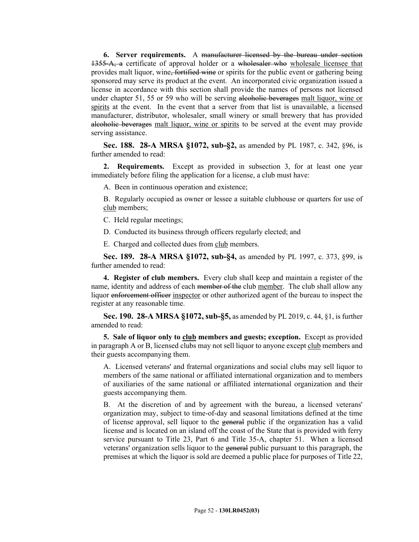**6. Server requirements.** A manufacturer licensed by the bureau under section 1355‑A, a certificate of approval holder or a wholesaler who wholesale licensee that provides malt liquor, wine, fortified wine or spirits for the public event or gathering being sponsored may serve its product at the event. An incorporated civic organization issued a license in accordance with this section shall provide the names of persons not licensed under chapter 51, 55 or 59 who will be serving alcoholic beverages malt liquor, wine or spirits at the event. In the event that a server from that list is unavailable, a licensed manufacturer, distributor, wholesaler, small winery or small brewery that has provided alcoholic beverages malt liquor, wine or spirits to be served at the event may provide serving assistance.

**Sec. 188. 28-A MRSA §1072, sub-§2,** as amended by PL 1987, c. 342, §96, is further amended to read:

**2. Requirements.** Except as provided in subsection 3, for at least one year immediately before filing the application for a license, a club must have:

A. Been in continuous operation and existence;

B. Regularly occupied as owner or lessee a suitable clubhouse or quarters for use of club members;

C. Held regular meetings;

D. Conducted its business through officers regularly elected; and

E. Charged and collected dues from club members.

**Sec. 189. 28-A MRSA §1072, sub-§4,** as amended by PL 1997, c. 373, §99, is further amended to read:

**4. Register of club members.** Every club shall keep and maintain a register of the name, identity and address of each <del>member of the</del> club member. The club shall allow any liquor enforcement officer inspector or other authorized agent of the bureau to inspect the register at any reasonable time.

**Sec. 190. 28-A MRSA §1072, sub-§5,** as amended by PL 2019, c. 44, §1, is further amended to read:

**5. Sale of liquor only to club members and guests; exception.** Except as provided in paragraph A or B, licensed clubs may not sell liquor to anyone except club members and their guests accompanying them.

A. Licensed veterans' and fraternal organizations and social clubs may sell liquor to members of the same national or affiliated international organization and to members of auxiliaries of the same national or affiliated international organization and their guests accompanying them.

B. At the discretion of and by agreement with the bureau, a licensed veterans' organization may, subject to time-of-day and seasonal limitations defined at the time of license approval, sell liquor to the general public if the organization has a valid license and is located on an island off the coast of the State that is provided with ferry service pursuant to Title 23, Part 6 and Title 35-A, chapter 51. When a licensed veterans' organization sells liquor to the general public pursuant to this paragraph, the premises at which the liquor is sold are deemed a public place for purposes of Title 22,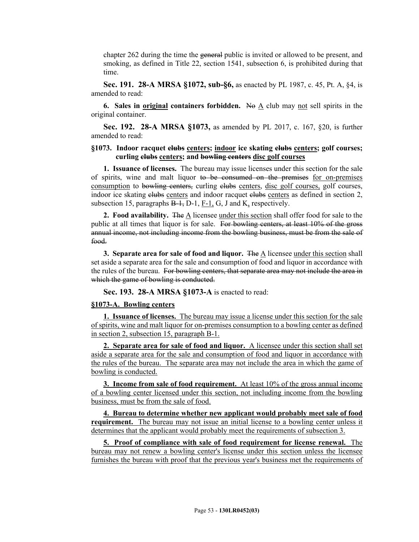chapter 262 during the time the general public is invited or allowed to be present, and smoking, as defined in Title 22, section 1541, subsection 6, is prohibited during that time.

**Sec. 191. 28-A MRSA §1072, sub-§6,** as enacted by PL 1987, c. 45, Pt. A, §4, is amended to read:

**6. Sales in <u>original</u> containers forbidden.** No  $\underline{A}$  club may not sell spirits in the original container.

**Sec. 192. 28-A MRSA §1073,** as amended by PL 2017, c. 167, §20, is further amended to read:

# **§1073. Indoor racquet clubs centers; indoor ice skating clubs centers; golf courses; curling clubs centers; and bowling centers disc golf courses**

**1. Issuance of licenses.** The bureau may issue licenses under this section for the sale of spirits, wine and malt liquor to be consumed on the premises for on-premises consumption to bowling centers, curling clubs centers, disc golf courses, golf courses, indoor ice skating clubs centers and indoor racquet clubs centers as defined in section 2, subsection 15, paragraphs  $B-1$ ,  $D-1$ ,  $F-1$ ,  $G$ ,  $J$  and  $K<sub>x</sub>$  respectively.

**2. Food availability.** The A licensee under this section shall offer food for sale to the public at all times that liquor is for sale. For bowling centers, at least 10% of the gross annual income, not including income from the bowling business, must be from the sale of food.

**3. Separate area for sale of food and liquor.** The A licensee under this section shall set aside a separate area for the sale and consumption of food and liquor in accordance with the rules of the bureau. For bowling centers, that separate area may not include the area in which the game of bowling is conducted.

**Sec. 193. 28-A MRSA §1073-A** is enacted to read:

# **§1073-A. Bowling centers**

**1. Issuance of licenses.** The bureau may issue a license under this section for the sale of spirits, wine and malt liquor for on-premises consumption to a bowling center as defined in section 2, subsection 15, paragraph B-1.

**2. Separate area for sale of food and liquor.** A licensee under this section shall set aside a separate area for the sale and consumption of food and liquor in accordance with the rules of the bureau. The separate area may not include the area in which the game of bowling is conducted.

**3. Income from sale of food requirement.** At least 10% of the gross annual income of a bowling center licensed under this section, not including income from the bowling business, must be from the sale of food.

**4. Bureau to determine whether new applicant would probably meet sale of food requirement.** The bureau may not issue an initial license to a bowling center unless it determines that the applicant would probably meet the requirements of subsection 3.

**5. Proof of compliance with sale of food requirement for license renewal.** The bureau may not renew a bowling center's license under this section unless the licensee furnishes the bureau with proof that the previous year's business met the requirements of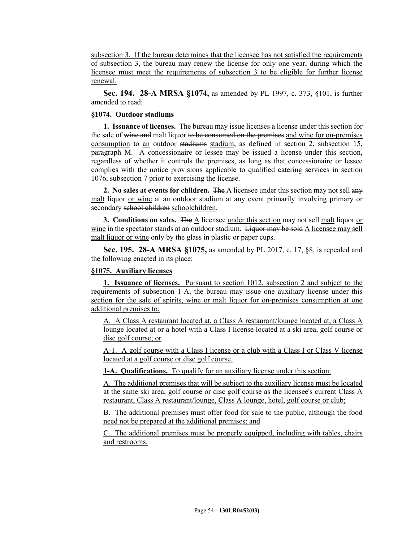subsection 3. If the bureau determines that the licensee has not satisfied the requirements of subsection 3, the bureau may renew the license for only one year, during which the licensee must meet the requirements of subsection 3 to be eligible for further license renewal.

**Sec. 194. 28-A MRSA §1074,** as amended by PL 1997, c. 373, §101, is further amended to read:

# **§1074. Outdoor stadiums**

**1. Issuance of licenses.** The bureau may issue licenses a license under this section for the sale of wine and malt liquor to be consumed on the premises and wine for on-premises consumption to an outdoor stadiums stadium, as defined in section 2, subsection 15, paragraph M. A concessionaire or lessee may be issued a license under this section, regardless of whether it controls the premises, as long as that concessionaire or lessee complies with the notice provisions applicable to qualified catering services in section 1076, subsection 7 prior to exercising the license.

**2. No sales at events for children.** The  $\Delta$  licensee under this section may not sell any malt liquor or wine at an outdoor stadium at any event primarily involving primary or secondary school children schoolchildren.

**3. Conditions on sales.** The A licensee under this section may not sell malt liquor or wine in the spectator stands at an outdoor stadium. Liquor may be sold A licensee may sell malt liquor or wine only by the glass in plastic or paper cups.

**Sec. 195. 28-A MRSA §1075,** as amended by PL 2017, c. 17, §8, is repealed and the following enacted in its place:

# **§1075. Auxiliary licenses**

**1. Issuance of licenses.** Pursuant to section 1012, subsection 2 and subject to the requirements of subsection 1-A, the bureau may issue one auxiliary license under this section for the sale of spirits, wine or malt liquor for on-premises consumption at one additional premises to:

A. A Class A restaurant located at, a Class A restaurant/lounge located at, a Class A lounge located at or a hotel with a Class I license located at a ski area, golf course or disc golf course; or

A-1. A golf course with a Class I license or a club with a Class I or Class V license located at a golf course or disc golf course.

**1-A. Qualifications.** To qualify for an auxiliary license under this section:

A. The additional premises that will be subject to the auxiliary license must be located at the same ski area, golf course or disc golf course as the licensee's current Class A restaurant, Class A restaurant/lounge, Class A lounge, hotel, golf course or club;

B. The additional premises must offer food for sale to the public, although the food need not be prepared at the additional premises; and

C. The additional premises must be properly equipped, including with tables, chairs and restrooms.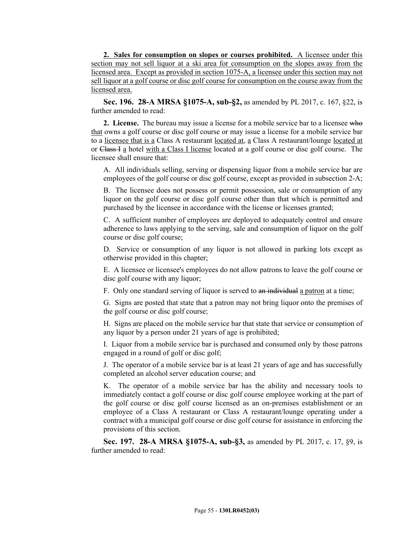**2. Sales for consumption on slopes or courses prohibited.** A licensee under this section may not sell liquor at a ski area for consumption on the slopes away from the licensed area. Except as provided in section 1075-A, a licensee under this section may not sell liquor at a golf course or disc golf course for consumption on the course away from the licensed area.

**Sec. 196. 28-A MRSA §1075-A, sub-§2,** as amended by PL 2017, c. 167, §22, is further amended to read:

**2. License.** The bureau may issue a license for a mobile service bar to a licensee who that owns a golf course or disc golf course or may issue a license for a mobile service bar to a licensee that is a Class A restaurant located at, a Class A restaurant/lounge located at or Class I a hotel with a Class I license located at a golf course or disc golf course. The licensee shall ensure that:

A. All individuals selling, serving or dispensing liquor from a mobile service bar are employees of the golf course or disc golf course, except as provided in subsection 2-A;

B. The licensee does not possess or permit possession, sale or consumption of any liquor on the golf course or disc golf course other than that which is permitted and purchased by the licensee in accordance with the license or licenses granted;

C. A sufficient number of employees are deployed to adequately control and ensure adherence to laws applying to the serving, sale and consumption of liquor on the golf course or disc golf course;

D. Service or consumption of any liquor is not allowed in parking lots except as otherwise provided in this chapter;

E. A licensee or licensee's employees do not allow patrons to leave the golf course or disc golf course with any liquor;

F. Only one standard serving of liquor is served to an individual a patron at a time;

G. Signs are posted that state that a patron may not bring liquor onto the premises of the golf course or disc golf course;

H. Signs are placed on the mobile service bar that state that service or consumption of any liquor by a person under 21 years of age is prohibited;

I. Liquor from a mobile service bar is purchased and consumed only by those patrons engaged in a round of golf or disc golf;

J. The operator of a mobile service bar is at least 21 years of age and has successfully completed an alcohol server education course; and

K. The operator of a mobile service bar has the ability and necessary tools to immediately contact a golf course or disc golf course employee working at the part of the golf course or disc golf course licensed as an on-premises establishment or an employee of a Class A restaurant or Class A restaurant/lounge operating under a contract with a municipal golf course or disc golf course for assistance in enforcing the provisions of this section.

**Sec. 197. 28-A MRSA §1075-A, sub-§3,** as amended by PL 2017, c. 17, §9, is further amended to read: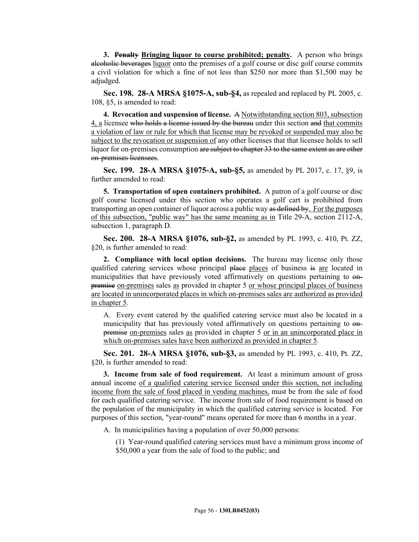**3. Penalty Bringing liquor to course prohibited; penalty.** A person who brings alcoholic beverages liquor onto the premises of a golf course or disc golf course commits a civil violation for which a fine of not less than \$250 nor more than \$1,500 may be adjudged.

**Sec. 198. 28-A MRSA §1075-A, sub-§4,** as repealed and replaced by PL 2005, c. 108, §5, is amended to read:

**4. Revocation and suspension of license.** A Notwithstanding section 803, subsection 4, a licensee who holds a license issued by the bureau under this section and that commits a violation of law or rule for which that license may be revoked or suspended may also be subject to the revocation or suspension of any other licenses that that licensee holds to sell liquor for on-premises consumption are subject to chapter 33 to the same extent as are other on-premises licensees.

**Sec. 199. 28-A MRSA §1075-A, sub-§5,** as amended by PL 2017, c. 17, §9, is further amended to read:

**5. Transportation of open containers prohibited.** A patron of a golf course or disc golf course licensed under this section who operates a golf cart is prohibited from transporting an open container of liquor across a public way as defined by. For the purposes of this subsection, "public way" has the same meaning as in Title 29-A, section 2112-A, subsection 1, paragraph D.

**Sec. 200. 28-A MRSA §1076, sub-§2,** as amended by PL 1993, c. 410, Pt. ZZ, §20, is further amended to read:

**2. Compliance with local option decisions.** The bureau may license only those qualified catering services whose principal place places of business is are located in municipalities that have previously voted affirmatively on questions pertaining to onpremise on-premises sales as provided in chapter 5 or whose principal places of business are located in unincorporated places in which on-premises sales are authorized as provided in chapter 5.

A. Every event catered by the qualified catering service must also be located in a municipality that has previously voted affirmatively on questions pertaining to onpremise on-premises sales as provided in chapter 5 or in an unincorporated place in which on-premises sales have been authorized as provided in chapter 5.

**Sec. 201. 28-A MRSA §1076, sub-§3,** as amended by PL 1993, c. 410, Pt. ZZ, §20, is further amended to read:

**3. Income from sale of food requirement.** At least a minimum amount of gross annual income of a qualified catering service licensed under this section, not including income from the sale of food placed in vending machines, must be from the sale of food for each qualified catering service. The income from sale of food requirement is based on the population of the municipality in which the qualified catering service is located. For purposes of this section, "year-round" means operated for more than 6 months in a year.

A. In municipalities having a population of over 50,000 persons:

(1) Year-round qualified catering services must have a minimum gross income of \$50,000 a year from the sale of food to the public; and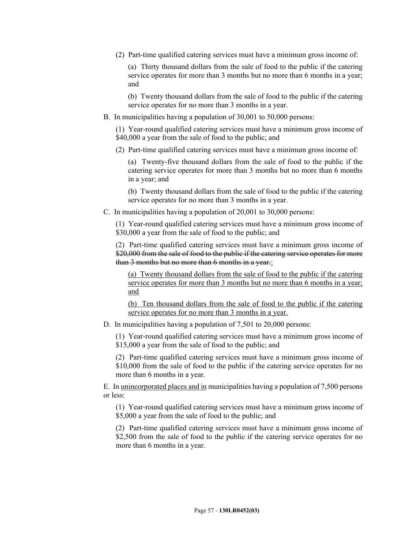(2) Part-time qualified catering services must have a minimum gross income of:

(a) Thirty thousand dollars from the sale of food to the public if the catering service operates for more than 3 months but no more than 6 months in a year; and

(b) Twenty thousand dollars from the sale of food to the public if the catering service operates for no more than 3 months in a year.

B. In municipalities having a population of 30,001 to 50,000 persons:

(1) Year-round qualified catering services must have a minimum gross income of \$40,000 a year from the sale of food to the public; and

(2) Part-time qualified catering services must have a minimum gross income of:

(a) Twenty-five thousand dollars from the sale of food to the public if the catering service operates for more than 3 months but no more than 6 months in a year; and

(b) Twenty thousand dollars from the sale of food to the public if the catering service operates for no more than 3 months in a year.

C. In municipalities having a population of 20,001 to 30,000 persons:

(1) Year-round qualified catering services must have a minimum gross income of \$30,000 a year from the sale of food to the public; and

(2) Part-time qualified catering services must have a minimum gross income of \$20,000 from the sale of food to the public if the catering service operates for more than 3 months but no more than 6 months in a year.:

(a) Twenty thousand dollars from the sale of food to the public if the catering service operates for more than 3 months but no more than 6 months in a year; and

(b) Ten thousand dollars from the sale of food to the public if the catering service operates for no more than 3 months in a year.

D. In municipalities having a population of 7,501 to 20,000 persons:

(1) Year-round qualified catering services must have a minimum gross income of \$15,000 a year from the sale of food to the public; and

(2) Part-time qualified catering services must have a minimum gross income of \$10,000 from the sale of food to the public if the catering service operates for no more than 6 months in a year.

E. In unincorporated places and in municipalities having a population of 7,500 persons or less:

(1) Year-round qualified catering services must have a minimum gross income of \$5,000 a year from the sale of food to the public; and

(2) Part-time qualified catering services must have a minimum gross income of \$2,500 from the sale of food to the public if the catering service operates for no more than 6 months in a year.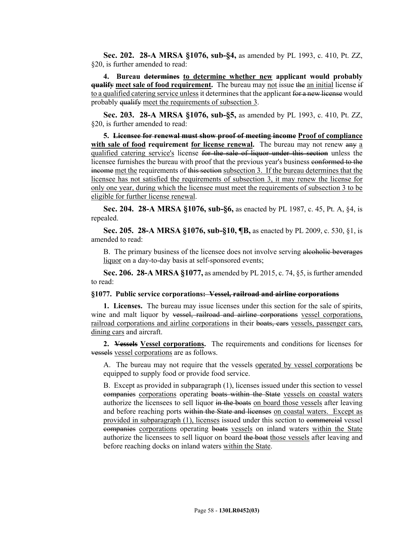**Sec. 202. 28-A MRSA §1076, sub-§4,** as amended by PL 1993, c. 410, Pt. ZZ, §20, is further amended to read:

**4. Bureau determines to determine whether new applicant would probably qualify meet sale of food requirement.** The bureau may not issue the an initial license if to a qualified catering service unless it determines that the applicant for a new license would probably qualify meet the requirements of subsection 3.

**Sec. 203. 28-A MRSA §1076, sub-§5,** as amended by PL 1993, c. 410, Pt. ZZ, §20, is further amended to read:

**5. Licensee for renewal must show proof of meeting income Proof of compliance with sale of food requirement for license renewal.** The bureau may not renew any a qualified catering service's license for the sale of liquor under this section unless the licensee furnishes the bureau with proof that the previous year's business conformed to the income met the requirements of this section subsection 3. If the bureau determines that the licensee has not satisfied the requirements of subsection 3, it may renew the license for only one year, during which the licensee must meet the requirements of subsection 3 to be eligible for further license renewal.

**Sec. 204. 28-A MRSA §1076, sub-§6,** as enacted by PL 1987, c. 45, Pt. A, §4, is repealed.

**Sec. 205. 28-A MRSA §1076, sub-§10, ¶B,** as enacted by PL 2009, c. 530, §1, is amended to read:

B. The primary business of the licensee does not involve serving alcoholic beverages liquor on a day-to-day basis at self-sponsored events;

**Sec. 206. 28-A MRSA §1077,** as amended by PL 2015, c. 74, §5, is further amended to read:

### **§1077. Public service corporations: Vessel, railroad and airline corporations**

**1. Licenses.** The bureau may issue licenses under this section for the sale of spirits, wine and malt liquor by vessel, railroad and airline corporations vessel corporations, railroad corporations and airline corporations in their boats, cars vessels, passenger cars, dining cars and aircraft.

**2. Vessels Vessel corporations.** The requirements and conditions for licenses for vessels vessel corporations are as follows.

A. The bureau may not require that the vessels operated by vessel corporations be equipped to supply food or provide food service.

B. Except as provided in subparagraph (1), licenses issued under this section to vessel companies corporations operating boats within the State vessels on coastal waters authorize the licensees to sell liquor in the boats on board those vessels after leaving and before reaching ports within the State and licenses on coastal waters. Except as provided in subparagraph (1), licenses issued under this section to commercial vessel companies corporations operating boats vessels on inland waters within the State authorize the licensees to sell liquor on board the boat those vessels after leaving and before reaching docks on inland waters within the State.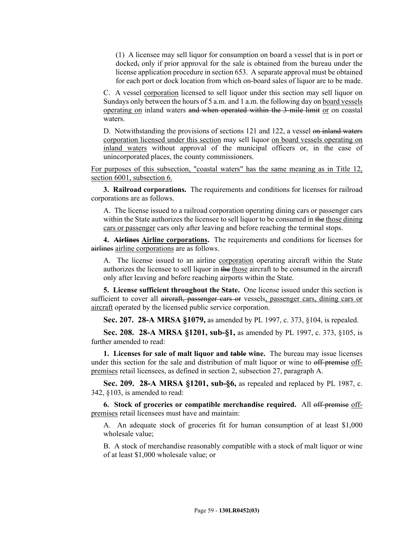(1) A licensee may sell liquor for consumption on board a vessel that is in port or docked, only if prior approval for the sale is obtained from the bureau under the license application procedure in section 653. A separate approval must be obtained for each port or dock location from which on-board sales of liquor are to be made.

C. A vessel corporation licensed to sell liquor under this section may sell liquor on Sundays only between the hours of 5 a.m. and 1 a.m. the following day on board vessels operating on inland waters and when operated within the 3-mile limit or on coastal waters.

D. Notwithstanding the provisions of sections 121 and 122, a vessel on inland waters corporation licensed under this section may sell liquor on board vessels operating on inland waters without approval of the municipal officers or, in the case of unincorporated places, the county commissioners.

For purposes of this subsection, "coastal waters" has the same meaning as in Title 12, section 6001, subsection 6.

**3. Railroad corporations.** The requirements and conditions for licenses for railroad corporations are as follows.

A. The license issued to a railroad corporation operating dining cars or passenger cars within the State authorizes the licensee to sell liquor to be consumed in the those dining cars or passenger cars only after leaving and before reaching the terminal stops.

**4. Airlines Airline corporations.** The requirements and conditions for licenses for airlines airline corporations are as follows.

A. The license issued to an airline corporation operating aircraft within the State authorizes the licensee to sell liquor in the those aircraft to be consumed in the aircraft only after leaving and before reaching airports within the State.

**5. License sufficient throughout the State.** One license issued under this section is sufficient to cover all aircraft, passenger cars or vessels, passenger cars, dining cars or aircraft operated by the licensed public service corporation.

**Sec. 207. 28-A MRSA §1079,** as amended by PL 1997, c. 373, §104, is repealed.

**Sec. 208. 28-A MRSA §1201, sub-§1,** as amended by PL 1997, c. 373, §105, is further amended to read:

**1. Licenses for sale of malt liquor and table wine.** The bureau may issue licenses under this section for the sale and distribution of malt liquor or wine to off-premise offpremises retail licensees, as defined in section 2, subsection 27, paragraph A.

**Sec. 209. 28-A MRSA §1201, sub-§6,** as repealed and replaced by PL 1987, c. 342, §103, is amended to read:

**6. Stock of groceries or compatible merchandise required.** All off-premise offpremises retail licensees must have and maintain:

A. An adequate stock of groceries fit for human consumption of at least \$1,000 wholesale value;

B. A stock of merchandise reasonably compatible with a stock of malt liquor or wine of at least \$1,000 wholesale value; or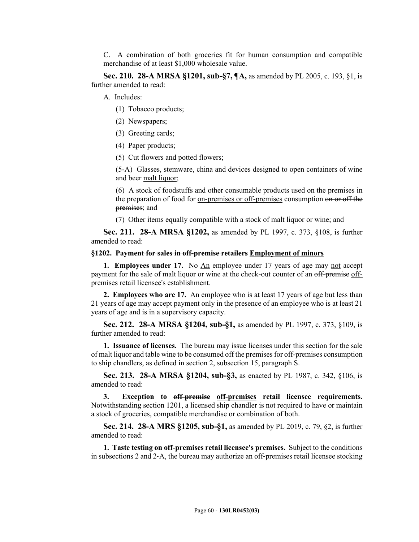C. A combination of both groceries fit for human consumption and compatible merchandise of at least \$1,000 wholesale value.

**Sec. 210. 28-A MRSA §1201, sub-§7, ¶A,** as amended by PL 2005, c. 193, §1, is further amended to read:

A. Includes:

- (1) Tobacco products;
- (2) Newspapers;
- (3) Greeting cards;
- (4) Paper products;
- (5) Cut flowers and potted flowers;

(5-A) Glasses, stemware, china and devices designed to open containers of wine and beer malt liquor;

(6) A stock of foodstuffs and other consumable products used on the premises in the preparation of food for on-premises or off-premises consumption on or off the premises; and

(7) Other items equally compatible with a stock of malt liquor or wine; and

**Sec. 211. 28-A MRSA §1202,** as amended by PL 1997, c. 373, §108, is further amended to read:

#### **§1202. Payment for sales in off-premise retailers Employment of minors**

**1. Employees under 17.** No An employee under 17 years of age may not accept payment for the sale of malt liquor or wine at the check-out counter of an off-premise offpremises retail licensee's establishment.

**2. Employees who are 17.** An employee who is at least 17 years of age but less than 21 years of age may accept payment only in the presence of an employee who is at least 21 years of age and is in a supervisory capacity.

**Sec. 212. 28-A MRSA §1204, sub-§1,** as amended by PL 1997, c. 373, §109, is further amended to read:

**1. Issuance of licenses.** The bureau may issue licenses under this section for the sale of malt liquor and table wine to be consumed off the premises for off-premises consumption to ship chandlers, as defined in section 2, subsection 15, paragraph S.

**Sec. 213. 28-A MRSA §1204, sub-§3,** as enacted by PL 1987, c. 342, §106, is amended to read:

**3. Exception to off-premise off-premises retail licensee requirements.**  Notwithstanding section 1201, a licensed ship chandler is not required to have or maintain a stock of groceries, compatible merchandise or combination of both.

**Sec. 214. 28-A MRS §1205, sub-§1,** as amended by PL 2019, c. 79, §2, is further amended to read:

**1. Taste testing on off-premises retail licensee's premises.** Subject to the conditions in subsections 2 and 2–A, the bureau may authorize an off-premises retail licensee stocking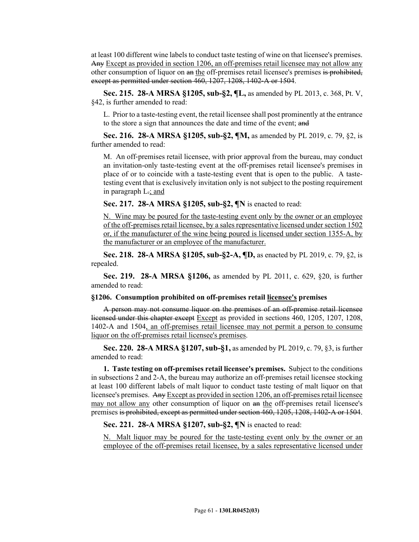at least 100 different wine labels to conduct taste testing of wine on that licensee's premises. Any Except as provided in section 1206, an off-premises retail licensee may not allow any other consumption of liquor on an the off-premises retail licensee's premises is prohibited. except as permitted under section 460, 1207, 1208, 1402-A or 1504.

**Sec. 215. 28-A MRSA §1205, sub-§2, ¶L,** as amended by PL 2013, c. 368, Pt. V, §42, is further amended to read:

L. Prior to a taste-testing event, the retail licensee shall post prominently at the entrance to the store a sign that announces the date and time of the event; and

**Sec. 216. 28-A MRSA §1205, sub-§2, ¶M,** as amended by PL 2019, c. 79, §2, is further amended to read:

M. An off-premises retail licensee, with prior approval from the bureau, may conduct an invitation-only taste-testing event at the off‑premises retail licensee's premises in place of or to coincide with a taste-testing event that is open to the public. A tastetesting event that is exclusively invitation only is not subject to the posting requirement in paragraph  $L$ .; and

**Sec. 217. 28-A MRSA §1205, sub-§2, ¶N** is enacted to read:

N. Wine may be poured for the taste-testing event only by the owner or an employee of the off-premises retail licensee, by a sales representative licensed under section 1502 or, if the manufacturer of the wine being poured is licensed under section 1355-A, by the manufacturer or an employee of the manufacturer.

**Sec. 218. 28-A MRSA §1205, sub-§2-A, ¶D,** as enacted by PL 2019, c. 79, §2, is repealed.

**Sec. 219. 28-A MRSA §1206,** as amended by PL 2011, c. 629, §20, is further amended to read:

### **§1206. Consumption prohibited on off-premises retail licensee's premises**

A person may not consume liquor on the premises of an off-premise retail licensee licensed under this chapter except Except as provided in sections 460, 1205, 1207, 1208, 1402-A and 1504, an off-premises retail licensee may not permit a person to consume liquor on the off-premises retail licensee's premises.

**Sec. 220. 28-A MRSA §1207, sub-§1,** as amended by PL 2019, c. 79, §3, is further amended to read:

**1. Taste testing on off-premises retail licensee's premises.** Subject to the conditions in subsections 2 and 2-A, the bureau may authorize an off-premises retail licensee stocking at least 100 different labels of malt liquor to conduct taste testing of malt liquor on that licensee's premises. Any Except as provided in section 1206, an off-premises retail licensee may not allow any other consumption of liquor on an the off-premises retail licensee's premises is prohibited, except as permitted under section 460, 1205, 1208, 1402‑A or 1504.

**Sec. 221. 28-A MRSA §1207, sub-§2, ¶N** is enacted to read:

N. Malt liquor may be poured for the taste-testing event only by the owner or an employee of the off-premises retail licensee, by a sales representative licensed under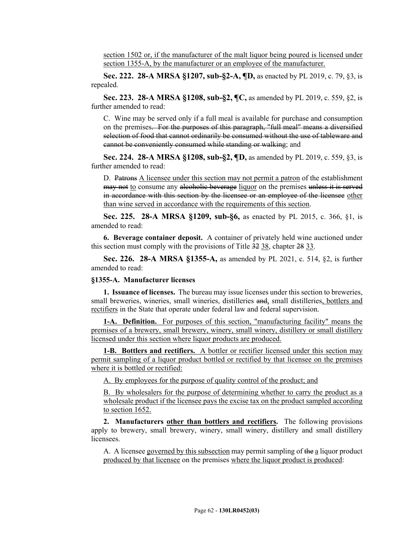section 1502 or, if the manufacturer of the malt liquor being poured is licensed under section 1355-A, by the manufacturer or an employee of the manufacturer.

**Sec. 222. 28-A MRSA §1207, sub-§2-A, ¶D,** as enacted by PL 2019, c. 79, §3, is repealed.

**Sec. 223. 28-A MRSA §1208, sub-§2, ¶C,** as amended by PL 2019, c. 559, §2, is further amended to read:

C. Wine may be served only if a full meal is available for purchase and consumption on the premises. For the purposes of this paragraph, "full meal" means a diversified selection of food that cannot ordinarily be consumed without the use of tableware and cannot be conveniently consumed while standing or walking; and

**Sec. 224. 28-A MRSA §1208, sub-§2, ¶D,** as amended by PL 2019, c. 559, §3, is further amended to read:

D. Patrons A licensee under this section may not permit a patron of the establishment may not to consume any alcoholic beverage liquor on the premises unless it is served in accordance with this section by the licensee or an employee of the licensee other than wine served in accordance with the requirements of this section.

**Sec. 225. 28-A MRSA §1209, sub-§6,** as enacted by PL 2015, c. 366, §1, is amended to read:

**6. Beverage container deposit.** A container of privately held wine auctioned under this section must comply with the provisions of Title 32 38, chapter 28 33.

**Sec. 226. 28-A MRSA §1355-A,** as amended by PL 2021, c. 514, §2, is further amended to read:

#### **§1355-A. Manufacturer licenses**

**1. Issuance of licenses.** The bureau may issue licenses under this section to breweries, small breweries, wineries, small wineries, distilleries and, small distilleries, bottlers and rectifiers in the State that operate under federal law and federal supervision.

**1-A. Definition.** For purposes of this section, "manufacturing facility" means the premises of a brewery, small brewery, winery, small winery, distillery or small distillery licensed under this section where liquor products are produced.

**1-B. Bottlers and rectifiers.** A bottler or rectifier licensed under this section may permit sampling of a liquor product bottled or rectified by that licensee on the premises where it is bottled or rectified:

A. By employees for the purpose of quality control of the product; and

B. By wholesalers for the purpose of determining whether to carry the product as a wholesale product if the licensee pays the excise tax on the product sampled according to section 1652.

**2. Manufacturers other than bottlers and rectifiers.** The following provisions apply to brewery, small brewery, winery, small winery, distillery and small distillery licensees.

A. A licensee governed by this subsection may permit sampling of the a liquor product produced by that licensee on the premises where the liquor product is produced: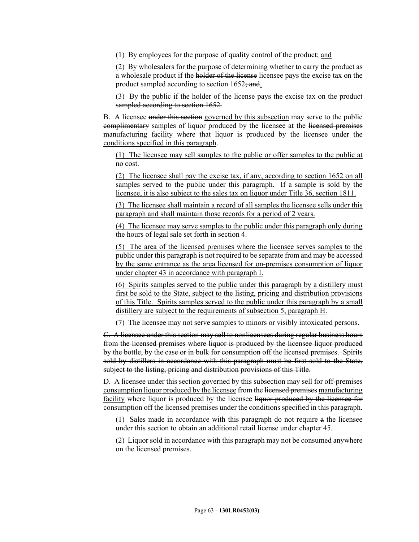(1) By employees for the purpose of quality control of the product; and

(2) By wholesalers for the purpose of determining whether to carry the product as a wholesale product if the holder of the license licensee pays the excise tax on the product sampled according to section  $1652$ ; and.

(3) By the public if the holder of the license pays the excise tax on the product sampled according to section 1652.

B. A licensee under this section governed by this subsection may serve to the public complimentary samples of liquor produced by the licensee at the licensed premises manufacturing facility where that liquor is produced by the licensee under the conditions specified in this paragraph.

(1) The licensee may sell samples to the public or offer samples to the public at no cost.

(2) The licensee shall pay the excise tax, if any, according to section 1652 on all samples served to the public under this paragraph. If a sample is sold by the licensee, it is also subject to the sales tax on liquor under Title 36, section 1811.

(3) The licensee shall maintain a record of all samples the licensee sells under this paragraph and shall maintain those records for a period of 2 years.

(4) The licensee may serve samples to the public under this paragraph only during the hours of legal sale set forth in section 4.

(5) The area of the licensed premises where the licensee serves samples to the public under this paragraph is not required to be separate from and may be accessed by the same entrance as the area licensed for on-premises consumption of liquor under chapter 43 in accordance with paragraph I.

(6) Spirits samples served to the public under this paragraph by a distillery must first be sold to the State, subject to the listing, pricing and distribution provisions of this Title. Spirits samples served to the public under this paragraph by a small distillery are subject to the requirements of subsection 5, paragraph H.

(7) The licensee may not serve samples to minors or visibly intoxicated persons.

C. A licensee under this section may sell to nonlicensees during regular business hours from the licensed premises where liquor is produced by the licensee liquor produced by the bottle, by the case or in bulk for consumption off the licensed premises. Spirits sold by distillers in accordance with this paragraph must be first sold to the State, subject to the listing, pricing and distribution provisions of this Title.

D. A licensee under this section governed by this subsection may sell for off-premises consumption liquor produced by the licensee from the licensed premises manufacturing facility where liquor is produced by the licensee liquor produced by the licensee for consumption off the licensed premises under the conditions specified in this paragraph.

(1) Sales made in accordance with this paragraph do not require a the licensee under this section to obtain an additional retail license under chapter 45.

(2) Liquor sold in accordance with this paragraph may not be consumed anywhere on the licensed premises.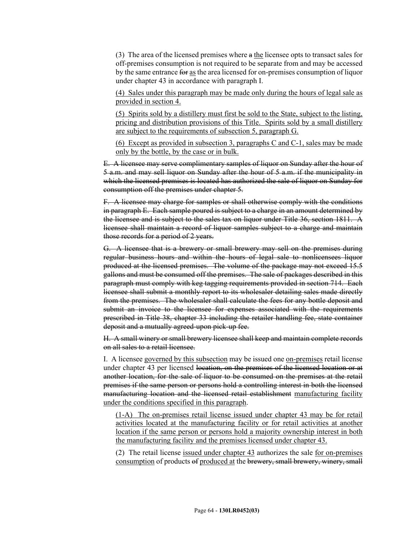(3) The area of the licensed premises where  $a$  the licensee opts to transact sales for off-premises consumption is not required to be separate from and may be accessed by the same entrance for as the area licensed for on-premises consumption of liquor under chapter 43 in accordance with paragraph I.

(4) Sales under this paragraph may be made only during the hours of legal sale as provided in section 4.

(5) Spirits sold by a distillery must first be sold to the State, subject to the listing, pricing and distribution provisions of this Title. Spirits sold by a small distillery are subject to the requirements of subsection 5, paragraph G.

(6) Except as provided in subsection 3, paragraphs C and C-1, sales may be made only by the bottle, by the case or in bulk.

E. A licensee may serve complimentary samples of liquor on Sunday after the hour of 5 a.m. and may sell liquor on Sunday after the hour of 5 a.m. if the municipality in which the licensed premises is located has authorized the sale of liquor on Sunday for consumption off the premises under chapter 5.

F. A licensee may charge for samples or shall otherwise comply with the conditions in paragraph E. Each sample poured is subject to a charge in an amount determined by the licensee and is subject to the sales tax on liquor under Title 36, section 1811. A licensee shall maintain a record of liquor samples subject to a charge and maintain those records for a period of 2 years.

G. A licensee that is a brewery or small brewery may sell on the premises during regular business hours and within the hours of legal sale to nonlicensees liquor produced at the licensed premises. The volume of the package may not exceed 15.5 gallons and must be consumed off the premises. The sale of packages described in this paragraph must comply with keg tagging requirements provided in section 714. Each licensee shall submit a monthly report to its wholesaler detailing sales made directly from the premises. The wholesaler shall calculate the fees for any bottle deposit and submit an invoice to the licensee for expenses associated with the requirements prescribed in Title 38, chapter 33 including the retailer handling fee, state container deposit and a mutually agreed-upon pick-up fee.

H. A small winery or small brewery licensee shall keep and maintain complete records on all sales to a retail licensee.

I. A licensee governed by this subsection may be issued one on-premises retail license under chapter 43 per licensed location, on the premises of the licensed location or at another location, for the sale of liquor to be consumed on the premises at the retail premises if the same person or persons hold a controlling interest in both the licensed manufacturing location and the licensed retail establishment manufacturing facility under the conditions specified in this paragraph.

(1-A) The on-premises retail license issued under chapter 43 may be for retail activities located at the manufacturing facility or for retail activities at another location if the same person or persons hold a majority ownership interest in both the manufacturing facility and the premises licensed under chapter 43.

(2) The retail license issued under chapter 43 authorizes the sale for on-premises consumption of products of produced at the brewery, small brewery, winery, small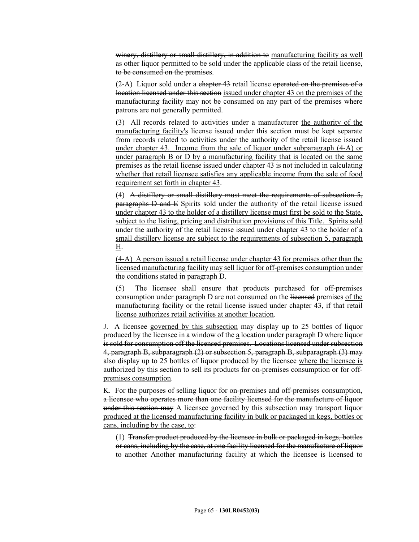winery, distillery or small distillery, in addition to manufacturing facility as well as other liquor permitted to be sold under the applicable class of the retail license, to be consumed on the premises.

 $(2-A)$  Liquor sold under a chapter 43 retail license operated on the premises of a location licensed under this section issued under chapter 43 on the premises of the manufacturing facility may not be consumed on any part of the premises where patrons are not generally permitted.

(3) All records related to activities under a manufacturer the authority of the manufacturing facility's license issued under this section must be kept separate from records related to activities under the authority of the retail license issued under chapter 43. Income from the sale of liquor under subparagraph (4-A) or under paragraph B or D by a manufacturing facility that is located on the same premises as the retail license issued under chapter 43 is not included in calculating whether that retail licensee satisfies any applicable income from the sale of food requirement set forth in chapter 43.

(4) A distillery or small distillery must meet the requirements of subsection  $5$ . paragraphs D and E Spirits sold under the authority of the retail license issued under chapter 43 to the holder of a distillery license must first be sold to the State, subject to the listing, pricing and distribution provisions of this Title. Spirits sold under the authority of the retail license issued under chapter 43 to the holder of a small distillery license are subject to the requirements of subsection 5, paragraph H.

(4-A) A person issued a retail license under chapter 43 for premises other than the licensed manufacturing facility may sell liquor for off-premises consumption under the conditions stated in paragraph D.

(5) The licensee shall ensure that products purchased for off-premises consumption under paragraph D are not consumed on the licensed premises of the manufacturing facility or the retail license issued under chapter 43, if that retail license authorizes retail activities at another location.

J. A licensee governed by this subsection may display up to 25 bottles of liquor produced by the licensee in a window of the a location under paragraph D where liquor is sold for consumption off the licensed premises. Locations licensed under subsection 4, paragraph B, subparagraph (2) or subsection 5, paragraph B, subparagraph (3) may also display up to 25 bottles of liquor produced by the licensee where the licensee is authorized by this section to sell its products for on-premises consumption or for offpremises consumption.

K. For the purposes of selling liquor for on-premises and off-premises consumption, a licensee who operates more than one facility licensed for the manufacture of liquor under this section may A licensee governed by this subsection may transport liquor produced at the licensed manufacturing facility in bulk or packaged in kegs, bottles or cans, including by the case, to:

(1) Transfer product produced by the licensee in bulk or packaged in kegs, bottles or cans, including by the case, at one facility licensed for the manufacture of liquor to another Another manufacturing facility at which the licensee is licensed to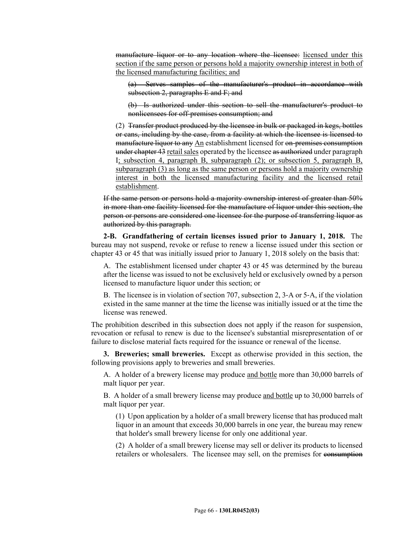manufacture liquor or to any location where the licensee: licensed under this section if the same person or persons hold a majority ownership interest in both of the licensed manufacturing facilities; and

(a) Serves samples of the manufacturer's product in accordance with subsection 2, paragraphs  $E$  and  $F$ ; and

(b) Is authorized under this section to sell the manufacturer's product to nonlicensees for off-premises consumption; and

(2) Transfer product produced by the licensee in bulk or packaged in kegs, bottles or cans, including by the case, from a facility at which the licensee is licensed to manufacture liquor to any An establishment licensed for on-premises consumption under chapter 43 retail sales operated by the licensee as authorized under paragraph I; subsection 4, paragraph B, subparagraph (2); or subsection 5, paragraph B, subparagraph (3) as long as the same person or persons hold a majority ownership interest in both the licensed manufacturing facility and the licensed retail establishment.

If the same person or persons hold a majority ownership interest of greater than 50% in more than one facility licensed for the manufacture of liquor under this section, the person or persons are considered one licensee for the purpose of transferring liquor as authorized by this paragraph.

**2-B. Grandfathering of certain licenses issued prior to January 1, 2018.** The bureau may not suspend, revoke or refuse to renew a license issued under this section or chapter 43 or 45 that was initially issued prior to January 1, 2018 solely on the basis that:

A. The establishment licensed under chapter 43 or 45 was determined by the bureau after the license was issued to not be exclusively held or exclusively owned by a person licensed to manufacture liquor under this section; or

B. The licensee is in violation of section 707, subsection 2, 3‑A or 5‑A, if the violation existed in the same manner at the time the license was initially issued or at the time the license was renewed.

The prohibition described in this subsection does not apply if the reason for suspension, revocation or refusal to renew is due to the licensee's substantial misrepresentation of or failure to disclose material facts required for the issuance or renewal of the license.

**3. Breweries; small breweries.** Except as otherwise provided in this section, the following provisions apply to breweries and small breweries.

A. A holder of a brewery license may produce and bottle more than 30,000 barrels of malt liquor per year.

B. A holder of a small brewery license may produce and bottle up to 30,000 barrels of malt liquor per year.

(1) Upon application by a holder of a small brewery license that has produced malt liquor in an amount that exceeds 30,000 barrels in one year, the bureau may renew that holder's small brewery license for only one additional year.

(2) A holder of a small brewery license may sell or deliver its products to licensed retailers or wholesalers. The licensee may sell, on the premises for consumption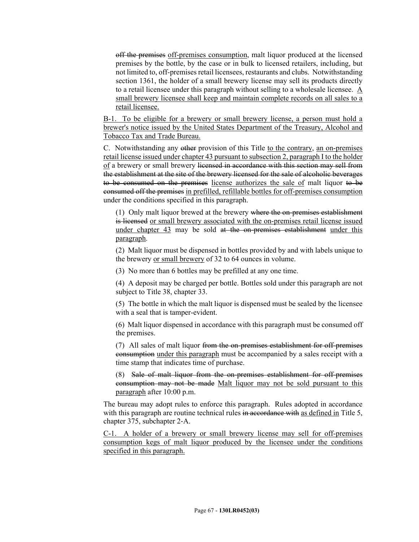off the premises off-premises consumption, malt liquor produced at the licensed premises by the bottle, by the case or in bulk to licensed retailers, including, but not limited to, off-premises retail licensees, restaurants and clubs. Notwithstanding section 1361, the holder of a small brewery license may sell its products directly to a retail licensee under this paragraph without selling to a wholesale licensee.  $\underline{A}$ small brewery licensee shall keep and maintain complete records on all sales to a retail licensee.

B-1. To be eligible for a brewery or small brewery license, a person must hold a brewer's notice issued by the United States Department of the Treasury, Alcohol and Tobacco Tax and Trade Bureau.

C. Notwithstanding any other provision of this Title to the contrary, an on-premises retail license issued under chapter 43 pursuant to subsection 2, paragraph I to the holder of a brewery or small brewery licensed in accordance with this section may sell from the establishment at the site of the brewery licensed for the sale of alcoholic beverages to be consumed on the premises license authorizes the sale of malt liquor to be consumed off the premises in prefilled, refillable bottles for off-premises consumption under the conditions specified in this paragraph.

(1) Only malt liquor brewed at the brewery where the on-premises establishment is licensed or small brewery associated with the on-premises retail license issued under chapter 43 may be sold at the on-premises establishment under this paragraph.

(2) Malt liquor must be dispensed in bottles provided by and with labels unique to the brewery or small brewery of 32 to 64 ounces in volume.

(3) No more than 6 bottles may be prefilled at any one time.

(4) A deposit may be charged per bottle. Bottles sold under this paragraph are not subject to Title 38, chapter 33.

(5) The bottle in which the malt liquor is dispensed must be sealed by the licensee with a seal that is tamper-evident.

(6) Malt liquor dispensed in accordance with this paragraph must be consumed off the premises.

(7) All sales of malt liquor from the on-premises establishment for off-premises consumption under this paragraph must be accompanied by a sales receipt with a time stamp that indicates time of purchase.

(8) Sale of malt liquor from the on-premises establishment for off-premises consumption may not be made Malt liquor may not be sold pursuant to this paragraph after 10:00 p.m.

The bureau may adopt rules to enforce this paragraph. Rules adopted in accordance with this paragraph are routine technical rules in accordance with as defined in Title 5, chapter 375, subchapter 2‑A.

C-1. A holder of a brewery or small brewery license may sell for off-premises consumption kegs of malt liquor produced by the licensee under the conditions specified in this paragraph.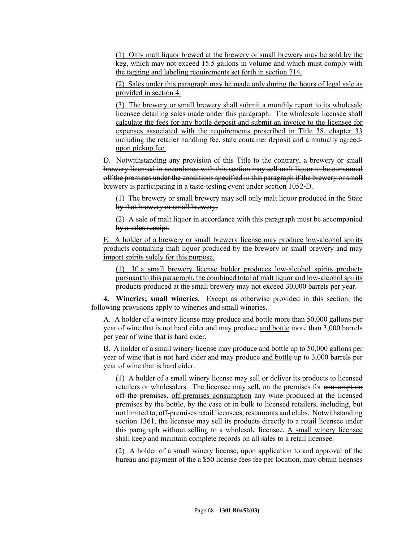(1) Only malt liquor brewed at the brewery or small brewery may be sold by the keg, which may not exceed 15.5 gallons in volume and which must comply with the tagging and labeling requirements set forth in section 714.

(2) Sales under this paragraph may be made only during the hours of legal sale as provided in section 4.

(3) The brewery or small brewery shall submit a monthly report to its wholesale licensee detailing sales made under this paragraph. The wholesale licensee shall calculate the fees for any bottle deposit and submit an invoice to the licensee for expenses associated with the requirements prescribed in Title 38, chapter 33 including the retailer handling fee, state container deposit and a mutually agreedupon pickup fee.

D. Notwithstanding any provision of this Title to the contrary, a brewery or small brewery licensed in accordance with this section may sell malt liquor to be consumed off the premises under the conditions specified in this paragraph if the brewery or small brewery is participating in a taste-testing event under section 1052‑D.

(1) The brewery or small brewery may sell only malt liquor produced in the State by that brewery or small brewery.

(2) A sale of malt liquor in accordance with this paragraph must be accompanied by a sales receipt.

E. A holder of a brewery or small brewery license may produce low-alcohol spirits products containing malt liquor produced by the brewery or small brewery and may import spirits solely for this purpose.

(1) If a small brewery license holder produces low-alcohol spirits products pursuant to this paragraph, the combined total of malt liquor and low-alcohol spirits products produced at the small brewery may not exceed 30,000 barrels per year.

**4. Wineries; small wineries.** Except as otherwise provided in this section, the following provisions apply to wineries and small wineries.

A. A holder of a winery license may produce and bottle more than 50,000 gallons per year of wine that is not hard cider and may produce and bottle more than 3,000 barrels per year of wine that is hard cider.

B. A holder of a small winery license may produce and bottle up to 50,000 gallons per year of wine that is not hard cider and may produce and bottle up to 3,000 barrels per year of wine that is hard cider.

(1) A holder of a small winery license may sell or deliver its products to licensed retailers or wholesalers. The licensee may sell, on the premises for consumption off the premises, off-premises consumption any wine produced at the licensed premises by the bottle, by the case or in bulk to licensed retailers, including, but not limited to, off-premises retail licensees, restaurants and clubs. Notwithstanding section 1361, the licensee may sell its products directly to a retail licensee under this paragraph without selling to a wholesale licensee. A small winery licensee shall keep and maintain complete records on all sales to a retail licensee.

(2) A holder of a small winery license, upon application to and approval of the bureau and payment of the a \$50 license fees fee per location, may obtain licenses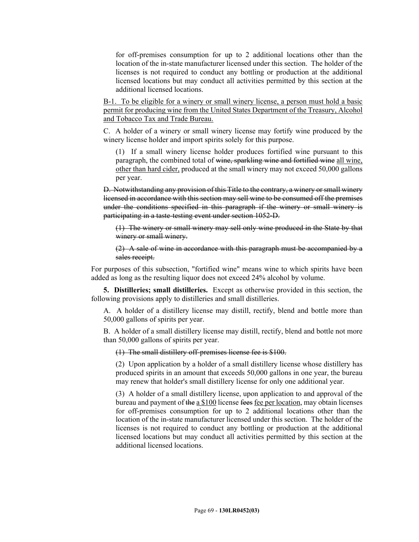for off-premises consumption for up to 2 additional locations other than the location of the in-state manufacturer licensed under this section. The holder of the licenses is not required to conduct any bottling or production at the additional licensed locations but may conduct all activities permitted by this section at the additional licensed locations.

B-1. To be eligible for a winery or small winery license, a person must hold a basic permit for producing wine from the United States Department of the Treasury, Alcohol and Tobacco Tax and Trade Bureau.

C. A holder of a winery or small winery license may fortify wine produced by the winery license holder and import spirits solely for this purpose.

(1) If a small winery license holder produces fortified wine pursuant to this paragraph, the combined total of wine, sparkling wine and fortified wine all wine, other than hard cider, produced at the small winery may not exceed 50,000 gallons per year.

D. Notwithstanding any provision of this Title to the contrary, a winery or small winery licensed in accordance with this section may sell wine to be consumed off the premises under the conditions specified in this paragraph if the winery or small winery is participating in a taste-testing event under section 1052‑D.

(1) The winery or small winery may sell only wine produced in the State by that winery or small winery.

(2) A sale of wine in accordance with this paragraph must be accompanied by a sales receipt.

For purposes of this subsection, "fortified wine" means wine to which spirits have been added as long as the resulting liquor does not exceed 24% alcohol by volume.

**5. Distilleries; small distilleries.** Except as otherwise provided in this section, the following provisions apply to distilleries and small distilleries.

A. A holder of a distillery license may distill, rectify, blend and bottle more than 50,000 gallons of spirits per year.

B. A holder of a small distillery license may distill, rectify, blend and bottle not more than 50,000 gallons of spirits per year.

(1) The small distillery off-premises license fee is \$100.

(2) Upon application by a holder of a small distillery license whose distillery has produced spirits in an amount that exceeds 50,000 gallons in one year, the bureau may renew that holder's small distillery license for only one additional year.

(3) A holder of a small distillery license, upon application to and approval of the bureau and payment of the a \$100 license fees fee per location, may obtain licenses for off-premises consumption for up to 2 additional locations other than the location of the in-state manufacturer licensed under this section. The holder of the licenses is not required to conduct any bottling or production at the additional licensed locations but may conduct all activities permitted by this section at the additional licensed locations.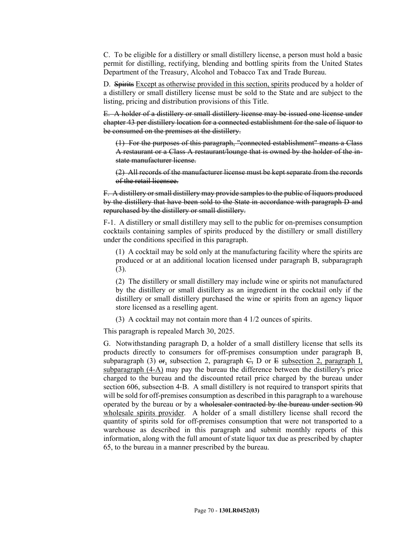C. To be eligible for a distillery or small distillery license, a person must hold a basic permit for distilling, rectifying, blending and bottling spirits from the United States Department of the Treasury, Alcohol and Tobacco Tax and Trade Bureau.

D. Spirits Except as otherwise provided in this section, spirits produced by a holder of a distillery or small distillery license must be sold to the State and are subject to the listing, pricing and distribution provisions of this Title.

E. A holder of a distillery or small distillery license may be issued one license under chapter 43 per distillery location for a connected establishment for the sale of liquor to be consumed on the premises at the distillery.

(1) For the purposes of this paragraph, "connected establishment" means a Class A restaurant or a Class A restaurant/lounge that is owned by the holder of the instate manufacturer license.

(2) All records of the manufacturer license must be kept separate from the records of the retail licensee.

F. A distillery or small distillery may provide samples to the public of liquors produced by the distillery that have been sold to the State in accordance with paragraph D and repurchased by the distillery or small distillery.

F-1. A distillery or small distillery may sell to the public for on-premises consumption cocktails containing samples of spirits produced by the distillery or small distillery under the conditions specified in this paragraph.

(1) A cocktail may be sold only at the manufacturing facility where the spirits are produced or at an additional location licensed under paragraph B, subparagraph (3).

(2) The distillery or small distillery may include wine or spirits not manufactured by the distillery or small distillery as an ingredient in the cocktail only if the distillery or small distillery purchased the wine or spirits from an agency liquor store licensed as a reselling agent.

(3) A cocktail may not contain more than 4 1/2 ounces of spirits.

This paragraph is repealed March 30, 2025.

G. Notwithstanding paragraph D, a holder of a small distillery license that sells its products directly to consumers for off-premises consumption under paragraph B, subparagraph (3)  $\sigma$ <sub>r</sub>, subsection 2, paragraph  $C$ , D or E subsection 2, paragraph I, subparagraph (4-A) may pay the bureau the difference between the distillery's price charged to the bureau and the discounted retail price charged by the bureau under section 606, subsection 4–B. A small distillery is not required to transport spirits that will be sold for off-premises consumption as described in this paragraph to a warehouse operated by the bureau or by a wholesaler contracted by the bureau under section 90 wholesale spirits provider. A holder of a small distillery license shall record the quantity of spirits sold for off-premises consumption that were not transported to a warehouse as described in this paragraph and submit monthly reports of this information, along with the full amount of state liquor tax due as prescribed by chapter 65, to the bureau in a manner prescribed by the bureau.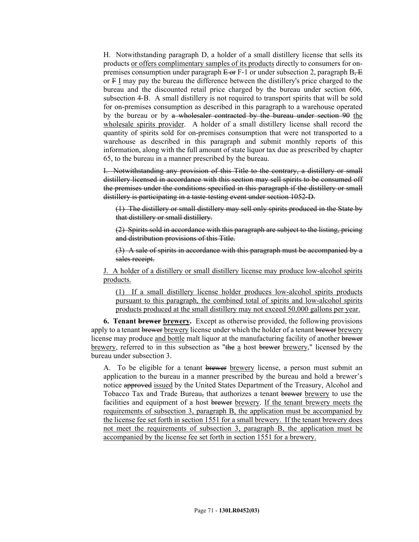H. Notwithstanding paragraph D, a holder of a small distillery license that sells its products or offers complimentary samples of its products directly to consumers for onpremises consumption under paragraph  $E_{\text{OF}}F-1$  or under subsection 2, paragraph  $B_{\tau}E$ or F I may pay the bureau the difference between the distillery's price charged to the bureau and the discounted retail price charged by the bureau under section 606, subsection 4‑B. A small distillery is not required to transport spirits that will be sold for on-premises consumption as described in this paragraph to a warehouse operated by the bureau or by a wholesaler contracted by the bureau under section 90 the wholesale spirits provider. A holder of a small distillery license shall record the quantity of spirits sold for on-premises consumption that were not transported to a warehouse as described in this paragraph and submit monthly reports of this information, along with the full amount of state liquor tax due as prescribed by chapter 65, to the bureau in a manner prescribed by the bureau.

I. Notwithstanding any provision of this Title to the contrary, a distillery or small distillery licensed in accordance with this section may sell spirits to be consumed off the premises under the conditions specified in this paragraph if the distillery or small distillery is participating in a taste-testing event under section 1052‑D.

(1) The distillery or small distillery may sell only spirits produced in the State by that distillery or small distillery.

(2) Spirits sold in accordance with this paragraph are subject to the listing, pricing and distribution provisions of this Title.

(3) A sale of spirits in accordance with this paragraph must be accompanied by a sales receipt.

J. A holder of a distillery or small distillery license may produce low-alcohol spirits products.

(1) If a small distillery license holder produces low-alcohol spirits products pursuant to this paragraph, the combined total of spirits and low-alcohol spirits products produced at the small distillery may not exceed 50,000 gallons per year.

**6. Tenant brewer brewery.** Except as otherwise provided, the following provisions apply to a tenant brewer brewery license under which the holder of a tenant brewer brewery license may produce and bottle malt liquor at the manufacturing facility of another brewer brewery, referred to in this subsection as "the a host brewer brewery," licensed by the bureau under subsection 3.

A. To be eligible for a tenant brewer brewery license, a person must submit an application to the bureau in a manner prescribed by the bureau and hold a brewer's notice approved issued by the United States Department of the Treasury, Alcohol and Tobacco Tax and Trade Bureau, that authorizes a tenant brewer brewery to use the facilities and equipment of a host brewer brewery. If the tenant brewery meets the requirements of subsection 3, paragraph B, the application must be accompanied by the license fee set forth in section 1551 for a small brewery. If the tenant brewery does not meet the requirements of subsection 3, paragraph B, the application must be accompanied by the license fee set forth in section 1551 for a brewery.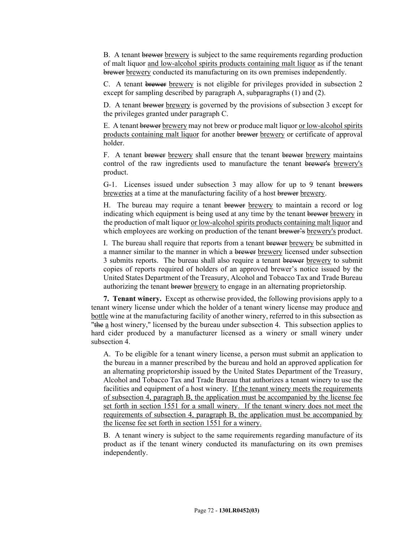B. A tenant brewer brewery is subject to the same requirements regarding production of malt liquor and low-alcohol spirits products containing malt liquor as if the tenant brewer brewery conducted its manufacturing on its own premises independently.

C. A tenant brewer brewery is not eligible for privileges provided in subsection 2 except for sampling described by paragraph A, subparagraphs (1) and (2).

D. A tenant brewer brewery is governed by the provisions of subsection 3 except for the privileges granted under paragraph C.

E. A tenant brewer brewery may not brew or produce malt liquor or low-alcohol spirits products containing malt liquor for another brewer brewery or certificate of approval holder.

F. A tenant brewer brewery shall ensure that the tenant brewer brewery maintains control of the raw ingredients used to manufacture the tenant brewer's brewery's product.

G-1. Licenses issued under subsection 3 may allow for up to 9 tenant brewers breweries at a time at the manufacturing facility of a host brewer brewery.

H. The bureau may require a tenant brewer brewery to maintain a record or log indicating which equipment is being used at any time by the tenant brewer brewery in the production of malt liquor or low-alcohol spirits products containing malt liquor and which employees are working on production of the tenant brewer's brewery's product.

I. The bureau shall require that reports from a tenant brewer brewery be submitted in a manner similar to the manner in which a brewer brewery licensed under subsection 3 submits reports. The bureau shall also require a tenant brewer brewery to submit copies of reports required of holders of an approved brewer's notice issued by the United States Department of the Treasury, Alcohol and Tobacco Tax and Trade Bureau authorizing the tenant brewer brewery to engage in an alternating proprietorship.

**7. Tenant winery.** Except as otherwise provided, the following provisions apply to a tenant winery license under which the holder of a tenant winery license may produce and bottle wine at the manufacturing facility of another winery, referred to in this subsection as "the a host winery," licensed by the bureau under subsection 4. This subsection applies to hard cider produced by a manufacturer licensed as a winery or small winery under subsection 4

A. To be eligible for a tenant winery license, a person must submit an application to the bureau in a manner prescribed by the bureau and hold an approved application for an alternating proprietorship issued by the United States Department of the Treasury, Alcohol and Tobacco Tax and Trade Bureau that authorizes a tenant winery to use the facilities and equipment of a host winery. If the tenant winery meets the requirements of subsection 4, paragraph B, the application must be accompanied by the license fee set forth in section 1551 for a small winery. If the tenant winery does not meet the requirements of subsection 4, paragraph B, the application must be accompanied by the license fee set forth in section 1551 for a winery.

B. A tenant winery is subject to the same requirements regarding manufacture of its product as if the tenant winery conducted its manufacturing on its own premises independently.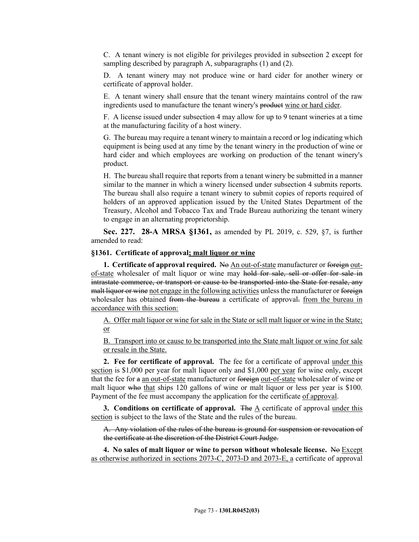C. A tenant winery is not eligible for privileges provided in subsection 2 except for sampling described by paragraph A, subparagraphs (1) and (2).

D. A tenant winery may not produce wine or hard cider for another winery or certificate of approval holder.

E. A tenant winery shall ensure that the tenant winery maintains control of the raw ingredients used to manufacture the tenant winery's product wine or hard cider.

F. A license issued under subsection 4 may allow for up to 9 tenant wineries at a time at the manufacturing facility of a host winery.

G. The bureau may require a tenant winery to maintain a record or log indicating which equipment is being used at any time by the tenant winery in the production of wine or hard cider and which employees are working on production of the tenant winery's product.

H. The bureau shall require that reports from a tenant winery be submitted in a manner similar to the manner in which a winery licensed under subsection 4 submits reports. The bureau shall also require a tenant winery to submit copies of reports required of holders of an approved application issued by the United States Department of the Treasury, Alcohol and Tobacco Tax and Trade Bureau authorizing the tenant winery to engage in an alternating proprietorship.

**Sec. 227. 28-A MRSA §1361,** as amended by PL 2019, c. 529, §7, is further amended to read:

## **§1361. Certificate of approval; malt liquor or wine**

**1. Certificate of approval required.** No An out-of-state manufacturer or foreign outof-state wholesaler of malt liquor or wine may hold for sale, sell or offer for sale in intrastate commerce, or transport or cause to be transported into the State for resale, any malt liquor or wine not engage in the following activities unless the manufacturer or foreign wholesaler has obtained from the bureau a certificate of approval. from the bureau in accordance with this section:

A. Offer malt liquor or wine for sale in the State or sell malt liquor or wine in the State; or

B. Transport into or cause to be transported into the State malt liquor or wine for sale or resale in the State.

**2. Fee for certificate of approval.** The fee for a certificate of approval under this section is \$1,000 per year for malt liquor only and \$1,000 per year for wine only, except that the fee for a an out-of-state manufacturer or foreign out-of-state wholesaler of wine or malt liquor who that ships 120 gallons of wine or malt liquor or less per year is \$100. Payment of the fee must accompany the application for the certificate of approval.

**3. Conditions on certificate of approval.** The A certificate of approval under this section is subject to the laws of the State and the rules of the bureau.

A. Any violation of the rules of the bureau is ground for suspension or revocation of the certificate at the discretion of the District Court Judge.

**4.** No sales of malt liquor or wine to person without wholesale license. No Except as otherwise authorized in sections 2073-C, 2073-D and 2073-E, a certificate of approval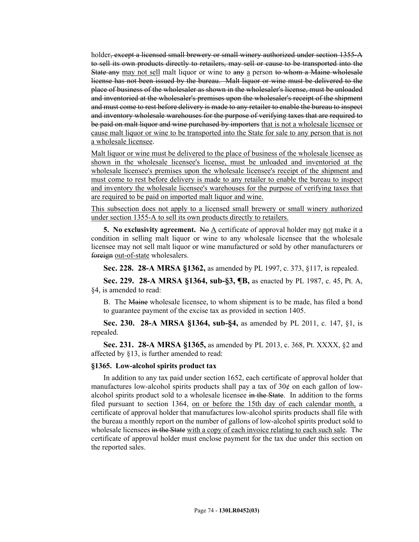holder, except a licensed small brewery or small winery authorized under section 1355-A to sell its own products directly to retailers, may sell or cause to be transported into the State any may not sell malt liquor or wine to any a person to whom a Maine wholesale license has not been issued by the bureau. Malt liquor or wine must be delivered to the place of business of the wholesaler as shown in the wholesaler's license, must be unloaded and inventoried at the wholesaler's premises upon the wholesaler's receipt of the shipment and must come to rest before delivery is made to any retailer to enable the bureau to inspect and inventory wholesale warehouses for the purpose of verifying taxes that are required to be paid on malt liquor and wine purchased by importers that is not a wholesale licensee or cause malt liquor or wine to be transported into the State for sale to any person that is not a wholesale licensee.

Malt liquor or wine must be delivered to the place of business of the wholesale licensee as shown in the wholesale licensee's license, must be unloaded and inventoried at the wholesale licensee's premises upon the wholesale licensee's receipt of the shipment and must come to rest before delivery is made to any retailer to enable the bureau to inspect and inventory the wholesale licensee's warehouses for the purpose of verifying taxes that are required to be paid on imported malt liquor and wine.

This subsection does not apply to a licensed small brewery or small winery authorized under section 1355-A to sell its own products directly to retailers.

**5. No exclusivity agreement.** No  $\underline{A}$  certificate of approval holder may not make it a condition in selling malt liquor or wine to any wholesale licensee that the wholesale licensee may not sell malt liquor or wine manufactured or sold by other manufacturers or foreign out-of-state wholesalers.

**Sec. 228. 28-A MRSA §1362,** as amended by PL 1997, c. 373, §117, is repealed.

**Sec. 229. 28-A MRSA §1364, sub-§3, ¶B,** as enacted by PL 1987, c. 45, Pt. A, §4, is amended to read:

B. The Maine wholesale licensee, to whom shipment is to be made, has filed a bond to guarantee payment of the excise tax as provided in section 1405.

**Sec. 230. 28-A MRSA §1364, sub-§4,** as amended by PL 2011, c. 147, §1, is repealed.

**Sec. 231. 28-A MRSA §1365,** as amended by PL 2013, c. 368, Pt. XXXX, §2 and affected by §13, is further amended to read:

#### **§1365. Low-alcohol spirits product tax**

In addition to any tax paid under section 1652, each certificate of approval holder that manufactures low-alcohol spirits products shall pay a tax of  $30¢$  on each gallon of lowalcohol spirits product sold to a wholesale licensee in the State. In addition to the forms filed pursuant to section 1364, on or before the 15th day of each calendar month, a certificate of approval holder that manufactures low-alcohol spirits products shall file with the bureau a monthly report on the number of gallons of low-alcohol spirits product sold to wholesale licensees in the State with a copy of each invoice relating to each such sale. The certificate of approval holder must enclose payment for the tax due under this section on the reported sales.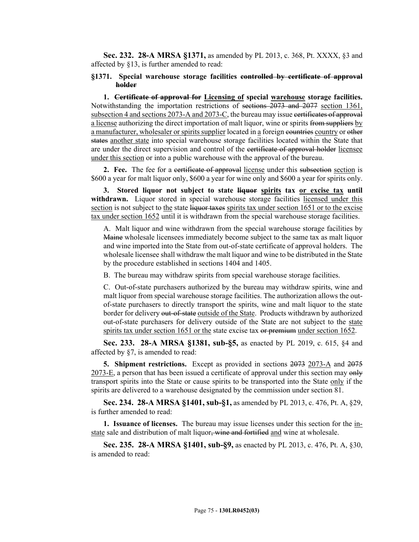**Sec. 232. 28-A MRSA §1371,** as amended by PL 2013, c. 368, Pt. XXXX, §3 and affected by §13, is further amended to read:

## **§1371. Special warehouse storage facilities controlled by certificate of approval holder**

**1. Certificate of approval for Licensing of special warehouse storage facilities.**  Notwithstanding the importation restrictions of sections 2073 and 2077 section 1361, subsection 4 and sections 2073-A and 2073-C, the bureau may issue certificates of approval a license authorizing the direct importation of malt liquor, wine or spirits from suppliers by a manufacturer, wholesaler or spirits supplier located in a foreign countries country or other states another state into special warehouse storage facilities located within the State that are under the direct supervision and control of the certificate of approval holder licensee under this section or into a public warehouse with the approval of the bureau.

**2.** Fee. The fee for a certificate of approval license under this subsection section is \$600 a year for malt liquor only, \$600 a year for wine only and \$600 a year for spirits only.

**3. Stored liquor not subject to state liquor spirits tax or excise tax until**  withdrawn. Liquor stored in special warehouse storage facilities licensed under this section is not subject to the state liquor taxes spirits tax under section 1651 or to the excise tax under section 1652 until it is withdrawn from the special warehouse storage facilities.

A. Malt liquor and wine withdrawn from the special warehouse storage facilities by Maine wholesale licensees immediately become subject to the same tax as malt liquor and wine imported into the State from out-of-state certificate of approval holders. The wholesale licensee shall withdraw the malt liquor and wine to be distributed in the State by the procedure established in sections 1404 and 1405.

B. The bureau may withdraw spirits from special warehouse storage facilities.

C. Out-of-state purchasers authorized by the bureau may withdraw spirits, wine and malt liquor from special warehouse storage facilities. The authorization allows the outof-state purchasers to directly transport the spirits, wine and malt liquor to the state border for delivery out-of-state outside of the State. Products withdrawn by authorized out-of-state purchasers for delivery outside of the State are not subject to the state spirits tax under section 1651 or the state excise tax or premium under section 1652.

**Sec. 233. 28-A MRSA §1381, sub-§5,** as enacted by PL 2019, c. 615, §4 and affected by §7, is amended to read:

**5. Shipment restrictions.** Except as provided in sections 2073 2073-A and 2075 2073-E, a person that has been issued a certificate of approval under this section may only transport spirits into the State or cause spirits to be transported into the State only if the spirits are delivered to a warehouse designated by the commission under section 81.

**Sec. 234. 28-A MRSA §1401, sub-§1,** as amended by PL 2013, c. 476, Pt. A, §29, is further amended to read:

**1. Issuance of licenses.** The bureau may issue licenses under this section for the instate sale and distribution of malt liquor, wine and fortified and wine at wholesale.

**Sec. 235. 28-A MRSA §1401, sub-§9,** as enacted by PL 2013, c. 476, Pt. A, §30, is amended to read: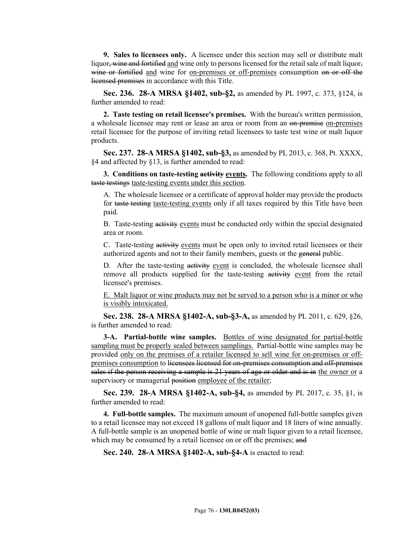**9. Sales to licensees only.** A licensee under this section may sell or distribute malt liquor, wine and fortified and wine only to persons licensed for the retail sale of malt liquor, wine or fortified and wine for on-premises or off-premises consumption on or off the licensed premises in accordance with this Title.

**Sec. 236. 28-A MRSA §1402, sub-§2,** as amended by PL 1997, c. 373, §124, is further amended to read:

**2. Taste testing on retail licensee's premises.** With the bureau's written permission, a wholesale licensee may rent or lease an area or room from an on-premise on-premises retail licensee for the purpose of inviting retail licensees to taste test wine or malt liquor products.

**Sec. 237. 28-A MRSA §1402, sub-§3,** as amended by PL 2013, c. 368, Pt. XXXX, §4 and affected by §13, is further amended to read:

**3. Conditions on taste-testing activity events.** The following conditions apply to all taste testings taste-testing events under this section.

A. The wholesale licensee or a certificate of approval holder may provide the products for taste testing taste-testing events only if all taxes required by this Title have been paid.

B. Taste-testing activity events must be conducted only within the special designated area or room.

C. Taste-testing activity events must be open only to invited retail licensees or their authorized agents and not to their family members, guests or the general public.

D. After the taste-testing activity event is concluded, the wholesale licensee shall remove all products supplied for the taste-testing activity event from the retail licensee's premises.

E. Malt liquor or wine products may not be served to a person who is a minor or who is visibly intoxicated.

**Sec. 238. 28-A MRSA §1402-A, sub-§3-A,** as amended by PL 2011, c. 629, §26, is further amended to read:

**3-A. Partial-bottle wine samples.** Bottles of wine designated for partial-bottle sampling must be properly sealed between samplings. Partial-bottle wine samples may be provided only on the premises of a retailer licensed to sell wine for on-premises or offpremises consumption to licensees licensed for on-premises consumption and off-premises sales if the person receiving a sample is 21 years of age or older and is in the owner or a supervisory or managerial position employee of the retailer;

**Sec. 239. 28-A MRSA §1402-A, sub-§4,** as amended by PL 2017, c. 35, §1, is further amended to read:

**4. Full-bottle samples.** The maximum amount of unopened full-bottle samples given to a retail licensee may not exceed 18 gallons of malt liquor and 18 liters of wine annually. A full-bottle sample is an unopened bottle of wine or malt liquor given to a retail licensee, which may be consumed by a retail licensee on or off the premises; and

**Sec. 240. 28-A MRSA §1402-A, sub-§4-A** is enacted to read: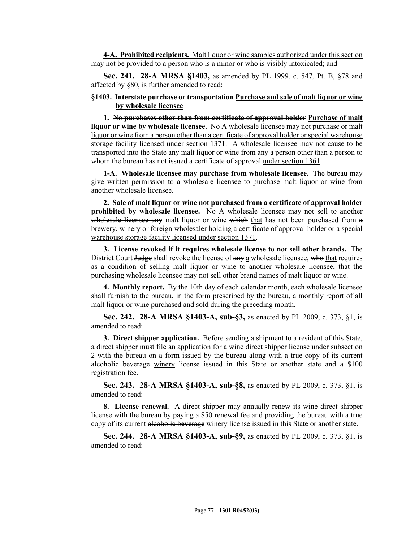**4-A. Prohibited recipients.** Malt liquor or wine samples authorized under this section may not be provided to a person who is a minor or who is visibly intoxicated; and

**Sec. 241. 28-A MRSA §1403,** as amended by PL 1999, c. 547, Pt. B, §78 and affected by §80, is further amended to read:

## **§1403. Interstate purchase or transportation Purchase and sale of malt liquor or wine by wholesale licensee**

**1. No purchases other than from certificate of approval holder Purchase of malt liquor or wine by wholesale licensee.** No A wholesale licensee may not purchase or malt liquor or wine from a person other than a certificate of approval holder or special warehouse storage facility licensed under section 1371. A wholesale licensee may not cause to be transported into the State any malt liquor or wine from any a person other than a person to whom the bureau has not issued a certificate of approval under section 1361.

**1-A. Wholesale licensee may purchase from wholesale licensee.** The bureau may give written permission to a wholesale licensee to purchase malt liquor or wine from another wholesale licensee.

**2. Sale of malt liquor or wine not purchased from a certificate of approval holder prohibited by wholesale licensee.** No A wholesale licensee may not sell to another wholesale licensee any malt liquor or wine which that has not been purchased from a brewery, winery or foreign wholesaler holding a certificate of approval holder or a special warehouse storage facility licensed under section 1371.

**3. License revoked if it requires wholesale license to not sell other brands.** The District Court Judge shall revoke the license of any a wholesale licensee, who that requires as a condition of selling malt liquor or wine to another wholesale licensee, that the purchasing wholesale licensee may not sell other brand names of malt liquor or wine.

**4. Monthly report.** By the 10th day of each calendar month, each wholesale licensee shall furnish to the bureau, in the form prescribed by the bureau, a monthly report of all malt liquor or wine purchased and sold during the preceding month.

**Sec. 242. 28-A MRSA §1403-A, sub-§3,** as enacted by PL 2009, c. 373, §1, is amended to read:

**3. Direct shipper application.** Before sending a shipment to a resident of this State, a direct shipper must file an application for a wine direct shipper license under subsection 2 with the bureau on a form issued by the bureau along with a true copy of its current alcoholic beverage winery license issued in this State or another state and a \$100 registration fee.

**Sec. 243. 28-A MRSA §1403-A, sub-§8,** as enacted by PL 2009, c. 373, §1, is amended to read:

**8. License renewal.** A direct shipper may annually renew its wine direct shipper license with the bureau by paying a \$50 renewal fee and providing the bureau with a true copy of its current alcoholic beverage winery license issued in this State or another state.

**Sec. 244. 28-A MRSA §1403-A, sub-§9,** as enacted by PL 2009, c. 373, §1, is amended to read: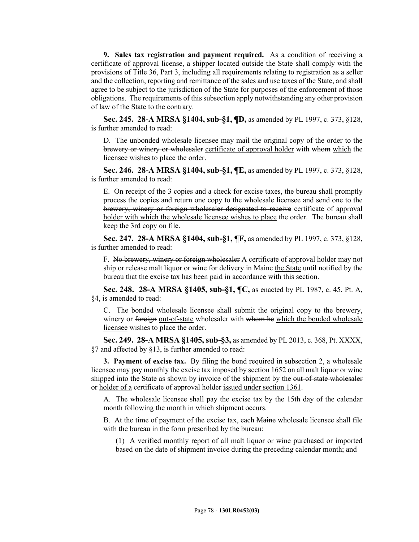**9. Sales tax registration and payment required.** As a condition of receiving a certificate of approval license, a shipper located outside the State shall comply with the provisions of Title 36, Part 3, including all requirements relating to registration as a seller and the collection, reporting and remittance of the sales and use taxes of the State, and shall agree to be subject to the jurisdiction of the State for purposes of the enforcement of those obligations. The requirements of this subsection apply notwithstanding any other provision of law of the State to the contrary.

**Sec. 245. 28-A MRSA §1404, sub-§1, ¶D,** as amended by PL 1997, c. 373, §128, is further amended to read:

D. The unbonded wholesale licensee may mail the original copy of the order to the brewery or winery or wholesaler certificate of approval holder with whom which the licensee wishes to place the order.

**Sec. 246. 28-A MRSA §1404, sub-§1, ¶E,** as amended by PL 1997, c. 373, §128, is further amended to read:

E. On receipt of the 3 copies and a check for excise taxes, the bureau shall promptly process the copies and return one copy to the wholesale licensee and send one to the brewery, winery or foreign wholesaler designated to receive certificate of approval holder with which the wholesale licensee wishes to place the order. The bureau shall keep the 3rd copy on file.

**Sec. 247. 28-A MRSA §1404, sub-§1, ¶F,** as amended by PL 1997, c. 373, §128, is further amended to read:

F. No brewery, winery or foreign wholesaler A certificate of approval holder may not ship or release malt liquor or wine for delivery in Maine the State until notified by the bureau that the excise tax has been paid in accordance with this section.

**Sec. 248. 28-A MRSA §1405, sub-§1, ¶C,** as enacted by PL 1987, c. 45, Pt. A, §4, is amended to read:

C. The bonded wholesale licensee shall submit the original copy to the brewery, winery or foreign out-of-state wholesaler with whom he which the bonded wholesale licensee wishes to place the order.

**Sec. 249. 28-A MRSA §1405, sub-§3,** as amended by PL 2013, c. 368, Pt. XXXX, §7 and affected by §13, is further amended to read:

**3. Payment of excise tax.** By filing the bond required in subsection 2, a wholesale licensee may pay monthly the excise tax imposed by section 1652 on all malt liquor or wine shipped into the State as shown by invoice of the shipment by the out-of-state wholesaler or holder of a certificate of approval holder issued under section 1361.

A. The wholesale licensee shall pay the excise tax by the 15th day of the calendar month following the month in which shipment occurs.

B. At the time of payment of the excise tax, each Maine wholesale licensee shall file with the bureau in the form prescribed by the bureau:

(1) A verified monthly report of all malt liquor or wine purchased or imported based on the date of shipment invoice during the preceding calendar month; and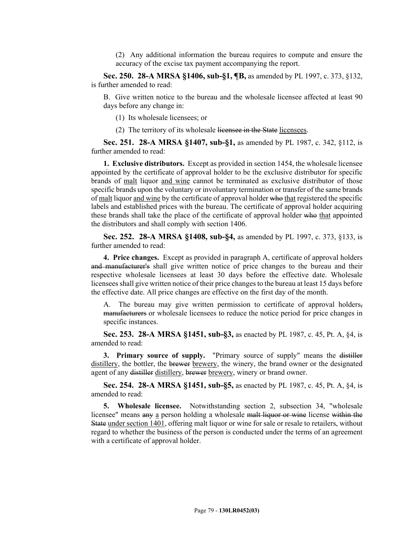(2) Any additional information the bureau requires to compute and ensure the accuracy of the excise tax payment accompanying the report.

**Sec. 250. 28-A MRSA §1406, sub-§1, ¶B,** as amended by PL 1997, c. 373, §132, is further amended to read:

B. Give written notice to the bureau and the wholesale licensee affected at least 90 days before any change in:

- (1) Its wholesale licensees; or
- (2) The territory of its wholesale licensee in the State licensees.

**Sec. 251. 28-A MRSA §1407, sub-§1,** as amended by PL 1987, c. 342, §112, is further amended to read:

**1. Exclusive distributors.** Except as provided in section 1454, the wholesale licensee appointed by the certificate of approval holder to be the exclusive distributor for specific brands of malt liquor and wine cannot be terminated as exclusive distributor of those specific brands upon the voluntary or involuntary termination or transfer of the same brands of malt liquor and wine by the certificate of approval holder who that registered the specific labels and established prices with the bureau. The certificate of approval holder acquiring these brands shall take the place of the certificate of approval holder who that appointed the distributors and shall comply with section 1406.

**Sec. 252. 28-A MRSA §1408, sub-§4,** as amended by PL 1997, c. 373, §133, is further amended to read:

**4. Price changes.** Except as provided in paragraph A, certificate of approval holders and manufacturer's shall give written notice of price changes to the bureau and their respective wholesale licensees at least 30 days before the effective date. Wholesale licensees shall give written notice of their price changes to the bureau at least 15 days before the effective date. All price changes are effective on the first day of the month.

A. The bureau may give written permission to certificate of approval holders, manufacturers or wholesale licensees to reduce the notice period for price changes in specific instances.

**Sec. 253. 28-A MRSA §1451, sub-§3,** as enacted by PL 1987, c. 45, Pt. A, §4, is amended to read:

**3. Primary source of supply.** "Primary source of supply" means the distiller distillery, the bottler, the brewer brewery, the winery, the brand owner or the designated agent of any distiller distillery, brewer brewery, winery or brand owner.

**Sec. 254. 28-A MRSA §1451, sub-§5,** as enacted by PL 1987, c. 45, Pt. A, §4, is amended to read:

**5. Wholesale licensee.** Notwithstanding section 2, subsection 34, "wholesale licensee" means any a person holding a wholesale malt liquor or wine license within the State under section 1401, offering malt liquor or wine for sale or resale to retailers, without regard to whether the business of the person is conducted under the terms of an agreement with a certificate of approval holder.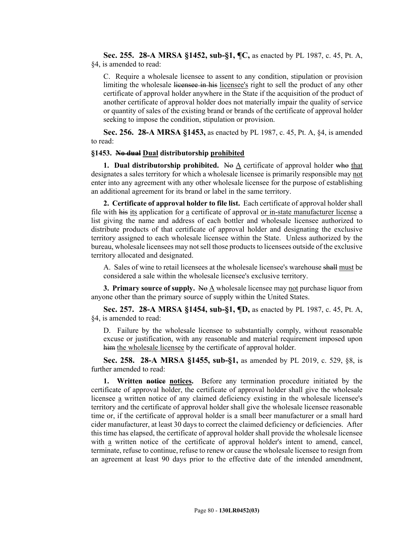**Sec. 255. 28-A MRSA §1452, sub-§1, ¶C,** as enacted by PL 1987, c. 45, Pt. A, §4, is amended to read:

C. Require a wholesale licensee to assent to any condition, stipulation or provision limiting the wholesale licensee in his licensee's right to sell the product of any other certificate of approval holder anywhere in the State if the acquisition of the product of another certificate of approval holder does not materially impair the quality of service or quantity of sales of the existing brand or brands of the certificate of approval holder seeking to impose the condition, stipulation or provision.

**Sec. 256. 28-A MRSA §1453,** as enacted by PL 1987, c. 45, Pt. A, §4, is amended to read:

# **§1453. No dual Dual distributorship prohibited**

**1. Dual distributorship prohibited.** No  $\underline{A}$  certificate of approval holder who that designates a sales territory for which a wholesale licensee is primarily responsible may not enter into any agreement with any other wholesale licensee for the purpose of establishing an additional agreement for its brand or label in the same territory.

**2. Certificate of approval holder to file list.** Each certificate of approval holder shall file with his its application for a certificate of approval or in-state manufacturer license a list giving the name and address of each bottler and wholesale licensee authorized to distribute products of that certificate of approval holder and designating the exclusive territory assigned to each wholesale licensee within the State. Unless authorized by the bureau, wholesale licensees may not sell those products to licensees outside of the exclusive territory allocated and designated.

A. Sales of wine to retail licensees at the wholesale licensee's warehouse shall must be considered a sale within the wholesale licensee's exclusive territory.

**3. Primary source of supply.** No A wholesale licensee may not purchase liquor from anyone other than the primary source of supply within the United States.

**Sec. 257. 28-A MRSA §1454, sub-§1, ¶D,** as enacted by PL 1987, c. 45, Pt. A, §4, is amended to read:

D. Failure by the wholesale licensee to substantially comply, without reasonable excuse or justification, with any reasonable and material requirement imposed upon him the wholesale licensee by the certificate of approval holder.

**Sec. 258. 28-A MRSA §1455, sub-§1,** as amended by PL 2019, c. 529, §8, is further amended to read:

**1. Written notice notices.** Before any termination procedure initiated by the certificate of approval holder, the certificate of approval holder shall give the wholesale licensee a written notice of any claimed deficiency existing in the wholesale licensee's territory and the certificate of approval holder shall give the wholesale licensee reasonable time or, if the certificate of approval holder is a small beer manufacturer or a small hard cider manufacturer, at least 30 days to correct the claimed deficiency or deficiencies. After this time has elapsed, the certificate of approval holder shall provide the wholesale licensee with a written notice of the certificate of approval holder's intent to amend, cancel, terminate, refuse to continue, refuse to renew or cause the wholesale licensee to resign from an agreement at least 90 days prior to the effective date of the intended amendment,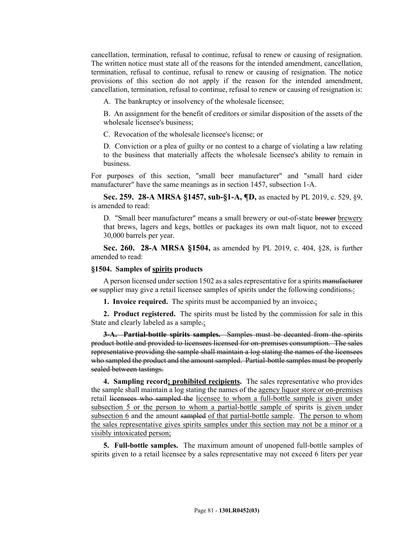cancellation, termination, refusal to continue, refusal to renew or causing of resignation. The written notice must state all of the reasons for the intended amendment, cancellation, termination, refusal to continue, refusal to renew or causing of resignation. The notice provisions of this section do not apply if the reason for the intended amendment, cancellation, termination, refusal to continue, refusal to renew or causing of resignation is:

A. The bankruptcy or insolvency of the wholesale licensee;

B. An assignment for the benefit of creditors or similar disposition of the assets of the wholesale licensee's business;

C. Revocation of the wholesale licensee's license; or

D. Conviction or a plea of guilty or no contest to a charge of violating a law relating to the business that materially affects the wholesale licensee's ability to remain in business.

For purposes of this section, "small beer manufacturer" and "small hard cider manufacturer" have the same meanings as in section 1457, subsection 1‑A.

**Sec. 259. 28-A MRSA §1457, sub-§1-A, ¶D,** as enacted by PL 2019, c. 529, §9, is amended to read:

D. "Small beer manufacturer" means a small brewery or out-of-state brewer brewery that brews, lagers and kegs, bottles or packages its own malt liquor, not to exceed 30,000 barrels per year.

**Sec. 260. 28-A MRSA §1504,** as amended by PL 2019, c. 404, §28, is further amended to read:

#### **§1504. Samples of spirits products**

A person licensed under section 1502 as a sales representative for a spirits manufacturer or supplier may give a retail licensee samples of spirits under the following conditions.:

**1. Invoice required.** The spirits must be accompanied by an invoice.;

**2. Product registered.** The spirits must be listed by the commission for sale in this State and clearly labeled as a sample.

**3-A. Partial-bottle spirits samples.** Samples must be decanted from the spirits product bottle and provided to licensees licensed for on-premises consumption. The sales representative providing the sample shall maintain a log stating the names of the licensees who sampled the product and the amount sampled. Partial-bottle samples must be properly sealed between tastings.

**4. Sampling record; prohibited recipients.** The sales representative who provides the sample shall maintain a log stating the names of the agency liquor store or on-premises retail licensees who sampled the licensee to whom a full-bottle sample is given under subsection 5 or the person to whom a partial-bottle sample of spirits is given under subsection 6 and the amount sampled of that partial-bottle sample. The person to whom the sales representative gives spirits samples under this section may not be a minor or a visibly intoxicated person;

**5. Full-bottle samples.** The maximum amount of unopened full-bottle samples of spirits given to a retail licensee by a sales representative may not exceed 6 liters per year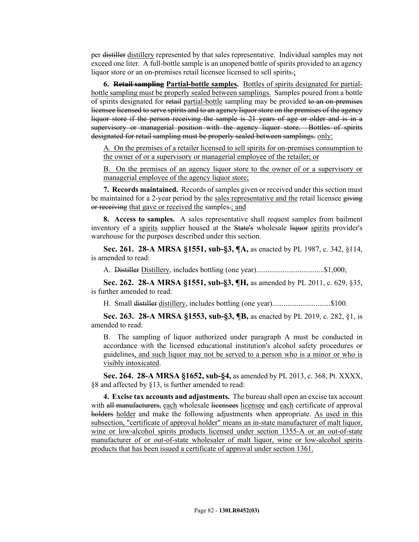per distiller distillery represented by that sales representative. Individual samples may not exceed one liter. A full-bottle sample is an unopened bottle of spirits provided to an agency liquor store or an on-premises retail licensee licensed to sell spirits.

**6. Retail sampling Partial-bottle samples.** Bottles of spirits designated for partialbottle sampling must be properly sealed between samplings. Samples poured from a bottle of spirits designated for retail partial-bottle sampling may be provided to an on-premises licensee licensed to serve spirits and to an agency liquor store on the premises of the agency liquor store if the person receiving the sample is 21 years of age or older and is in a supervisory or managerial position with the agency liquor store. Bottles of spirits designated for retail sampling must be properly sealed between samplings. only:

A. On the premises of a retailer licensed to sell spirits for on-premises consumption to the owner of or a supervisory or managerial employee of the retailer; or

B. On the premises of an agency liquor store to the owner of or a supervisory or managerial employee of the agency liquor store;

**7. Records maintained.** Records of samples given or received under this section must be maintained for a 2-year period by the sales representative and the retail licensee giving or receiving that gave or received the samples.; and

**8. Access to samples.** A sales representative shall request samples from bailment inventory of a spirits supplier housed at the State's wholesale liquor spirits provider's warehouse for the purposes described under this section.

**Sec. 261. 28-A MRSA §1551, sub-§3, ¶A,** as enacted by PL 1987, c. 342, §114, is amended to read:

A. Distiller Distillery, includes bottling (one year)....................................\$1,000;

**Sec. 262. 28-A MRSA §1551, sub-§3, ¶H,** as amended by PL 2011, c. 629, §35, is further amended to read:

H. Small distiller distillery, includes bottling (one year)...............................\$100.

**Sec. 263. 28-A MRSA §1553, sub-§3, ¶B,** as enacted by PL 2019, c. 282, §1, is amended to read:

B. The sampling of liquor authorized under paragraph A must be conducted in accordance with the licensed educational institution's alcohol safety procedures or guidelines, and such liquor may not be served to a person who is a minor or who is visibly intoxicated.

**Sec. 264. 28-A MRSA §1652, sub-§4,** as amended by PL 2013, c. 368, Pt. XXXX, §8 and affected by §13, is further amended to read:

**4. Excise tax accounts and adjustments.** The bureau shall open an excise tax account with all manufacturers, each wholesale licensees licensee and each certificate of approval holders holder and make the following adjustments when appropriate. As used in this subsection, "certificate of approval holder" means an in-state manufacturer of malt liquor, wine or low-alcohol spirits products licensed under section 1355-A or an out-of-state manufacturer of or out-of-state wholesaler of malt liquor, wine or low-alcohol spirits products that has been issued a certificate of approval under section 1361.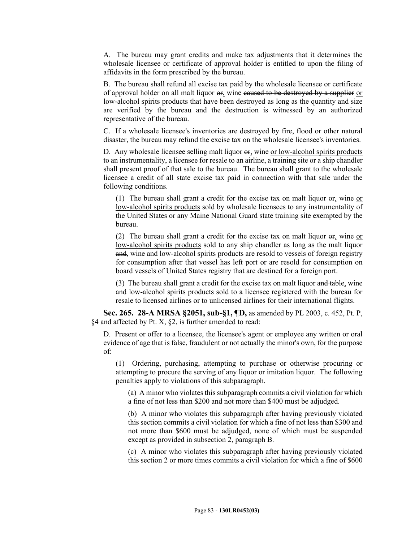A. The bureau may grant credits and make tax adjustments that it determines the wholesale licensee or certificate of approval holder is entitled to upon the filing of affidavits in the form prescribed by the bureau.

B. The bureau shall refund all excise tax paid by the wholesale licensee or certificate of approval holder on all malt liquor  $er_2$  wine caused to be destroyed by a supplier or low-alcohol spirits products that have been destroyed as long as the quantity and size are verified by the bureau and the destruction is witnessed by an authorized representative of the bureau.

C. If a wholesale licensee's inventories are destroyed by fire, flood or other natural disaster, the bureau may refund the excise tax on the wholesale licensee's inventories.

D. Any wholesale licensee selling malt liquor or, wine or low-alcohol spirits products to an instrumentality, a licensee for resale to an airline, a training site or a ship chandler shall present proof of that sale to the bureau. The bureau shall grant to the wholesale licensee a credit of all state excise tax paid in connection with that sale under the following conditions.

(1) The bureau shall grant a credit for the excise tax on malt liquor or, wine or low-alcohol spirits products sold by wholesale licensees to any instrumentality of the United States or any Maine National Guard state training site exempted by the bureau.

(2) The bureau shall grant a credit for the excise tax on malt liquor or, wine or low-alcohol spirits products sold to any ship chandler as long as the malt liquor and, wine and low-alcohol spirits products are resold to vessels of foreign registry for consumption after that vessel has left port or are resold for consumption on board vessels of United States registry that are destined for a foreign port.

(3) The bureau shall grant a credit for the excise tax on malt liquor and table, wine and low-alcohol spirits products sold to a licensee registered with the bureau for resale to licensed airlines or to unlicensed airlines for their international flights.

**Sec. 265. 28-A MRSA §2051, sub-§1, ¶D,** as amended by PL 2003, c. 452, Pt. P, §4 and affected by Pt. X, §2, is further amended to read:

D. Present or offer to a licensee, the licensee's agent or employee any written or oral evidence of age that is false, fraudulent or not actually the minor's own, for the purpose of:

(1) Ordering, purchasing, attempting to purchase or otherwise procuring or attempting to procure the serving of any liquor or imitation liquor. The following penalties apply to violations of this subparagraph.

(a) A minor who violates this subparagraph commits a civil violation for which a fine of not less than \$200 and not more than \$400 must be adjudged.

(b) A minor who violates this subparagraph after having previously violated this section commits a civil violation for which a fine of not less than \$300 and not more than \$600 must be adjudged, none of which must be suspended except as provided in subsection 2, paragraph B.

(c) A minor who violates this subparagraph after having previously violated this section 2 or more times commits a civil violation for which a fine of \$600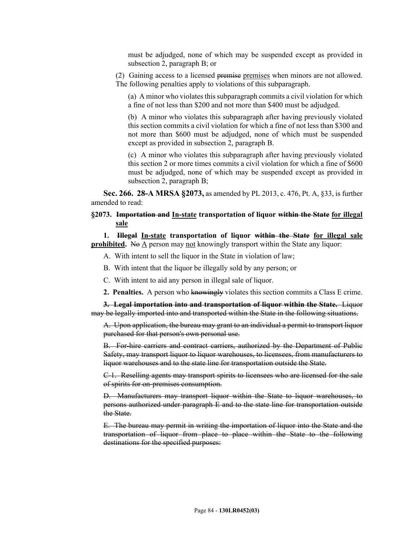must be adjudged, none of which may be suspended except as provided in subsection 2, paragraph B; or

(2) Gaining access to a licensed premise premises when minors are not allowed. The following penalties apply to violations of this subparagraph.

(a) A minor who violates this subparagraph commits a civil violation for which a fine of not less than \$200 and not more than \$400 must be adjudged.

(b) A minor who violates this subparagraph after having previously violated this section commits a civil violation for which a fine of not less than \$300 and not more than \$600 must be adjudged, none of which must be suspended except as provided in subsection 2, paragraph B.

(c) A minor who violates this subparagraph after having previously violated this section 2 or more times commits a civil violation for which a fine of \$600 must be adjudged, none of which may be suspended except as provided in subsection 2, paragraph B;

**Sec. 266. 28-A MRSA §2073,** as amended by PL 2013, c. 476, Pt. A, §33, is further amended to read:

# **§2073. Importation and In-state transportation of liquor within the State for illegal sale**

**1. Illegal In-state transportation of liquor within the State for illegal sale prohibited.** No A person may not knowingly transport within the State any liquor:

- A. With intent to sell the liquor in the State in violation of law;
- B. With intent that the liquor be illegally sold by any person; or
- C. With intent to aid any person in illegal sale of liquor.
- **2. Penalties.** A person who knowingly violates this section commits a Class E crime.

**3. Legal importation into and transportation of liquor within the State.** Liquor may be legally imported into and transported within the State in the following situations.

A. Upon application, the bureau may grant to an individual a permit to transport liquor purchased for that person's own personal use.

B. For-hire carriers and contract carriers, authorized by the Department of Public Safety, may transport liquor to liquor warehouses, to licensees, from manufacturers to liquor warehouses and to the state line for transportation outside the State.

C-1. Reselling agents may transport spirits to licensees who are licensed for the sale of spirits for on-premises consumption.

D. Manufacturers may transport liquor within the State to liquor warehouses, to persons authorized under paragraph E and to the state line for transportation outside the State.

E. The bureau may permit in writing the importation of liquor into the State and the transportation of liquor from place to place within the State to the following destinations for the specified purposes: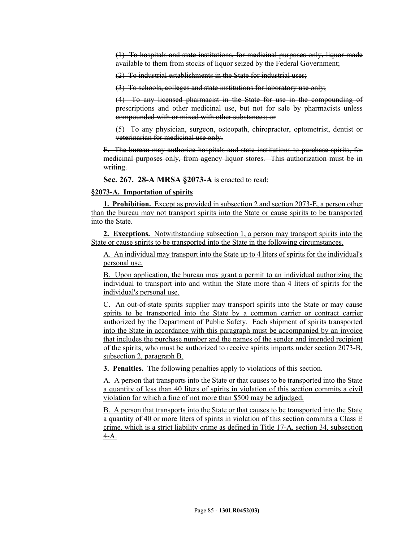(1) To hospitals and state institutions, for medicinal purposes only, liquor made available to them from stocks of liquor seized by the Federal Government;

(2) To industrial establishments in the State for industrial uses;

(3) To schools, colleges and state institutions for laboratory use only;

(4) To any licensed pharmacist in the State for use in the compounding of prescriptions and other medicinal use, but not for sale by pharmacists unless compounded with or mixed with other substances; or

(5) To any physician, surgeon, osteopath, chiropractor, optometrist, dentist or veterinarian for medicinal use only.

F. The bureau may authorize hospitals and state institutions to purchase spirits, for medicinal purposes only, from agency liquor stores. This authorization must be in writing.

**Sec. 267. 28-A MRSA §2073-A** is enacted to read:

## **§2073-A. Importation of spirits**

**1. Prohibition.** Except as provided in subsection 2 and section 2073-E, a person other than the bureau may not transport spirits into the State or cause spirits to be transported into the State.

**2. Exceptions.** Notwithstanding subsection 1, a person may transport spirits into the State or cause spirits to be transported into the State in the following circumstances.

A. An individual may transport into the State up to 4 liters of spirits for the individual's personal use.

B. Upon application, the bureau may grant a permit to an individual authorizing the individual to transport into and within the State more than 4 liters of spirits for the individual's personal use.

C. An out-of-state spirits supplier may transport spirits into the State or may cause spirits to be transported into the State by a common carrier or contract carrier authorized by the Department of Public Safety. Each shipment of spirits transported into the State in accordance with this paragraph must be accompanied by an invoice that includes the purchase number and the names of the sender and intended recipient of the spirits, who must be authorized to receive spirits imports under section 2073-B, subsection 2, paragraph B.

**3. Penalties.** The following penalties apply to violations of this section.

A. A person that transports into the State or that causes to be transported into the State a quantity of less than 40 liters of spirits in violation of this section commits a civil violation for which a fine of not more than \$500 may be adjudged.

B. A person that transports into the State or that causes to be transported into the State a quantity of 40 or more liters of spirits in violation of this section commits a Class E crime, which is a strict liability crime as defined in Title 17-A, section 34, subsection 4-A.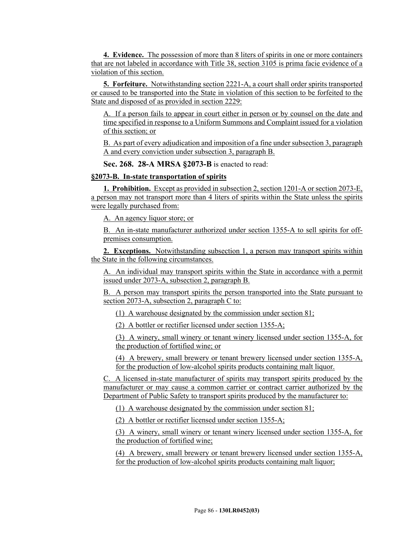**4. Evidence.** The possession of more than 8 liters of spirits in one or more containers that are not labeled in accordance with Title 38, section 3105 is prima facie evidence of a violation of this section.

**5. Forfeiture.** Notwithstanding section 2221-A, a court shall order spirits transported or caused to be transported into the State in violation of this section to be forfeited to the State and disposed of as provided in section 2229:

A. If a person fails to appear in court either in person or by counsel on the date and time specified in response to a Uniform Summons and Complaint issued for a violation of this section; or

B. As part of every adjudication and imposition of a fine under subsection 3, paragraph A and every conviction under subsection 3, paragraph B.

**Sec. 268. 28-A MRSA §2073-B** is enacted to read:

## **§2073-B. In-state transportation of spirits**

**1. Prohibition.** Except as provided in subsection 2, section 1201-A or section 2073-E, a person may not transport more than 4 liters of spirits within the State unless the spirits were legally purchased from:

A. An agency liquor store; or

B. An in-state manufacturer authorized under section 1355-A to sell spirits for offpremises consumption.

**2. Exceptions.** Notwithstanding subsection 1, a person may transport spirits within the State in the following circumstances.

A. An individual may transport spirits within the State in accordance with a permit issued under 2073-A, subsection 2, paragraph B.

B. A person may transport spirits the person transported into the State pursuant to section 2073-A, subsection 2, paragraph C to:

(1) A warehouse designated by the commission under section 81;

(2) A bottler or rectifier licensed under section 1355-A;

(3) A winery, small winery or tenant winery licensed under section 1355-A, for the production of fortified wine; or

(4) A brewery, small brewery or tenant brewery licensed under section 1355-A, for the production of low-alcohol spirits products containing malt liquor.

C. A licensed in-state manufacturer of spirits may transport spirits produced by the manufacturer or may cause a common carrier or contract carrier authorized by the Department of Public Safety to transport spirits produced by the manufacturer to:

(1) A warehouse designated by the commission under section 81;

(2) A bottler or rectifier licensed under section 1355-A;

(3) A winery, small winery or tenant winery licensed under section 1355-A, for the production of fortified wine;

(4) A brewery, small brewery or tenant brewery licensed under section 1355-A, for the production of low-alcohol spirits products containing malt liquor;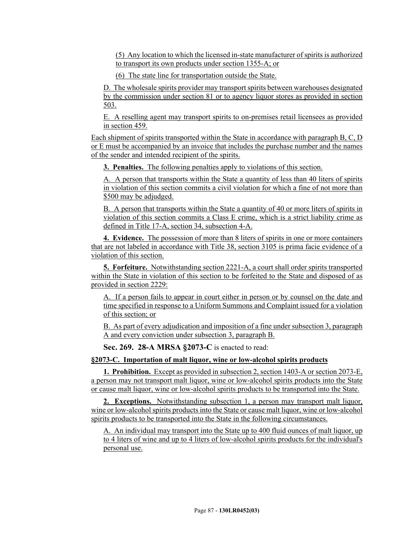(5) Any location to which the licensed in-state manufacturer of spirits is authorized to transport its own products under section 1355-A; or

(6) The state line for transportation outside the State.

D. The wholesale spirits provider may transport spirits between warehouses designated by the commission under section 81 or to agency liquor stores as provided in section 503.

E. A reselling agent may transport spirits to on-premises retail licensees as provided in section 459.

Each shipment of spirits transported within the State in accordance with paragraph B, C, D or E must be accompanied by an invoice that includes the purchase number and the names of the sender and intended recipient of the spirits.

**3. Penalties.** The following penalties apply to violations of this section.

A. A person that transports within the State a quantity of less than 40 liters of spirits in violation of this section commits a civil violation for which a fine of not more than \$500 may be adjudged.

B. A person that transports within the State a quantity of 40 or more liters of spirits in violation of this section commits a Class E crime, which is a strict liability crime as defined in Title 17-A, section 34, subsection 4-A.

**4. Evidence.** The possession of more than 8 liters of spirits in one or more containers that are not labeled in accordance with Title 38, section 3105 is prima facie evidence of a violation of this section.

**5. Forfeiture.** Notwithstanding section 2221-A, a court shall order spirits transported within the State in violation of this section to be forfeited to the State and disposed of as provided in section 2229:

A. If a person fails to appear in court either in person or by counsel on the date and time specified in response to a Uniform Summons and Complaint issued for a violation of this section; or

B. As part of every adjudication and imposition of a fine under subsection 3, paragraph A and every conviction under subsection 3, paragraph B.

**Sec. 269. 28-A MRSA §2073-C** is enacted to read:

#### **§2073-C. Importation of malt liquor, wine or low-alcohol spirits products**

**1. Prohibition.** Except as provided in subsection 2, section 1403-A or section 2073-E, a person may not transport malt liquor, wine or low-alcohol spirits products into the State or cause malt liquor, wine or low-alcohol spirits products to be transported into the State.

**2. Exceptions.** Notwithstanding subsection 1, a person may transport malt liquor, wine or low-alcohol spirits products into the State or cause malt liquor, wine or low-alcohol spirits products to be transported into the State in the following circumstances.

A. An individual may transport into the State up to 400 fluid ounces of malt liquor, up to 4 liters of wine and up to 4 liters of low-alcohol spirits products for the individual's personal use.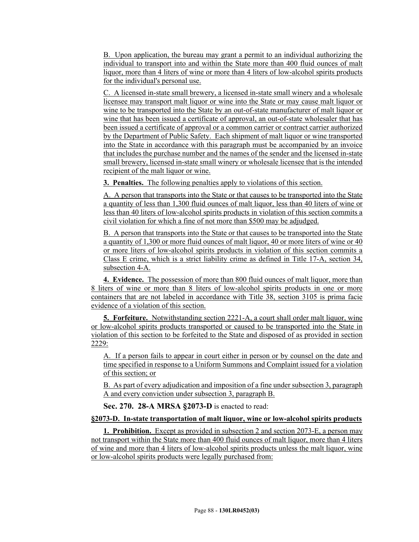B. Upon application, the bureau may grant a permit to an individual authorizing the individual to transport into and within the State more than 400 fluid ounces of malt liquor, more than 4 liters of wine or more than 4 liters of low-alcohol spirits products for the individual's personal use.

C. A licensed in-state small brewery, a licensed in-state small winery and a wholesale licensee may transport malt liquor or wine into the State or may cause malt liquor or wine to be transported into the State by an out-of-state manufacturer of malt liquor or wine that has been issued a certificate of approval, an out-of-state wholesaler that has been issued a certificate of approval or a common carrier or contract carrier authorized by the Department of Public Safety. Each shipment of malt liquor or wine transported into the State in accordance with this paragraph must be accompanied by an invoice that includes the purchase number and the names of the sender and the licensed in-state small brewery, licensed in-state small winery or wholesale licensee that is the intended recipient of the malt liquor or wine.

**3. Penalties.** The following penalties apply to violations of this section.

A. A person that transports into the State or that causes to be transported into the State a quantity of less than 1,300 fluid ounces of malt liquor, less than 40 liters of wine or less than 40 liters of low-alcohol spirits products in violation of this section commits a civil violation for which a fine of not more than \$500 may be adjudged.

B. A person that transports into the State or that causes to be transported into the State a quantity of 1,300 or more fluid ounces of malt liquor, 40 or more liters of wine or 40 or more liters of low-alcohol spirits products in violation of this section commits a Class E crime, which is a strict liability crime as defined in Title 17-A, section 34, subsection 4-A.

**4. Evidence.** The possession of more than 800 fluid ounces of malt liquor, more than 8 liters of wine or more than 8 liters of low-alcohol spirits products in one or more containers that are not labeled in accordance with Title 38, section 3105 is prima facie evidence of a violation of this section.

**5. Forfeiture.** Notwithstanding section 2221-A, a court shall order malt liquor, wine or low-alcohol spirits products transported or caused to be transported into the State in violation of this section to be forfeited to the State and disposed of as provided in section 2229:

A. If a person fails to appear in court either in person or by counsel on the date and time specified in response to a Uniform Summons and Complaint issued for a violation of this section; or

B. As part of every adjudication and imposition of a fine under subsection 3, paragraph A and every conviction under subsection 3, paragraph B.

**Sec. 270. 28-A MRSA §2073-D** is enacted to read:

# **§2073-D. In-state transportation of malt liquor, wine or low-alcohol spirits products**

**1. Prohibition.** Except as provided in subsection 2 and section 2073-E, a person may not transport within the State more than 400 fluid ounces of malt liquor, more than 4 liters of wine and more than 4 liters of low-alcohol spirits products unless the malt liquor, wine or low-alcohol spirits products were legally purchased from: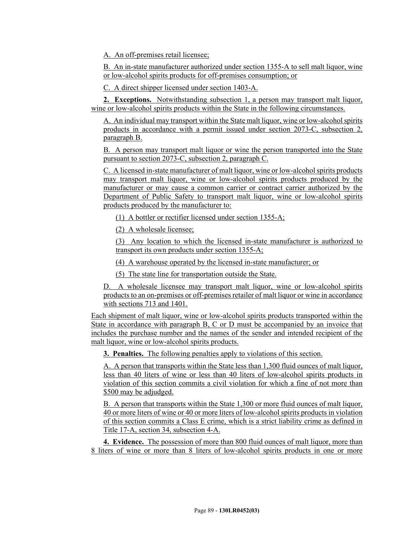A. An off-premises retail licensee;

B. An in-state manufacturer authorized under section 1355-A to sell malt liquor, wine or low-alcohol spirits products for off-premises consumption; or

C. A direct shipper licensed under section 1403-A.

**2. Exceptions.** Notwithstanding subsection 1, a person may transport malt liquor, wine or low-alcohol spirits products within the State in the following circumstances.

A. An individual may transport within the State malt liquor, wine or low-alcohol spirits products in accordance with a permit issued under section 2073-C, subsection 2, paragraph B.

B. A person may transport malt liquor or wine the person transported into the State pursuant to section 2073-C, subsection 2, paragraph C.

C. A licensed in-state manufacturer of malt liquor, wine or low-alcohol spirits products may transport malt liquor, wine or low-alcohol spirits products produced by the manufacturer or may cause a common carrier or contract carrier authorized by the Department of Public Safety to transport malt liquor, wine or low-alcohol spirits products produced by the manufacturer to:

(1) A bottler or rectifier licensed under section 1355-A;

(2) A wholesale licensee;

(3) Any location to which the licensed in-state manufacturer is authorized to transport its own products under section 1355-A;

(4) A warehouse operated by the licensed in-state manufacturer; or

(5) The state line for transportation outside the State.

D. A wholesale licensee may transport malt liquor, wine or low-alcohol spirits products to an on-premises or off-premises retailer of malt liquor or wine in accordance with sections 713 and 1401.

Each shipment of malt liquor, wine or low-alcohol spirits products transported within the State in accordance with paragraph B, C or D must be accompanied by an invoice that includes the purchase number and the names of the sender and intended recipient of the malt liquor, wine or low-alcohol spirits products.

**3. Penalties.** The following penalties apply to violations of this section.

A. A person that transports within the State less than 1,300 fluid ounces of malt liquor, less than 40 liters of wine or less than 40 liters of low-alcohol spirits products in violation of this section commits a civil violation for which a fine of not more than \$500 may be adjudged.

B. A person that transports within the State 1,300 or more fluid ounces of malt liquor, 40 or more liters of wine or 40 or more liters of low-alcohol spirits products in violation of this section commits a Class E crime, which is a strict liability crime as defined in Title 17-A, section 34, subsection 4-A.

**4. Evidence.** The possession of more than 800 fluid ounces of malt liquor, more than 8 liters of wine or more than 8 liters of low-alcohol spirits products in one or more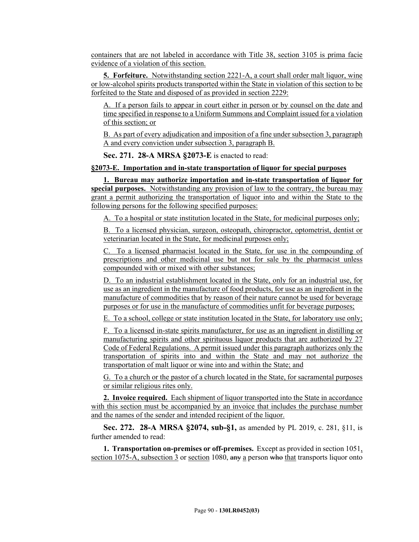containers that are not labeled in accordance with Title 38, section 3105 is prima facie evidence of a violation of this section.

**5. Forfeiture.** Notwithstanding section 2221-A, a court shall order malt liquor, wine or low-alcohol spirits products transported within the State in violation of this section to be forfeited to the State and disposed of as provided in section 2229:

A. If a person fails to appear in court either in person or by counsel on the date and time specified in response to a Uniform Summons and Complaint issued for a violation of this section; or

B. As part of every adjudication and imposition of a fine under subsection 3, paragraph A and every conviction under subsection 3, paragraph B.

**Sec. 271. 28-A MRSA §2073-E** is enacted to read:

## **§2073-E. Importation and in-state transportation of liquor for special purposes**

**1. Bureau may authorize importation and in-state transportation of liquor for special purposes.** Notwithstanding any provision of law to the contrary, the bureau may grant a permit authorizing the transportation of liquor into and within the State to the following persons for the following specified purposes:

A. To a hospital or state institution located in the State, for medicinal purposes only;

B. To a licensed physician, surgeon, osteopath, chiropractor, optometrist, dentist or veterinarian located in the State, for medicinal purposes only;

C. To a licensed pharmacist located in the State, for use in the compounding of prescriptions and other medicinal use but not for sale by the pharmacist unless compounded with or mixed with other substances;

D. To an industrial establishment located in the State, only for an industrial use, for use as an ingredient in the manufacture of food products, for use as an ingredient in the manufacture of commodities that by reason of their nature cannot be used for beverage purposes or for use in the manufacture of commodities unfit for beverage purposes;

E. To a school, college or state institution located in the State, for laboratory use only;

F. To a licensed in-state spirits manufacturer, for use as an ingredient in distilling or manufacturing spirits and other spirituous liquor products that are authorized by 27 Code of Federal Regulations. A permit issued under this paragraph authorizes only the transportation of spirits into and within the State and may not authorize the transportation of malt liquor or wine into and within the State; and

G. To a church or the pastor of a church located in the State, for sacramental purposes or similar religious rites only.

**2. Invoice required.** Each shipment of liquor transported into the State in accordance with this section must be accompanied by an invoice that includes the purchase number and the names of the sender and intended recipient of the liquor.

**Sec. 272. 28-A MRSA §2074, sub-§1,** as amended by PL 2019, c. 281, §11, is further amended to read:

**1. Transportation on-premises or off-premises.** Except as provided in section 1051, section 1075-A, subsection 3 or section 1080, any a person who that transports liquor onto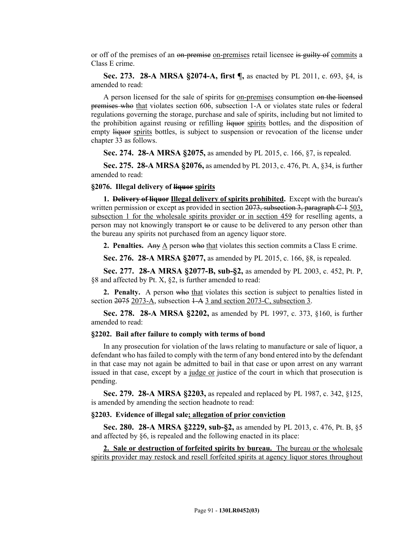or off of the premises of an on-premise on-premises retail licensee is guilty of commits a Class E crime.

**Sec. 273. 28-A MRSA §2074-A, first ¶,** as enacted by PL 2011, c. 693, §4, is amended to read:

A person licensed for the sale of spirits for on-premises consumption on the licensed premises who that violates section 606, subsection 1-A or violates state rules or federal regulations governing the storage, purchase and sale of spirits, including but not limited to the prohibition against reusing or refilling liquor spirits bottles, and the disposition of empty liquor spirits bottles, is subject to suspension or revocation of the license under chapter 33 as follows.

**Sec. 274. 28-A MRSA §2075,** as amended by PL 2015, c. 166, §7, is repealed.

**Sec. 275. 28-A MRSA §2076,** as amended by PL 2013, c. 476, Pt. A, §34, is further amended to read:

#### **§2076. Illegal delivery of liquor spirits**

**1. Delivery of liquor Illegal delivery of spirits prohibited.** Except with the bureau's written permission or except as provided in section 2073, subsection 3, paragraph C-4 503, subsection 1 for the wholesale spirits provider or in section 459 for reselling agents, a person may not knowingly transport to or cause to be delivered to any person other than the bureau any spirits not purchased from an agency liquor store.

**2. Penalties.** Any A person who that violates this section commits a Class E crime.

**Sec. 276. 28-A MRSA §2077,** as amended by PL 2015, c. 166, §8, is repealed.

**Sec. 277. 28-A MRSA §2077-B, sub-§2,** as amended by PL 2003, c. 452, Pt. P, §8 and affected by Pt. X, §2, is further amended to read:

**2. Penalty.** A person who that violates this section is subject to penalties listed in section 2075 2073-A, subsection  $1-A$  3 and section 2073-C, subsection 3.

**Sec. 278. 28-A MRSA §2202,** as amended by PL 1997, c. 373, §160, is further amended to read:

#### **§2202. Bail after failure to comply with terms of bond**

In any prosecution for violation of the laws relating to manufacture or sale of liquor, a defendant who has failed to comply with the term of any bond entered into by the defendant in that case may not again be admitted to bail in that case or upon arrest on any warrant issued in that case, except by a judge or justice of the court in which that prosecution is pending.

**Sec. 279. 28-A MRSA §2203,** as repealed and replaced by PL 1987, c. 342, §125, is amended by amending the section headnote to read:

#### **§2203. Evidence of illegal sale; allegation of prior conviction**

**Sec. 280. 28-A MRSA §2229, sub-§2,** as amended by PL 2013, c. 476, Pt. B, §5 and affected by §6, is repealed and the following enacted in its place:

**2. Sale or destruction of forfeited spirits by bureau.** The bureau or the wholesale spirits provider may restock and resell forfeited spirits at agency liquor stores throughout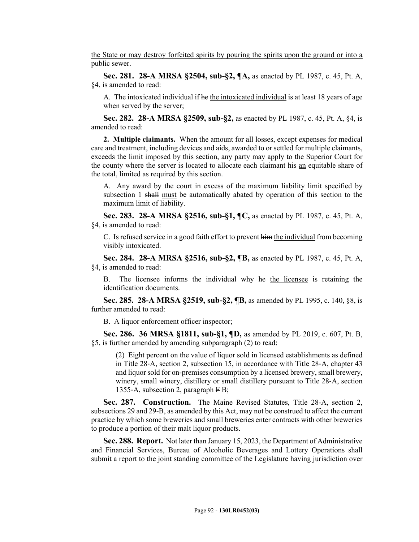the State or may destroy forfeited spirits by pouring the spirits upon the ground or into a public sewer.

**Sec. 281. 28-A MRSA §2504, sub-§2, ¶A,** as enacted by PL 1987, c. 45, Pt. A, §4, is amended to read:

A. The intoxicated individual if he the intoxicated individual is at least 18 years of age when served by the server;

**Sec. 282. 28-A MRSA §2509, sub-§2,** as enacted by PL 1987, c. 45, Pt. A, §4, is amended to read:

**2. Multiple claimants.** When the amount for all losses, except expenses for medical care and treatment, including devices and aids, awarded to or settled for multiple claimants, exceeds the limit imposed by this section, any party may apply to the Superior Court for the county where the server is located to allocate each claimant his an equitable share of the total, limited as required by this section.

A. Any award by the court in excess of the maximum liability limit specified by subsection 1 shall must be automatically abated by operation of this section to the maximum limit of liability.

**Sec. 283. 28-A MRSA §2516, sub-§1, ¶C,** as enacted by PL 1987, c. 45, Pt. A, §4, is amended to read:

C. Is refused service in a good faith effort to prevent him the individual from becoming visibly intoxicated.

**Sec. 284. 28-A MRSA §2516, sub-§2, ¶B,** as enacted by PL 1987, c. 45, Pt. A, §4, is amended to read:

B. The licensee informs the individual why he the licensee is retaining the identification documents.

**Sec. 285. 28-A MRSA §2519, sub-§2, ¶B,** as amended by PL 1995, c. 140, §8, is further amended to read:

B. A liquor enforcement officer inspector;

**Sec. 286. 36 MRSA §1811, sub-§1, ¶D,** as amended by PL 2019, c. 607, Pt. B, §5, is further amended by amending subparagraph (2) to read:

(2) Eight percent on the value of liquor sold in licensed establishments as defined in Title 28‑A, section 2, subsection 15, in accordance with Title 28‑A, chapter 43 and liquor sold for on-premises consumption by a licensed brewery, small brewery, winery, small winery, distillery or small distillery pursuant to Title 28-A, section 1355-A, subsection 2, paragraph  $\overline{F} B$ ;

**Sec. 287. Construction.** The Maine Revised Statutes, Title 28-A, section 2, subsections 29 and 29-B, as amended by this Act, may not be construed to affect the current practice by which some breweries and small breweries enter contracts with other breweries to produce a portion of their malt liquor products.

**Sec. 288. Report.** Not later than January 15, 2023, the Department of Administrative and Financial Services, Bureau of Alcoholic Beverages and Lottery Operations shall submit a report to the joint standing committee of the Legislature having jurisdiction over